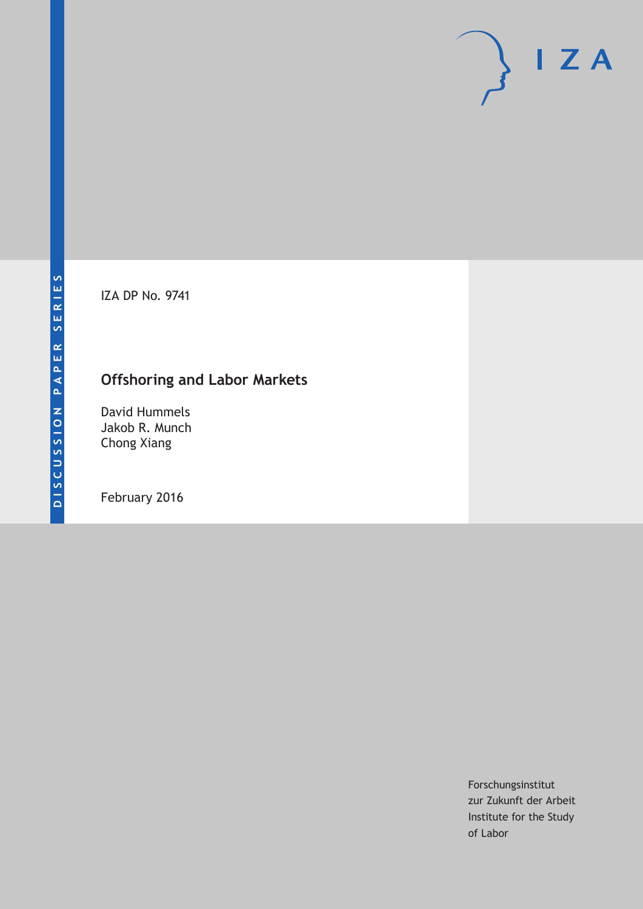IZA DP No. 9741

# **Offshoring and Labor Markets**

David Hummels Jakob R. Munch Chong Xiang

February 2016

Forschungsinstitut zur Zukunft der Arbeit Institute for the Study of Labor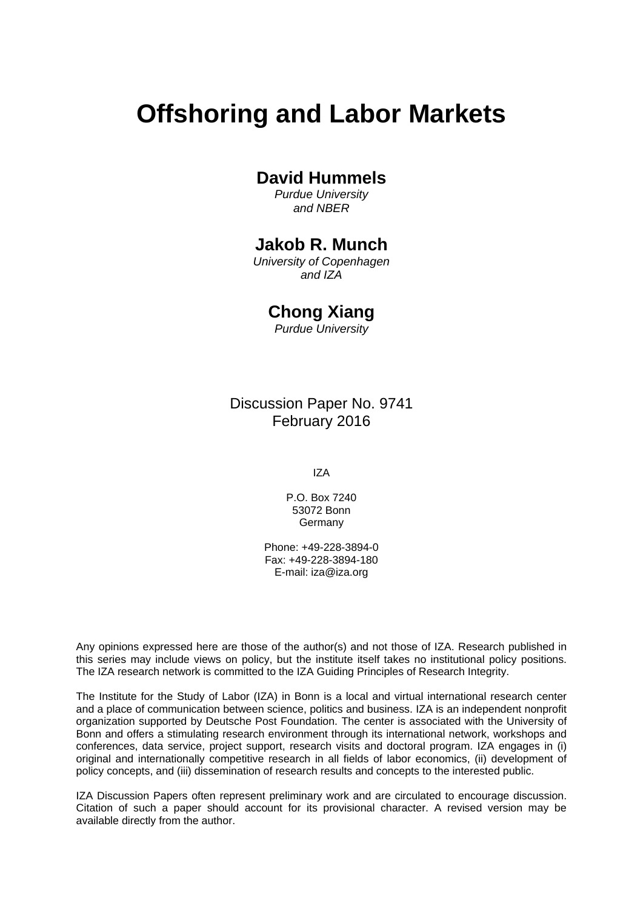# **Offshoring and Labor Markets**

### **David Hummels**

*Purdue University and NBER* 

### **Jakob R. Munch**

*University of Copenhagen and IZA* 

### **Chong Xiang**

*Purdue University*

Discussion Paper No. 9741 February 2016

IZA

P.O. Box 7240 53072 Bonn Germany

Phone: +49-228-3894-0 Fax: +49-228-3894-180 E-mail: iza@iza.org

Any opinions expressed here are those of the author(s) and not those of IZA. Research published in this series may include views on policy, but the institute itself takes no institutional policy positions. The IZA research network is committed to the IZA Guiding Principles of Research Integrity.

The Institute for the Study of Labor (IZA) in Bonn is a local and virtual international research center and a place of communication between science, politics and business. IZA is an independent nonprofit organization supported by Deutsche Post Foundation. The center is associated with the University of Bonn and offers a stimulating research environment through its international network, workshops and conferences, data service, project support, research visits and doctoral program. IZA engages in (i) original and internationally competitive research in all fields of labor economics, (ii) development of policy concepts, and (iii) dissemination of research results and concepts to the interested public.

IZA Discussion Papers often represent preliminary work and are circulated to encourage discussion. Citation of such a paper should account for its provisional character. A revised version may be available directly from the author.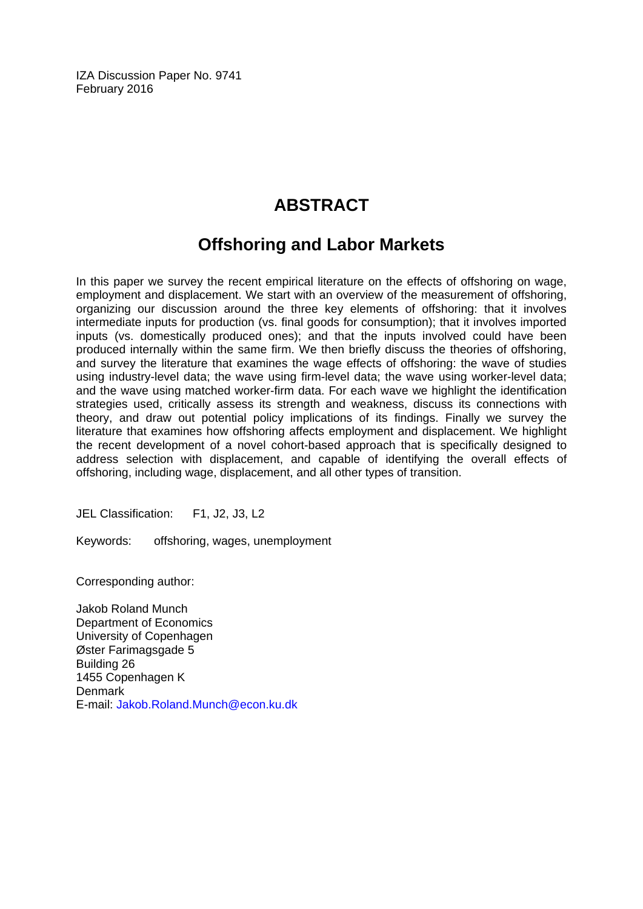IZA Discussion Paper No. 9741 February 2016

# **ABSTRACT**

## **Offshoring and Labor Markets**

In this paper we survey the recent empirical literature on the effects of offshoring on wage, employment and displacement. We start with an overview of the measurement of offshoring, organizing our discussion around the three key elements of offshoring: that it involves intermediate inputs for production (vs. final goods for consumption); that it involves imported inputs (vs. domestically produced ones); and that the inputs involved could have been produced internally within the same firm. We then briefly discuss the theories of offshoring, and survey the literature that examines the wage effects of offshoring: the wave of studies using industry-level data; the wave using firm-level data; the wave using worker-level data; and the wave using matched worker-firm data. For each wave we highlight the identification strategies used, critically assess its strength and weakness, discuss its connections with theory, and draw out potential policy implications of its findings. Finally we survey the literature that examines how offshoring affects employment and displacement. We highlight the recent development of a novel cohort-based approach that is specifically designed to address selection with displacement, and capable of identifying the overall effects of offshoring, including wage, displacement, and all other types of transition.

JEL Classification: F1, J2, J3, L2

Keywords: offshoring, wages, unemployment

Corresponding author:

Jakob Roland Munch Department of Economics University of Copenhagen Øster Farimagsgade 5 Building 26 1455 Copenhagen K **Denmark** E-mail: Jakob.Roland.Munch@econ.ku.dk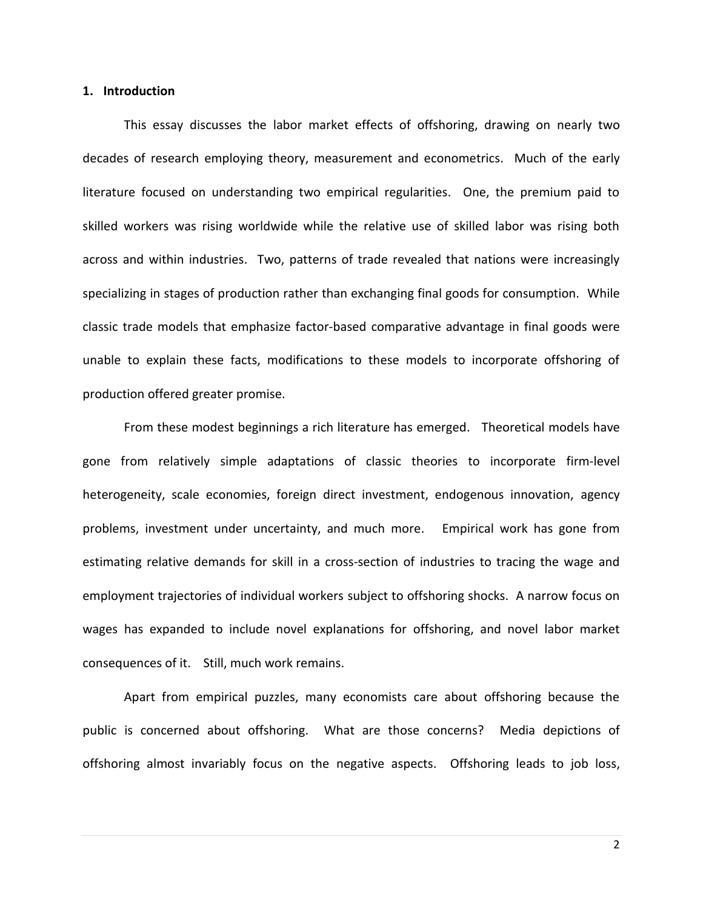#### **1. Introduction**

This essay discusses the labor market effects of offshoring, drawing on nearly two decades of research employing theory, measurement and econometrics. Much of the early literature focused on understanding two empirical regularities. One, the premium paid to skilled workers was rising worldwide while the relative use of skilled labor was rising both across and within industries. Two, patterns of trade revealed that nations were increasingly specializing in stages of production rather than exchanging final goods for consumption. While classic trade models that emphasize factor-based comparative advantage in final goods were unable to explain these facts, modifications to these models to incorporate offshoring of production offered greater promise.

From these modest beginnings a rich literature has emerged. Theoretical models have gone from relatively simple adaptations of classic theories to incorporate firm-level heterogeneity, scale economies, foreign direct investment, endogenous innovation, agency problems, investment under uncertainty, and much more. Empirical work has gone from estimating relative demands for skill in a cross-section of industries to tracing the wage and employment trajectories of individual workers subject to offshoring shocks. A narrow focus on wages has expanded to include novel explanations for offshoring, and novel labor market consequences of it. Still, much work remains.

Apart from empirical puzzles, many economists care about offshoring because the public is concerned about offshoring. What are those concerns? Media depictions of offshoring almost invariably focus on the negative aspects. Offshoring leads to job loss,

2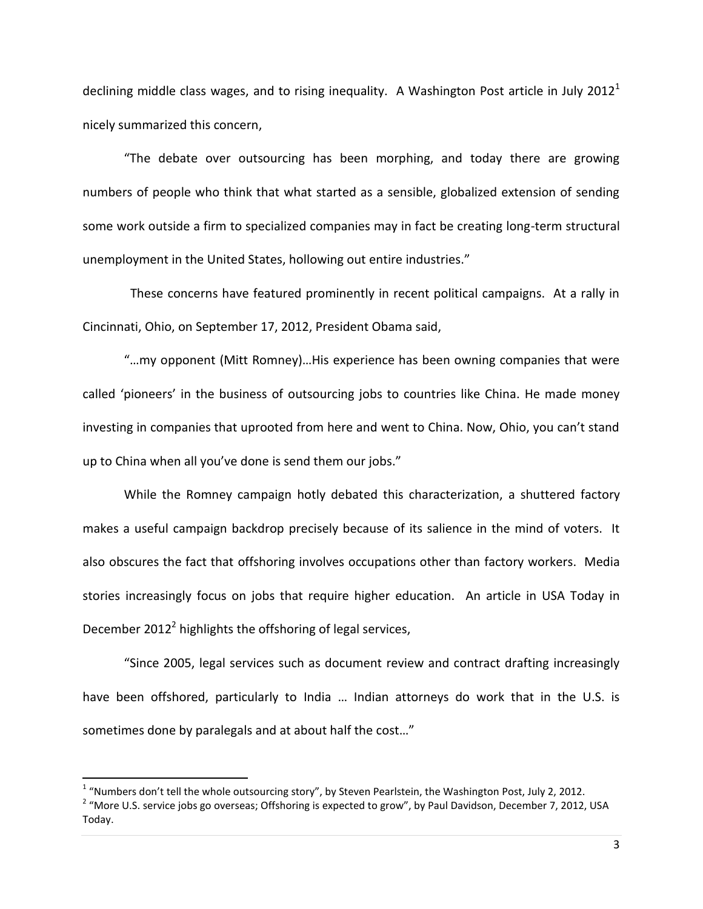declining middle class wages, and to rising inequality. A Washington Post article in July 2012<sup>1</sup> nicely summarized this concern,

"The debate over outsourcing has been morphing, and today there are growing numbers of people who think that what started as a sensible, globalized extension of sending some work outside a firm to specialized companies may in fact be creating long-term structural unemployment in the United States, hollowing out entire industries."

 These concerns have featured prominently in recent political campaigns. At a rally in Cincinnati, Ohio, on September 17, 2012, President Obama said,

"…my opponent (Mitt Romney)…His experience has been owning companies that were called 'pioneers' in the business of outsourcing jobs to countries like China. He made money investing in companies that uprooted from here and went to China. Now, Ohio, you can't stand up to China when all you've done is send them our jobs."

While the Romney campaign hotly debated this characterization, a shuttered factory makes a useful campaign backdrop precisely because of its salience in the mind of voters. It also obscures the fact that offshoring involves occupations other than factory workers. Media stories increasingly focus on jobs that require higher education. An article in USA Today in December 2012<sup>2</sup> highlights the offshoring of legal services,

"Since 2005, legal services such as document review and contract drafting increasingly have been offshored, particularly to India ... Indian attorneys do work that in the U.S. is sometimes done by paralegals and at about half the cost…"

 $\overline{\phantom{a}}$ 

 $1$  "Numbers don't tell the whole outsourcing story", by Steven Pearlstein, the Washington Post, July 2, 2012.

<sup>&</sup>lt;sup>2</sup> "More U.S. service jobs go overseas; Offshoring is expected to grow", by Paul Davidson, December 7, 2012, USA Today.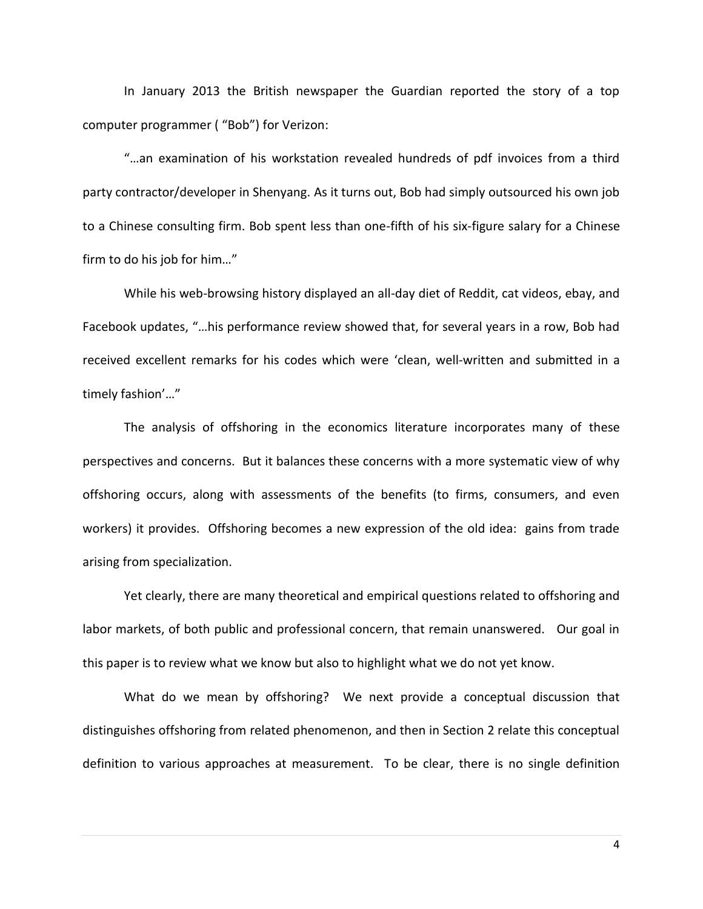In January 2013 the British newspaper the Guardian reported the story of a top computer programmer ( "Bob") for Verizon:

"…an examination of his workstation revealed hundreds of pdf invoices from a third party contractor/developer in Shenyang. As it turns out, Bob had simply outsourced his own job to a Chinese consulting firm. Bob spent less than one-fifth of his six-figure salary for a Chinese firm to do his job for him…"

While his web-browsing history displayed an all-day diet of Reddit, cat videos, ebay, and Facebook updates, "…his performance review showed that, for several years in a row, Bob had received excellent remarks for his codes which were 'clean, well-written and submitted in a timely fashion'…"

The analysis of offshoring in the economics literature incorporates many of these perspectives and concerns. But it balances these concerns with a more systematic view of why offshoring occurs, along with assessments of the benefits (to firms, consumers, and even workers) it provides. Offshoring becomes a new expression of the old idea: gains from trade arising from specialization.

Yet clearly, there are many theoretical and empirical questions related to offshoring and labor markets, of both public and professional concern, that remain unanswered. Our goal in this paper is to review what we know but also to highlight what we do not yet know.

What do we mean by offshoring? We next provide a conceptual discussion that distinguishes offshoring from related phenomenon, and then in Section 2 relate this conceptual definition to various approaches at measurement. To be clear, there is no single definition

4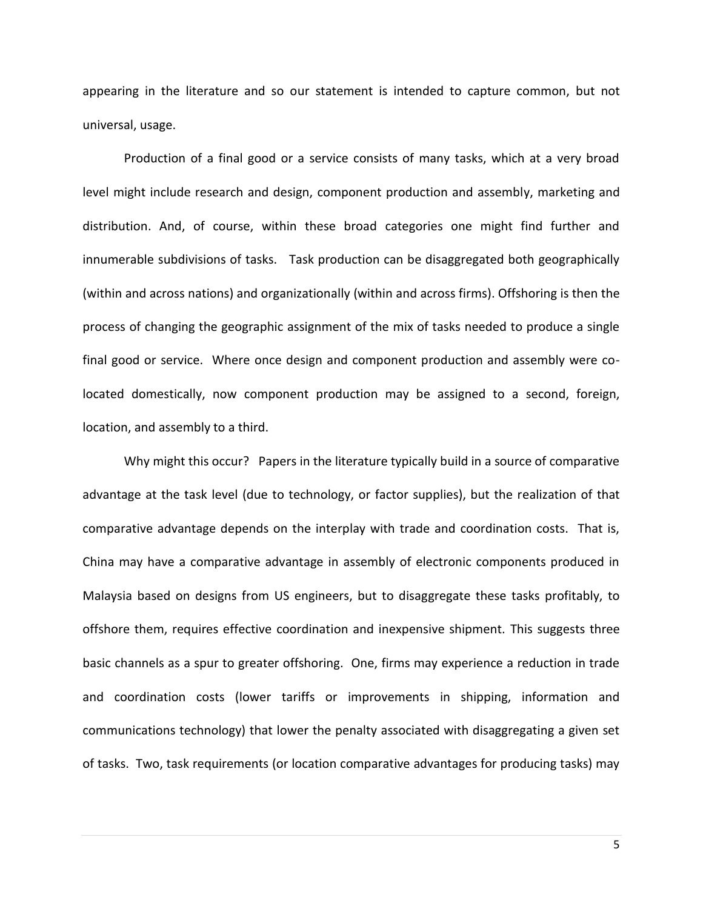appearing in the literature and so our statement is intended to capture common, but not universal, usage.

Production of a final good or a service consists of many tasks, which at a very broad level might include research and design, component production and assembly, marketing and distribution. And, of course, within these broad categories one might find further and innumerable subdivisions of tasks. Task production can be disaggregated both geographically (within and across nations) and organizationally (within and across firms). Offshoring is then the process of changing the geographic assignment of the mix of tasks needed to produce a single final good or service. Where once design and component production and assembly were colocated domestically, now component production may be assigned to a second, foreign, location, and assembly to a third.

Why might this occur? Papers in the literature typically build in a source of comparative advantage at the task level (due to technology, or factor supplies), but the realization of that comparative advantage depends on the interplay with trade and coordination costs. That is, China may have a comparative advantage in assembly of electronic components produced in Malaysia based on designs from US engineers, but to disaggregate these tasks profitably, to offshore them, requires effective coordination and inexpensive shipment. This suggests three basic channels as a spur to greater offshoring. One, firms may experience a reduction in trade and coordination costs (lower tariffs or improvements in shipping, information and communications technology) that lower the penalty associated with disaggregating a given set of tasks. Two, task requirements (or location comparative advantages for producing tasks) may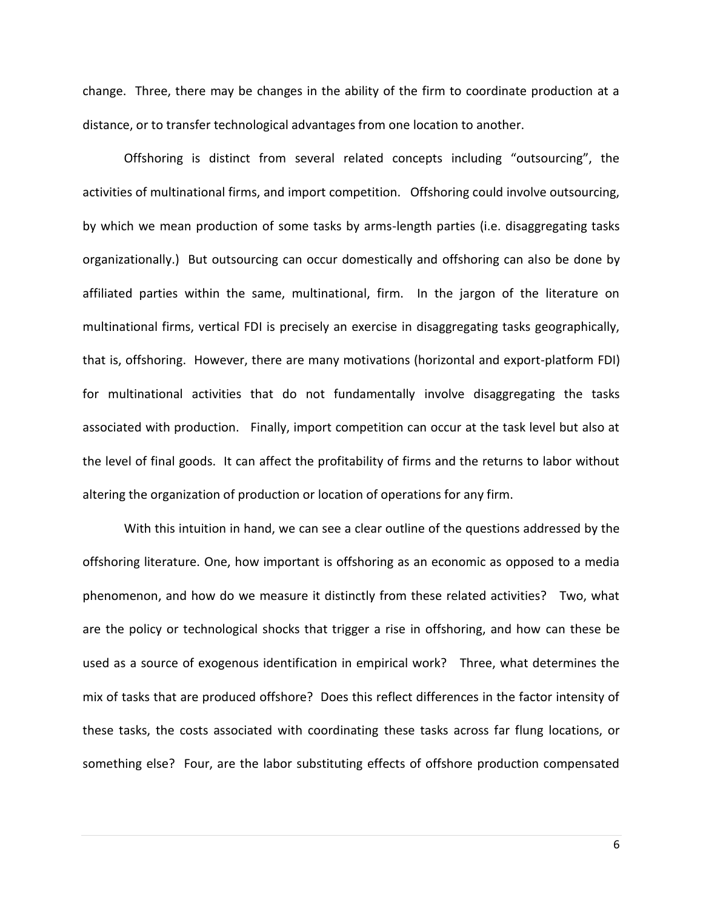change. Three, there may be changes in the ability of the firm to coordinate production at a distance, or to transfer technological advantages from one location to another.

Offshoring is distinct from several related concepts including "outsourcing", the activities of multinational firms, and import competition. Offshoring could involve outsourcing, by which we mean production of some tasks by arms-length parties (i.e. disaggregating tasks organizationally.) But outsourcing can occur domestically and offshoring can also be done by affiliated parties within the same, multinational, firm. In the jargon of the literature on multinational firms, vertical FDI is precisely an exercise in disaggregating tasks geographically, that is, offshoring. However, there are many motivations (horizontal and export-platform FDI) for multinational activities that do not fundamentally involve disaggregating the tasks associated with production. Finally, import competition can occur at the task level but also at the level of final goods. It can affect the profitability of firms and the returns to labor without altering the organization of production or location of operations for any firm.

With this intuition in hand, we can see a clear outline of the questions addressed by the offshoring literature. One, how important is offshoring as an economic as opposed to a media phenomenon, and how do we measure it distinctly from these related activities? Two, what are the policy or technological shocks that trigger a rise in offshoring, and how can these be used as a source of exogenous identification in empirical work? Three, what determines the mix of tasks that are produced offshore? Does this reflect differences in the factor intensity of these tasks, the costs associated with coordinating these tasks across far flung locations, or something else? Four, are the labor substituting effects of offshore production compensated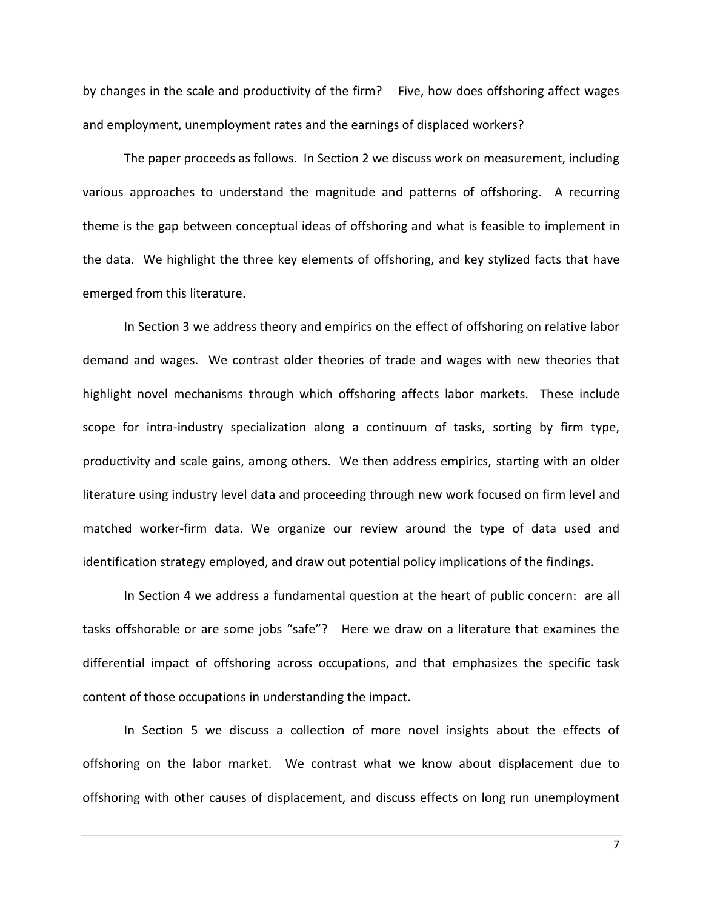by changes in the scale and productivity of the firm? Five, how does offshoring affect wages and employment, unemployment rates and the earnings of displaced workers?

The paper proceeds as follows. In Section 2 we discuss work on measurement, including various approaches to understand the magnitude and patterns of offshoring. A recurring theme is the gap between conceptual ideas of offshoring and what is feasible to implement in the data. We highlight the three key elements of offshoring, and key stylized facts that have emerged from this literature.

In Section 3 we address theory and empirics on the effect of offshoring on relative labor demand and wages. We contrast older theories of trade and wages with new theories that highlight novel mechanisms through which offshoring affects labor markets. These include scope for intra-industry specialization along a continuum of tasks, sorting by firm type, productivity and scale gains, among others. We then address empirics, starting with an older literature using industry level data and proceeding through new work focused on firm level and matched worker-firm data. We organize our review around the type of data used and identification strategy employed, and draw out potential policy implications of the findings.

In Section 4 we address a fundamental question at the heart of public concern: are all tasks offshorable or are some jobs "safe"? Here we draw on a literature that examines the differential impact of offshoring across occupations, and that emphasizes the specific task content of those occupations in understanding the impact.

In Section 5 we discuss a collection of more novel insights about the effects of offshoring on the labor market. We contrast what we know about displacement due to offshoring with other causes of displacement, and discuss effects on long run unemployment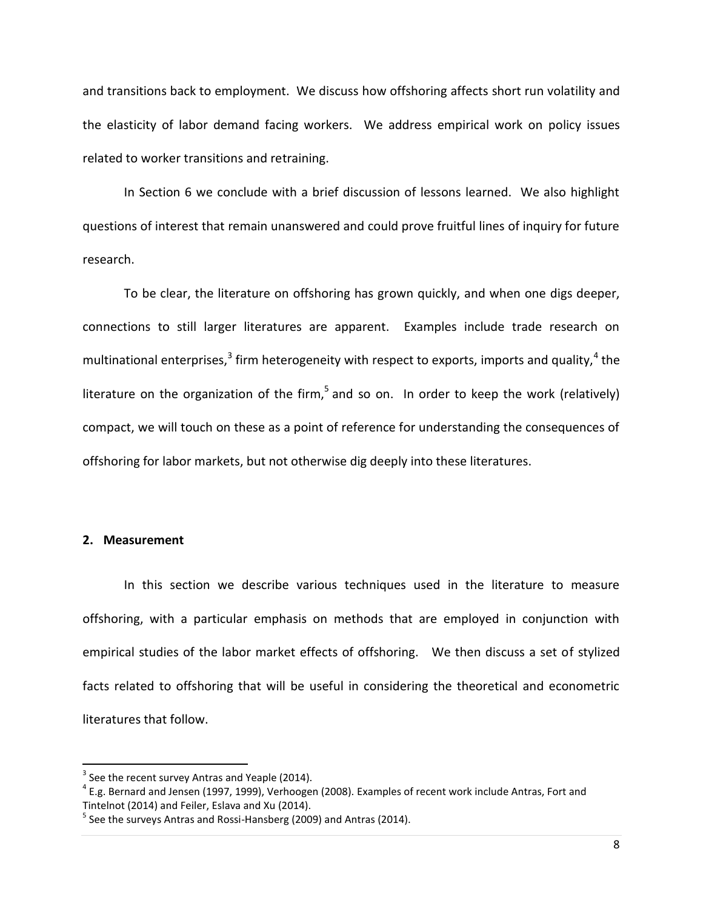and transitions back to employment. We discuss how offshoring affects short run volatility and the elasticity of labor demand facing workers. We address empirical work on policy issues related to worker transitions and retraining.

In Section 6 we conclude with a brief discussion of lessons learned. We also highlight questions of interest that remain unanswered and could prove fruitful lines of inquiry for future research.

To be clear, the literature on offshoring has grown quickly, and when one digs deeper, connections to still larger literatures are apparent. Examples include trade research on multinational enterprises,<sup>3</sup> firm heterogeneity with respect to exports, imports and quality,<sup>4</sup> the literature on the organization of the firm,<sup>5</sup> and so on. In order to keep the work (relatively) compact, we will touch on these as a point of reference for understanding the consequences of offshoring for labor markets, but not otherwise dig deeply into these literatures.

#### **2. Measurement**

 $\overline{a}$ 

In this section we describe various techniques used in the literature to measure offshoring, with a particular emphasis on methods that are employed in conjunction with empirical studies of the labor market effects of offshoring. We then discuss a set of stylized facts related to offshoring that will be useful in considering the theoretical and econometric literatures that follow.

 $3$  See the recent survey Antras and Yeaple (2014).

 $^4$  E.g. Bernard and Jensen (1997, 1999), Verhoogen (2008). Examples of recent work include Antras, Fort and Tintelnot (2014) and Feiler, Eslava and Xu (2014).

 $^5$  See the surveys Antras and Rossi-Hansberg (2009) and Antras (2014).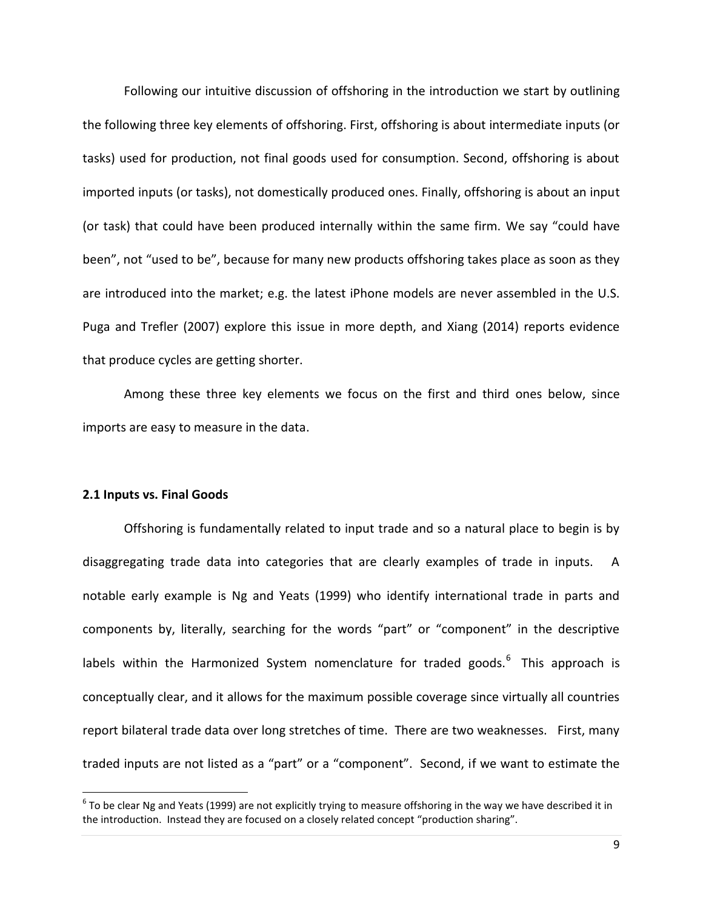Following our intuitive discussion of offshoring in the introduction we start by outlining the following three key elements of offshoring. First, offshoring is about intermediate inputs (or tasks) used for production, not final goods used for consumption. Second, offshoring is about imported inputs (or tasks), not domestically produced ones. Finally, offshoring is about an input (or task) that could have been produced internally within the same firm. We say "could have been", not "used to be", because for many new products offshoring takes place as soon as they are introduced into the market; e.g. the latest iPhone models are never assembled in the U.S. Puga and Trefler (2007) explore this issue in more depth, and Xiang (2014) reports evidence that produce cycles are getting shorter.

Among these three key elements we focus on the first and third ones below, since imports are easy to measure in the data.

#### **2.1 Inputs vs. Final Goods**

l

Offshoring is fundamentally related to input trade and so a natural place to begin is by disaggregating trade data into categories that are clearly examples of trade in inputs. A notable early example is Ng and Yeats (1999) who identify international trade in parts and components by, literally, searching for the words "part" or "component" in the descriptive labels within the Harmonized System nomenclature for traded goods.<sup>6</sup> This approach is conceptually clear, and it allows for the maximum possible coverage since virtually all countries report bilateral trade data over long stretches of time. There are two weaknesses. First, many traded inputs are not listed as a "part" or a "component". Second, if we want to estimate the

 $^6$  To be clear Ng and Yeats (1999) are not explicitly trying to measure offshoring in the way we have described it in the introduction. Instead they are focused on a closely related concept "production sharing".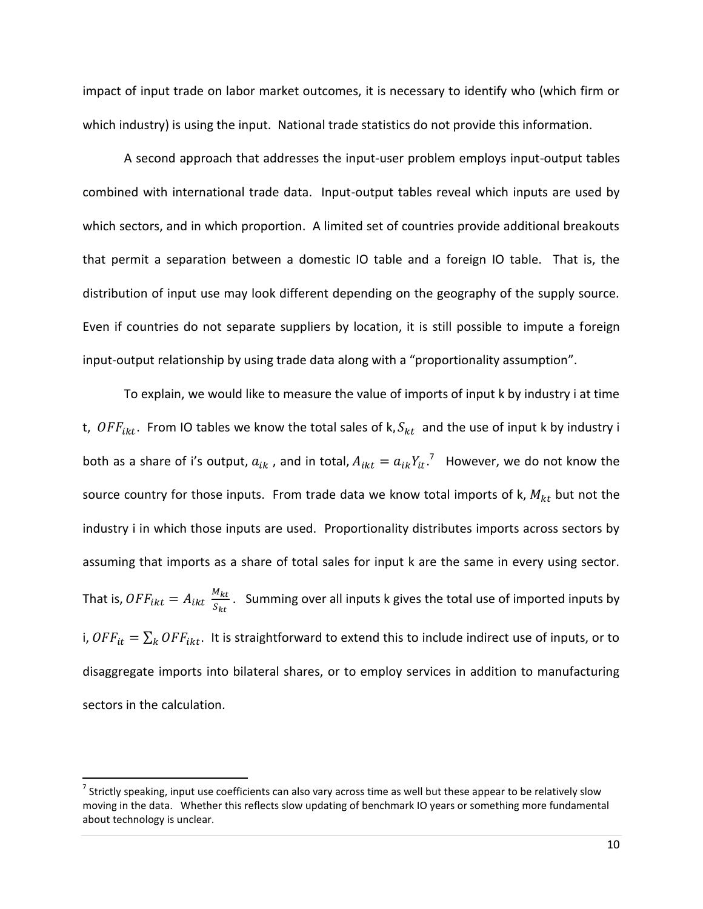impact of input trade on labor market outcomes, it is necessary to identify who (which firm or which industry) is using the input. National trade statistics do not provide this information.

A second approach that addresses the input-user problem employs input-output tables combined with international trade data. Input-output tables reveal which inputs are used by which sectors, and in which proportion. A limited set of countries provide additional breakouts that permit a separation between a domestic IO table and a foreign IO table. That is, the distribution of input use may look different depending on the geography of the supply source. Even if countries do not separate suppliers by location, it is still possible to impute a foreign input-output relationship by using trade data along with a "proportionality assumption".

To explain, we would like to measure the value of imports of input k by industry i at time t,  $OFF_{ikt}$ . From IO tables we know the total sales of k,  $S_{kt}$  and the use of input k by industry i both as a share of i's output,  $a_{ik}$  , and in total,  $A_{ikt} = a_{ik} Y_{it}$ .<sup>7</sup> However, we do not know the source country for those inputs. From trade data we know total imports of k,  $M_{kt}$  but not the industry i in which those inputs are used. Proportionality distributes imports across sectors by assuming that imports as a share of total sales for input k are the same in every using sector. That is,  $OFF_{ikt} = A_{ikt} \frac{M_{kt}}{S_{tot}}$  $\frac{m_{kt}}{S_{kt}}$ . Summing over all inputs k gives the total use of imported inputs by i,  $OFF_{it} = \sum_k OFF_{ikt}$ . It is straightforward to extend this to include indirect use of inputs, or to disaggregate imports into bilateral shares, or to employ services in addition to manufacturing sectors in the calculation.

 $\overline{\phantom{a}}$ 

 $^7$  Strictly speaking, input use coefficients can also vary across time as well but these appear to be relatively slow moving in the data. Whether this reflects slow updating of benchmark IO years or something more fundamental about technology is unclear.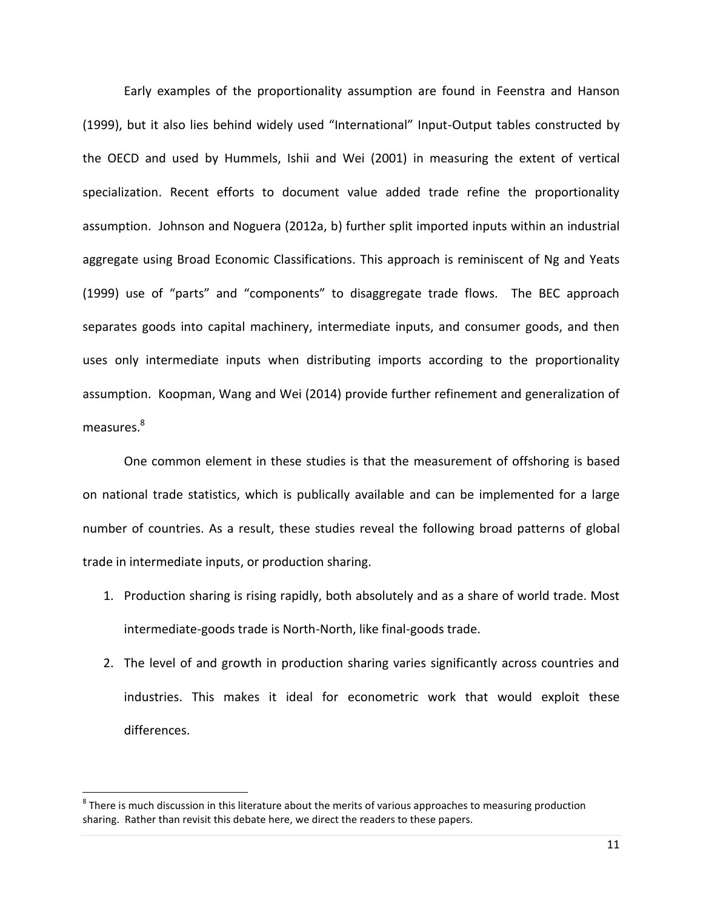Early examples of the proportionality assumption are found in Feenstra and Hanson (1999), but it also lies behind widely used "International" Input-Output tables constructed by the OECD and used by Hummels, Ishii and Wei (2001) in measuring the extent of vertical specialization. Recent efforts to document value added trade refine the proportionality assumption. Johnson and Noguera (2012a, b) further split imported inputs within an industrial aggregate using Broad Economic Classifications. This approach is reminiscent of Ng and Yeats (1999) use of "parts" and "components" to disaggregate trade flows. The BEC approach separates goods into capital machinery, intermediate inputs, and consumer goods, and then uses only intermediate inputs when distributing imports according to the proportionality assumption. Koopman, Wang and Wei (2014) provide further refinement and generalization of measures.<sup>8</sup>

One common element in these studies is that the measurement of offshoring is based on national trade statistics, which is publically available and can be implemented for a large number of countries. As a result, these studies reveal the following broad patterns of global trade in intermediate inputs, or production sharing.

- 1. Production sharing is rising rapidly, both absolutely and as a share of world trade. Most intermediate-goods trade is North-North, like final-goods trade.
- 2. The level of and growth in production sharing varies significantly across countries and industries. This makes it ideal for econometric work that would exploit these differences.

 $^8$  There is much discussion in this literature about the merits of various approaches to measuring production sharing. Rather than revisit this debate here, we direct the readers to these papers.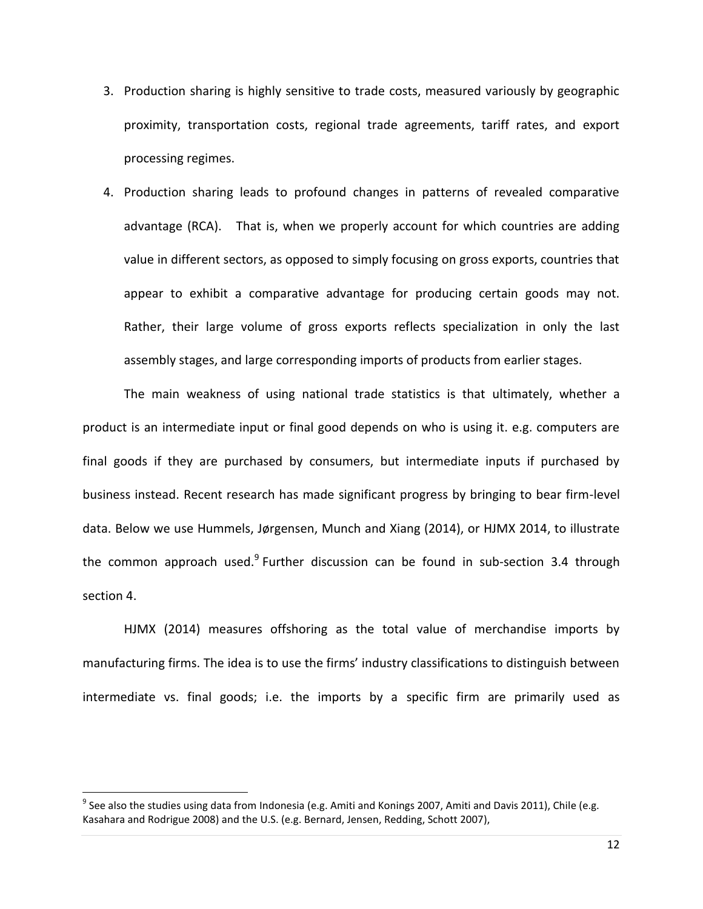- 3. Production sharing is highly sensitive to trade costs, measured variously by geographic proximity, transportation costs, regional trade agreements, tariff rates, and export processing regimes.
- 4. Production sharing leads to profound changes in patterns of revealed comparative advantage (RCA). That is, when we properly account for which countries are adding value in different sectors, as opposed to simply focusing on gross exports, countries that appear to exhibit a comparative advantage for producing certain goods may not. Rather, their large volume of gross exports reflects specialization in only the last assembly stages, and large corresponding imports of products from earlier stages.

The main weakness of using national trade statistics is that ultimately, whether a product is an intermediate input or final good depends on who is using it. e.g. computers are final goods if they are purchased by consumers, but intermediate inputs if purchased by business instead. Recent research has made significant progress by bringing to bear firm-level data. Below we use Hummels, Jørgensen, Munch and Xiang (2014), or HJMX 2014, to illustrate the common approach used.<sup>9</sup> Further discussion can be found in sub-section 3.4 through section 4.

HJMX (2014) measures offshoring as the total value of merchandise imports by manufacturing firms. The idea is to use the firms' industry classifications to distinguish between intermediate vs. final goods; i.e. the imports by a specific firm are primarily used as

 $^9$  See also the studies using data from Indonesia (e.g. Amiti and Konings 2007, Amiti and Davis 2011), Chile (e.g. Kasahara and Rodrigue 2008) and the U.S. (e.g. Bernard, Jensen, Redding, Schott 2007),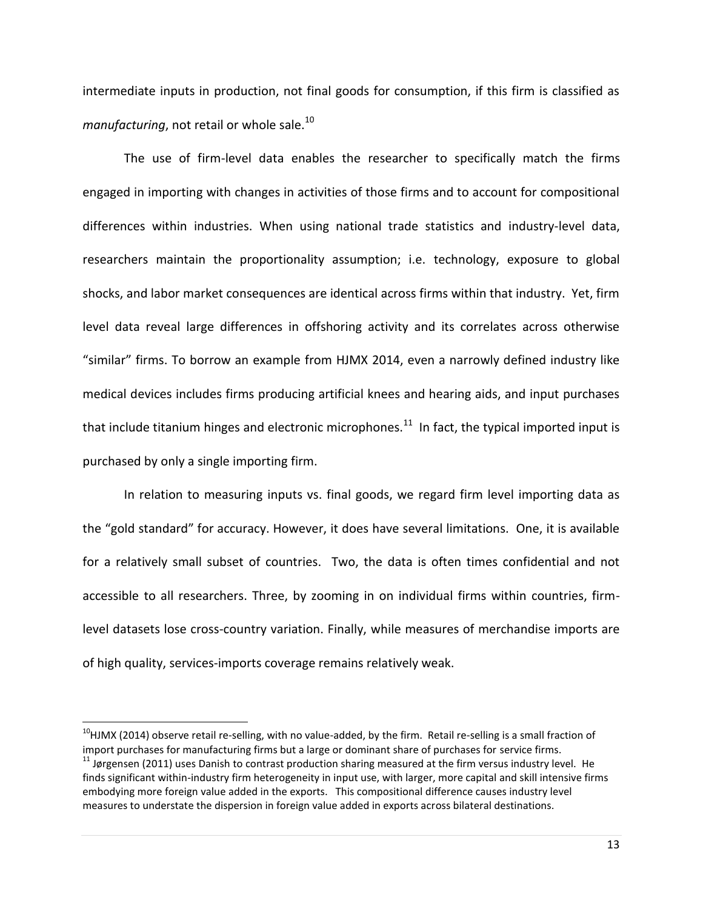intermediate inputs in production, not final goods for consumption, if this firm is classified as *manufacturing*, not retail or whole sale.<sup>10</sup>

The use of firm-level data enables the researcher to specifically match the firms engaged in importing with changes in activities of those firms and to account for compositional differences within industries. When using national trade statistics and industry-level data, researchers maintain the proportionality assumption; i.e. technology, exposure to global shocks, and labor market consequences are identical across firms within that industry. Yet, firm level data reveal large differences in offshoring activity and its correlates across otherwise "similar" firms. To borrow an example from HJMX 2014, even a narrowly defined industry like medical devices includes firms producing artificial knees and hearing aids, and input purchases that include titanium hinges and electronic microphones.<sup>11</sup> In fact, the typical imported input is purchased by only a single importing firm.

In relation to measuring inputs vs. final goods, we regard firm level importing data as the "gold standard" for accuracy. However, it does have several limitations. One, it is available for a relatively small subset of countries. Two, the data is often times confidential and not accessible to all researchers. Three, by zooming in on individual firms within countries, firmlevel datasets lose cross-country variation. Finally, while measures of merchandise imports are of high quality, services-imports coverage remains relatively weak.

 $\overline{\phantom{a}}$ 

 $10$ HJMX (2014) observe retail re-selling, with no value-added, by the firm. Retail re-selling is a small fraction of import purchases for manufacturing firms but a large or dominant share of purchases for service firms.

 $11$  Jørgensen (2011) uses Danish to contrast production sharing measured at the firm versus industry level. He finds significant within-industry firm heterogeneity in input use, with larger, more capital and skill intensive firms embodying more foreign value added in the exports. This compositional difference causes industry level measures to understate the dispersion in foreign value added in exports across bilateral destinations.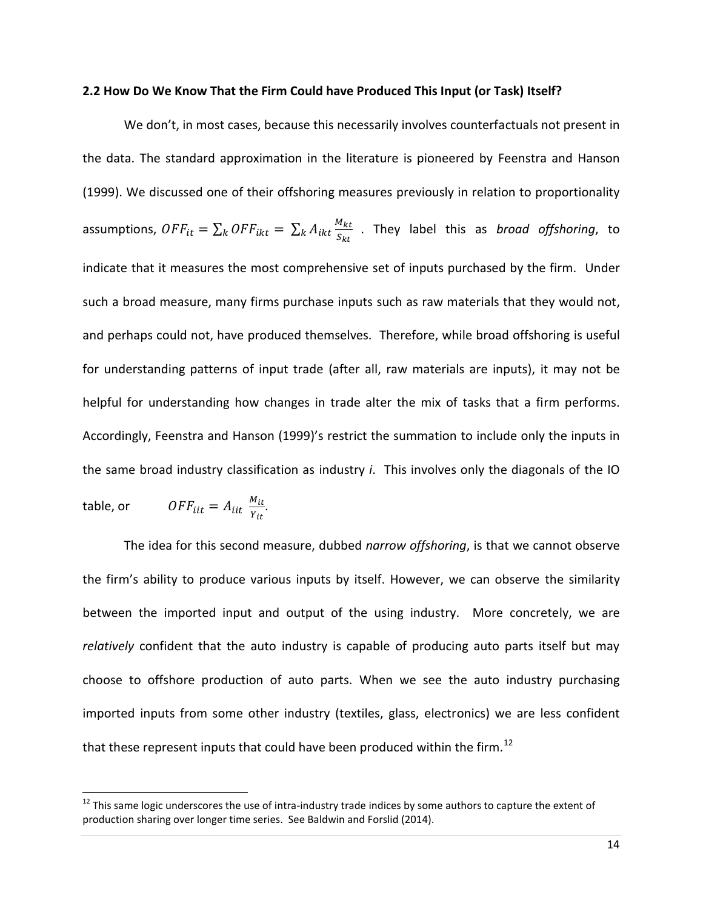#### **2.2 How Do We Know That the Firm Could have Produced This Input (or Task) Itself?**

We don't, in most cases, because this necessarily involves counterfactuals not present in the data. The standard approximation in the literature is pioneered by Feenstra and Hanson (1999). We discussed one of their offshoring measures previously in relation to proportionality assumptions,  $\mathit{OFF}_{it} = \sum_k \mathit{OFF}_{ikt} = \sum_k A_{ikt} \frac{M_{kt}}{S_{KL}}$  $k \, A_{ikt} \frac{m_{kt}}{S_{kt}}$  . They label this as *broad offshoring*, to indicate that it measures the most comprehensive set of inputs purchased by the firm. Under such a broad measure, many firms purchase inputs such as raw materials that they would not, and perhaps could not, have produced themselves. Therefore, while broad offshoring is useful for understanding patterns of input trade (after all, raw materials are inputs), it may not be helpful for understanding how changes in trade alter the mix of tasks that a firm performs. Accordingly, Feenstra and Hanson (1999)'s restrict the summation to include only the inputs in the same broad industry classification as industry *i*. This involves only the diagonals of the IO table, or  $OFF_{iit} = A_{iit} \frac{M_{it}}{V_{it}}$  $\frac{m_{lt}}{Y_{it}}$ .

The idea for this second measure, dubbed *narrow offshoring*, is that we cannot observe the firm's ability to produce various inputs by itself. However, we can observe the similarity between the imported input and output of the using industry. More concretely, we are *relatively* confident that the auto industry is capable of producing auto parts itself but may choose to offshore production of auto parts. When we see the auto industry purchasing imported inputs from some other industry (textiles, glass, electronics) we are less confident that these represent inputs that could have been produced within the firm.<sup>12</sup>

 $12$  This same logic underscores the use of intra-industry trade indices by some authors to capture the extent of production sharing over longer time series. See Baldwin and Forslid (2014).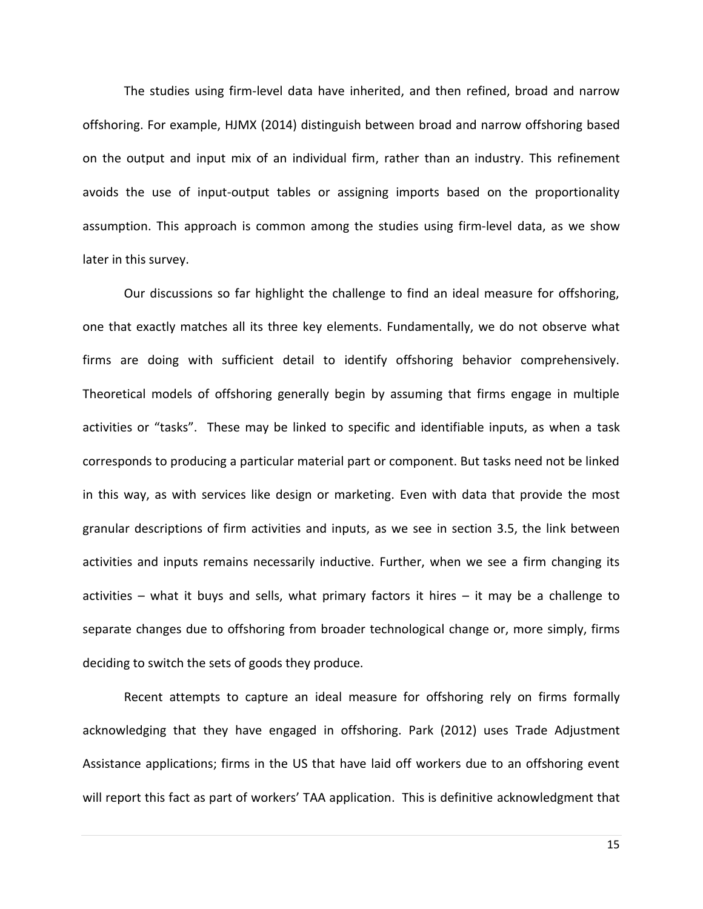The studies using firm-level data have inherited, and then refined, broad and narrow offshoring. For example, HJMX (2014) distinguish between broad and narrow offshoring based on the output and input mix of an individual firm, rather than an industry. This refinement avoids the use of input-output tables or assigning imports based on the proportionality assumption. This approach is common among the studies using firm-level data, as we show later in this survey.

Our discussions so far highlight the challenge to find an ideal measure for offshoring, one that exactly matches all its three key elements. Fundamentally, we do not observe what firms are doing with sufficient detail to identify offshoring behavior comprehensively. Theoretical models of offshoring generally begin by assuming that firms engage in multiple activities or "tasks". These may be linked to specific and identifiable inputs, as when a task corresponds to producing a particular material part or component. But tasks need not be linked in this way, as with services like design or marketing. Even with data that provide the most granular descriptions of firm activities and inputs, as we see in section 3.5, the link between activities and inputs remains necessarily inductive. Further, when we see a firm changing its activities – what it buys and sells, what primary factors it hires – it may be a challenge to separate changes due to offshoring from broader technological change or, more simply, firms deciding to switch the sets of goods they produce.

Recent attempts to capture an ideal measure for offshoring rely on firms formally acknowledging that they have engaged in offshoring. Park (2012) uses Trade Adjustment Assistance applications; firms in the US that have laid off workers due to an offshoring event will report this fact as part of workers' TAA application. This is definitive acknowledgment that

15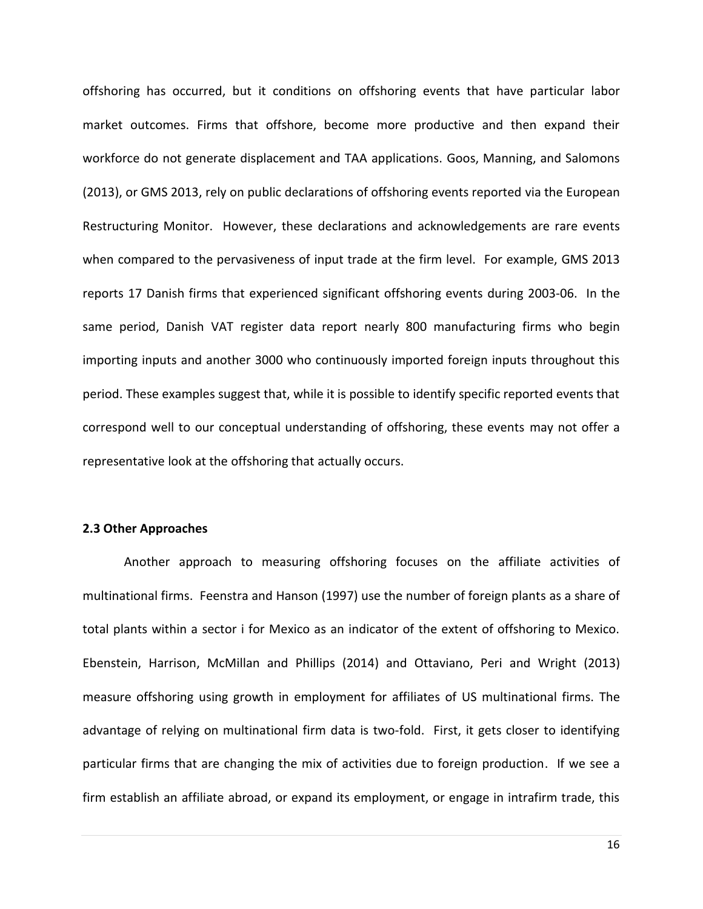offshoring has occurred, but it conditions on offshoring events that have particular labor market outcomes. Firms that offshore, become more productive and then expand their workforce do not generate displacement and TAA applications. Goos, Manning, and Salomons (2013), or GMS 2013, rely on public declarations of offshoring events reported via the European Restructuring Monitor. However, these declarations and acknowledgements are rare events when compared to the pervasiveness of input trade at the firm level. For example, GMS 2013 reports 17 Danish firms that experienced significant offshoring events during 2003-06. In the same period, Danish VAT register data report nearly 800 manufacturing firms who begin importing inputs and another 3000 who continuously imported foreign inputs throughout this period. These examples suggest that, while it is possible to identify specific reported events that correspond well to our conceptual understanding of offshoring, these events may not offer a representative look at the offshoring that actually occurs.

#### **2.3 Other Approaches**

Another approach to measuring offshoring focuses on the affiliate activities of multinational firms. Feenstra and Hanson (1997) use the number of foreign plants as a share of total plants within a sector i for Mexico as an indicator of the extent of offshoring to Mexico. Ebenstein, Harrison, McMillan and Phillips (2014) and Ottaviano, Peri and Wright (2013) measure offshoring using growth in employment for affiliates of US multinational firms. The advantage of relying on multinational firm data is two-fold. First, it gets closer to identifying particular firms that are changing the mix of activities due to foreign production. If we see a firm establish an affiliate abroad, or expand its employment, or engage in intrafirm trade, this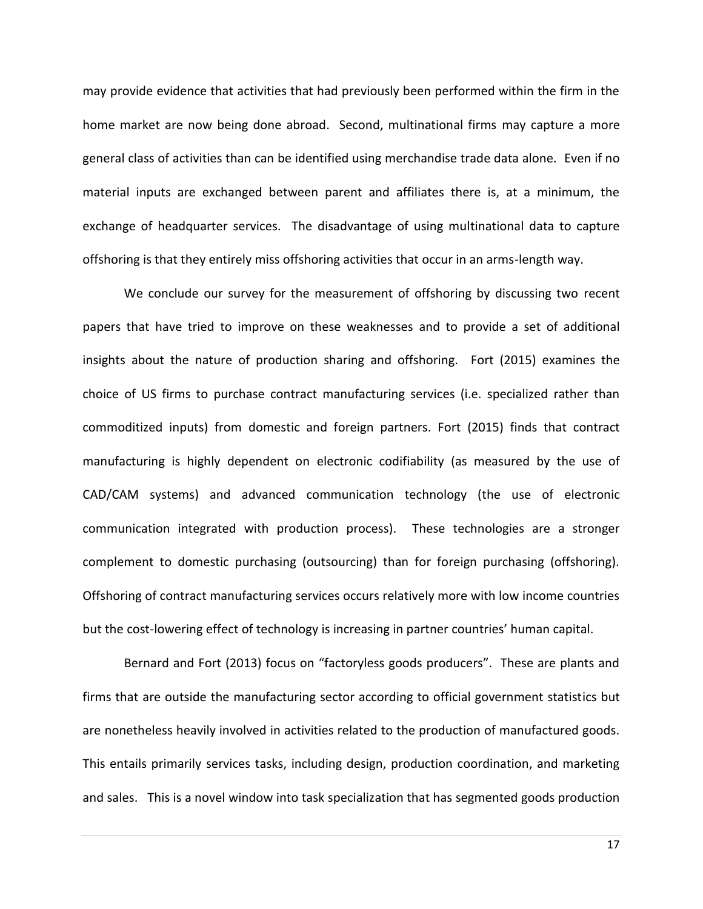may provide evidence that activities that had previously been performed within the firm in the home market are now being done abroad. Second, multinational firms may capture a more general class of activities than can be identified using merchandise trade data alone. Even if no material inputs are exchanged between parent and affiliates there is, at a minimum, the exchange of headquarter services. The disadvantage of using multinational data to capture offshoring is that they entirely miss offshoring activities that occur in an arms-length way.

We conclude our survey for the measurement of offshoring by discussing two recent papers that have tried to improve on these weaknesses and to provide a set of additional insights about the nature of production sharing and offshoring. Fort (2015) examines the choice of US firms to purchase contract manufacturing services (i.e. specialized rather than commoditized inputs) from domestic and foreign partners. Fort (2015) finds that contract manufacturing is highly dependent on electronic codifiability (as measured by the use of CAD/CAM systems) and advanced communication technology (the use of electronic communication integrated with production process). These technologies are a stronger complement to domestic purchasing (outsourcing) than for foreign purchasing (offshoring). Offshoring of contract manufacturing services occurs relatively more with low income countries but the cost-lowering effect of technology is increasing in partner countries' human capital.

Bernard and Fort (2013) focus on "factoryless goods producers". These are plants and firms that are outside the manufacturing sector according to official government statistics but are nonetheless heavily involved in activities related to the production of manufactured goods. This entails primarily services tasks, including design, production coordination, and marketing and sales. This is a novel window into task specialization that has segmented goods production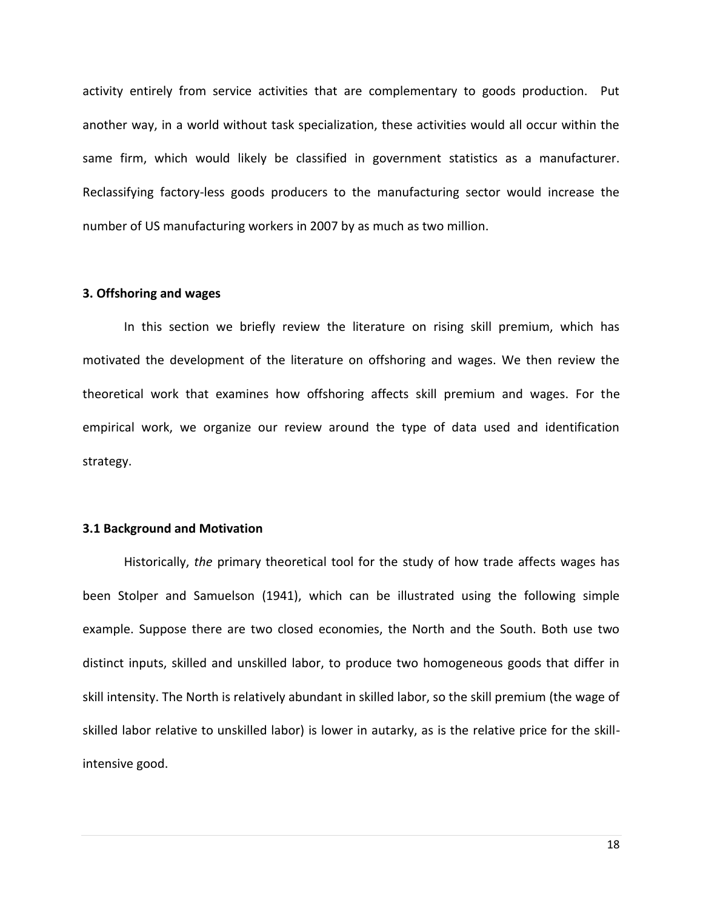activity entirely from service activities that are complementary to goods production. Put another way, in a world without task specialization, these activities would all occur within the same firm, which would likely be classified in government statistics as a manufacturer. Reclassifying factory-less goods producers to the manufacturing sector would increase the number of US manufacturing workers in 2007 by as much as two million.

#### **3. Offshoring and wages**

In this section we briefly review the literature on rising skill premium, which has motivated the development of the literature on offshoring and wages. We then review the theoretical work that examines how offshoring affects skill premium and wages. For the empirical work, we organize our review around the type of data used and identification strategy.

#### **3.1 Background and Motivation**

Historically, *the* primary theoretical tool for the study of how trade affects wages has been Stolper and Samuelson (1941), which can be illustrated using the following simple example. Suppose there are two closed economies, the North and the South. Both use two distinct inputs, skilled and unskilled labor, to produce two homogeneous goods that differ in skill intensity. The North is relatively abundant in skilled labor, so the skill premium (the wage of skilled labor relative to unskilled labor) is lower in autarky, as is the relative price for the skillintensive good.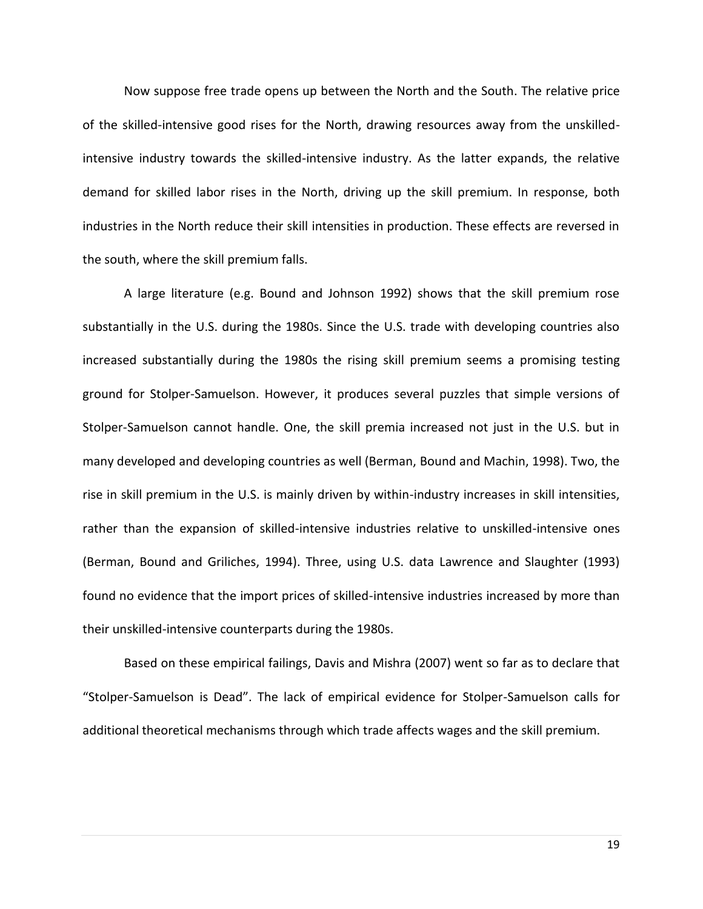Now suppose free trade opens up between the North and the South. The relative price of the skilled-intensive good rises for the North, drawing resources away from the unskilledintensive industry towards the skilled-intensive industry. As the latter expands, the relative demand for skilled labor rises in the North, driving up the skill premium. In response, both industries in the North reduce their skill intensities in production. These effects are reversed in the south, where the skill premium falls.

A large literature (e.g. Bound and Johnson 1992) shows that the skill premium rose substantially in the U.S. during the 1980s. Since the U.S. trade with developing countries also increased substantially during the 1980s the rising skill premium seems a promising testing ground for Stolper-Samuelson. However, it produces several puzzles that simple versions of Stolper-Samuelson cannot handle. One, the skill premia increased not just in the U.S. but in many developed and developing countries as well (Berman, Bound and Machin, 1998). Two, the rise in skill premium in the U.S. is mainly driven by within-industry increases in skill intensities, rather than the expansion of skilled-intensive industries relative to unskilled-intensive ones (Berman, Bound and Griliches, 1994). Three, using U.S. data Lawrence and Slaughter (1993) found no evidence that the import prices of skilled-intensive industries increased by more than their unskilled-intensive counterparts during the 1980s.

Based on these empirical failings, Davis and Mishra (2007) went so far as to declare that "Stolper-Samuelson is Dead". The lack of empirical evidence for Stolper-Samuelson calls for additional theoretical mechanisms through which trade affects wages and the skill premium.

19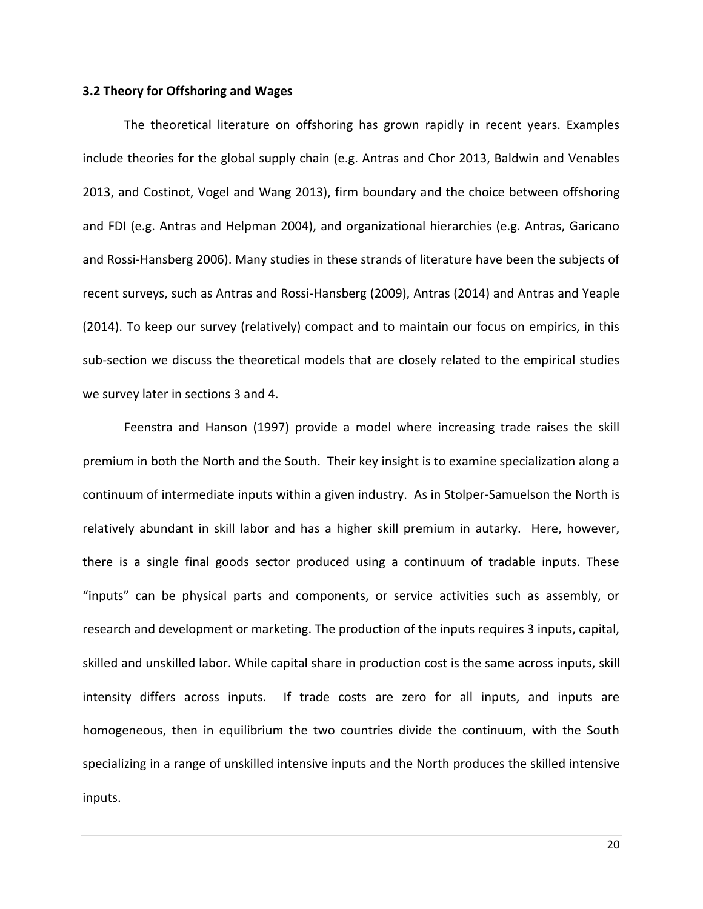#### **3.2 Theory for Offshoring and Wages**

The theoretical literature on offshoring has grown rapidly in recent years. Examples include theories for the global supply chain (e.g. Antras and Chor 2013, Baldwin and Venables 2013, and Costinot, Vogel and Wang 2013), firm boundary and the choice between offshoring and FDI (e.g. Antras and Helpman 2004), and organizational hierarchies (e.g. Antras, Garicano and Rossi-Hansberg 2006). Many studies in these strands of literature have been the subjects of recent surveys, such as Antras and Rossi-Hansberg (2009), Antras (2014) and Antras and Yeaple (2014). To keep our survey (relatively) compact and to maintain our focus on empirics, in this sub-section we discuss the theoretical models that are closely related to the empirical studies we survey later in sections 3 and 4.

Feenstra and Hanson (1997) provide a model where increasing trade raises the skill premium in both the North and the South. Their key insight is to examine specialization along a continuum of intermediate inputs within a given industry. As in Stolper-Samuelson the North is relatively abundant in skill labor and has a higher skill premium in autarky. Here, however, there is a single final goods sector produced using a continuum of tradable inputs. These "inputs" can be physical parts and components, or service activities such as assembly, or research and development or marketing. The production of the inputs requires 3 inputs, capital, skilled and unskilled labor. While capital share in production cost is the same across inputs, skill intensity differs across inputs. If trade costs are zero for all inputs, and inputs are homogeneous, then in equilibrium the two countries divide the continuum, with the South specializing in a range of unskilled intensive inputs and the North produces the skilled intensive inputs.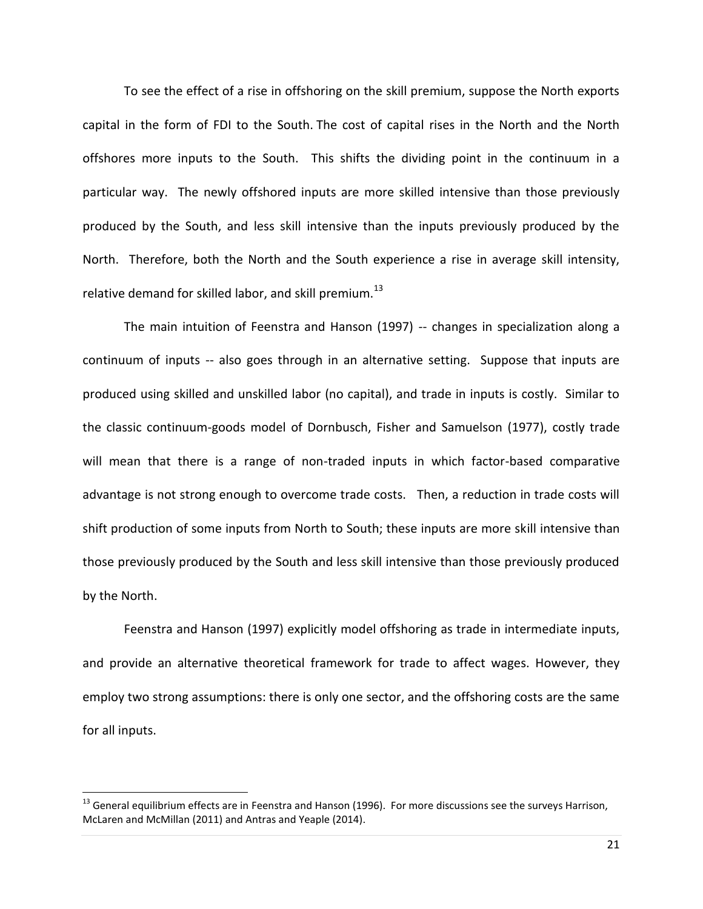To see the effect of a rise in offshoring on the skill premium, suppose the North exports capital in the form of FDI to the South. The cost of capital rises in the North and the North offshores more inputs to the South. This shifts the dividing point in the continuum in a particular way. The newly offshored inputs are more skilled intensive than those previously produced by the South, and less skill intensive than the inputs previously produced by the North. Therefore, both the North and the South experience a rise in average skill intensity, relative demand for skilled labor, and skill premium.<sup>13</sup>

The main intuition of Feenstra and Hanson (1997) -- changes in specialization along a continuum of inputs -- also goes through in an alternative setting. Suppose that inputs are produced using skilled and unskilled labor (no capital), and trade in inputs is costly. Similar to the classic continuum-goods model of Dornbusch, Fisher and Samuelson (1977), costly trade will mean that there is a range of non-traded inputs in which factor-based comparative advantage is not strong enough to overcome trade costs. Then, a reduction in trade costs will shift production of some inputs from North to South; these inputs are more skill intensive than those previously produced by the South and less skill intensive than those previously produced by the North.

Feenstra and Hanson (1997) explicitly model offshoring as trade in intermediate inputs, and provide an alternative theoretical framework for trade to affect wages. However, they employ two strong assumptions: there is only one sector, and the offshoring costs are the same for all inputs.

 $<sup>13</sup>$  General equilibrium effects are in Feenstra and Hanson (1996). For more discussions see the surveys Harrison,</sup> McLaren and McMillan (2011) and Antras and Yeaple (2014).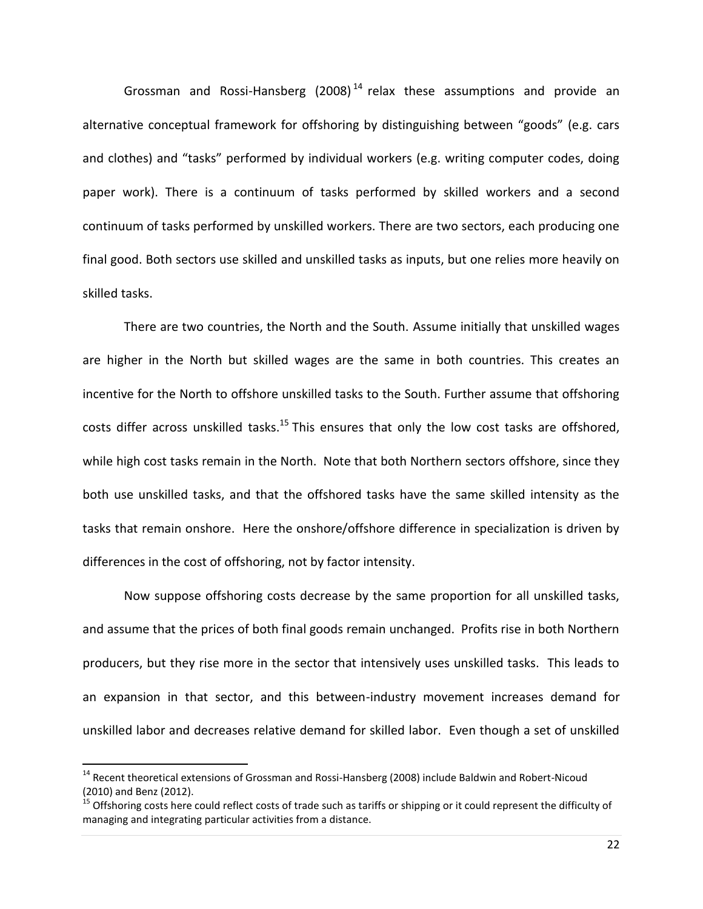Grossman and Rossi-Hansberg (2008)<sup>14</sup> relax these assumptions and provide an alternative conceptual framework for offshoring by distinguishing between "goods" (e.g. cars and clothes) and "tasks" performed by individual workers (e.g. writing computer codes, doing paper work). There is a continuum of tasks performed by skilled workers and a second continuum of tasks performed by unskilled workers. There are two sectors, each producing one final good. Both sectors use skilled and unskilled tasks as inputs, but one relies more heavily on skilled tasks.

There are two countries, the North and the South. Assume initially that unskilled wages are higher in the North but skilled wages are the same in both countries. This creates an incentive for the North to offshore unskilled tasks to the South. Further assume that offshoring costs differ across unskilled tasks.<sup>15</sup> This ensures that only the low cost tasks are offshored, while high cost tasks remain in the North. Note that both Northern sectors offshore, since they both use unskilled tasks, and that the offshored tasks have the same skilled intensity as the tasks that remain onshore. Here the onshore/offshore difference in specialization is driven by differences in the cost of offshoring, not by factor intensity.

Now suppose offshoring costs decrease by the same proportion for all unskilled tasks, and assume that the prices of both final goods remain unchanged. Profits rise in both Northern producers, but they rise more in the sector that intensively uses unskilled tasks. This leads to an expansion in that sector, and this between-industry movement increases demand for unskilled labor and decreases relative demand for skilled labor. Even though a set of unskilled

 $\overline{a}$ 

<sup>&</sup>lt;sup>14</sup> Recent theoretical extensions of Grossman and Rossi-Hansberg (2008) include Baldwin and Robert-Nicoud (2010) and Benz (2012).

<sup>&</sup>lt;sup>15</sup> Offshoring costs here could reflect costs of trade such as tariffs or shipping or it could represent the difficulty of managing and integrating particular activities from a distance.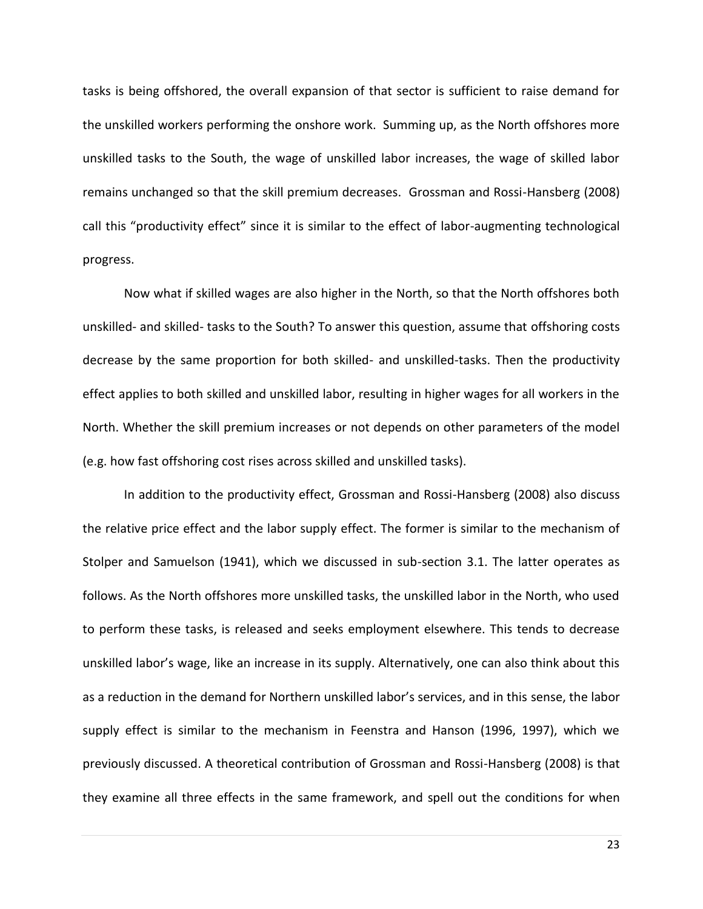tasks is being offshored, the overall expansion of that sector is sufficient to raise demand for the unskilled workers performing the onshore work. Summing up, as the North offshores more unskilled tasks to the South, the wage of unskilled labor increases, the wage of skilled labor remains unchanged so that the skill premium decreases. Grossman and Rossi-Hansberg (2008) call this "productivity effect" since it is similar to the effect of labor-augmenting technological progress.

Now what if skilled wages are also higher in the North, so that the North offshores both unskilled- and skilled- tasks to the South? To answer this question, assume that offshoring costs decrease by the same proportion for both skilled- and unskilled-tasks. Then the productivity effect applies to both skilled and unskilled labor, resulting in higher wages for all workers in the North. Whether the skill premium increases or not depends on other parameters of the model (e.g. how fast offshoring cost rises across skilled and unskilled tasks).

In addition to the productivity effect, Grossman and Rossi-Hansberg (2008) also discuss the relative price effect and the labor supply effect. The former is similar to the mechanism of Stolper and Samuelson (1941), which we discussed in sub-section 3.1. The latter operates as follows. As the North offshores more unskilled tasks, the unskilled labor in the North, who used to perform these tasks, is released and seeks employment elsewhere. This tends to decrease unskilled labor's wage, like an increase in its supply. Alternatively, one can also think about this as a reduction in the demand for Northern unskilled labor's services, and in this sense, the labor supply effect is similar to the mechanism in Feenstra and Hanson (1996, 1997), which we previously discussed. A theoretical contribution of Grossman and Rossi-Hansberg (2008) is that they examine all three effects in the same framework, and spell out the conditions for when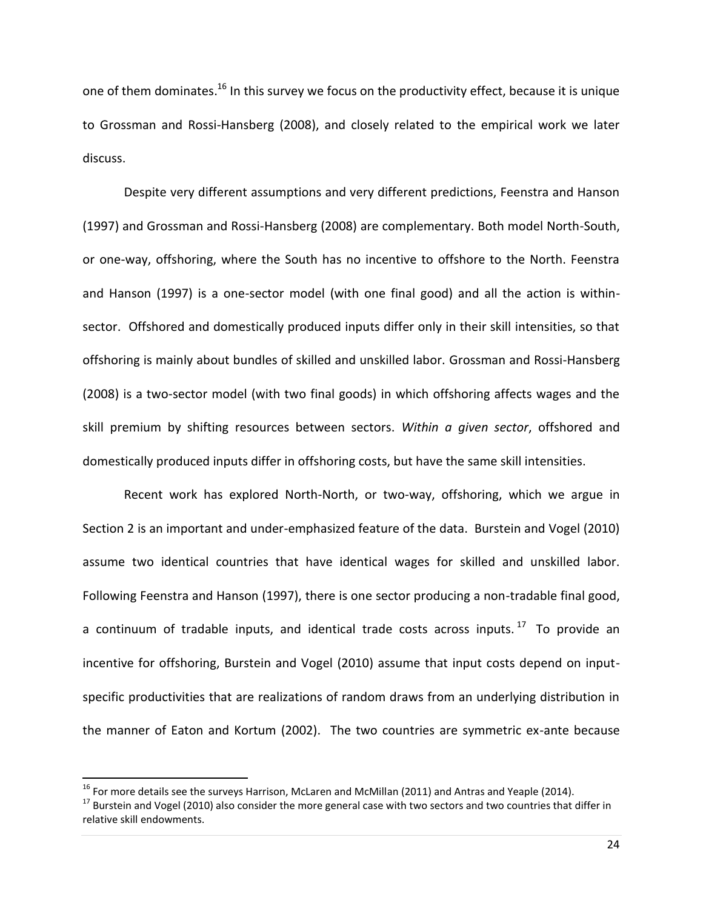one of them dominates.<sup>16</sup> In this survey we focus on the productivity effect, because it is unique to Grossman and Rossi-Hansberg (2008), and closely related to the empirical work we later discuss.

Despite very different assumptions and very different predictions, Feenstra and Hanson (1997) and Grossman and Rossi-Hansberg (2008) are complementary. Both model North-South, or one-way, offshoring, where the South has no incentive to offshore to the North. Feenstra and Hanson (1997) is a one-sector model (with one final good) and all the action is withinsector. Offshored and domestically produced inputs differ only in their skill intensities, so that offshoring is mainly about bundles of skilled and unskilled labor. Grossman and Rossi-Hansberg (2008) is a two-sector model (with two final goods) in which offshoring affects wages and the skill premium by shifting resources between sectors. *Within a given sector*, offshored and domestically produced inputs differ in offshoring costs, but have the same skill intensities.

Recent work has explored North-North, or two-way, offshoring, which we argue in Section 2 is an important and under-emphasized feature of the data. Burstein and Vogel (2010) assume two identical countries that have identical wages for skilled and unskilled labor. Following Feenstra and Hanson (1997), there is one sector producing a non-tradable final good, a continuum of tradable inputs, and identical trade costs across inputs.<sup>17</sup> To provide an incentive for offshoring, Burstein and Vogel (2010) assume that input costs depend on inputspecific productivities that are realizations of random draws from an underlying distribution in the manner of Eaton and Kortum (2002). The two countries are symmetric ex-ante because

 $\overline{\phantom{a}}$ 

<sup>&</sup>lt;sup>16</sup> For more details see the surveys Harrison, McLaren and McMillan (2011) and Antras and Yeaple (2014).

 $17$  Burstein and Vogel (2010) also consider the more general case with two sectors and two countries that differ in relative skill endowments.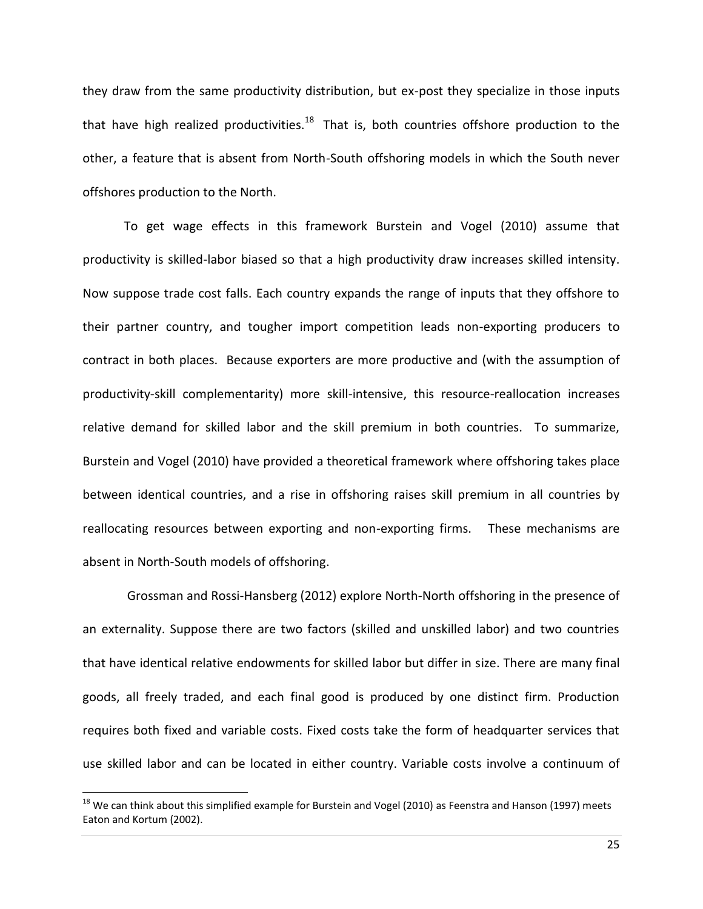they draw from the same productivity distribution, but ex-post they specialize in those inputs that have high realized productivities.<sup>18</sup> That is, both countries offshore production to the other, a feature that is absent from North-South offshoring models in which the South never offshores production to the North.

To get wage effects in this framework Burstein and Vogel (2010) assume that productivity is skilled-labor biased so that a high productivity draw increases skilled intensity. Now suppose trade cost falls. Each country expands the range of inputs that they offshore to their partner country, and tougher import competition leads non-exporting producers to contract in both places. Because exporters are more productive and (with the assumption of productivity-skill complementarity) more skill-intensive, this resource-reallocation increases relative demand for skilled labor and the skill premium in both countries. To summarize, Burstein and Vogel (2010) have provided a theoretical framework where offshoring takes place between identical countries, and a rise in offshoring raises skill premium in all countries by reallocating resources between exporting and non-exporting firms. These mechanisms are absent in North-South models of offshoring.

Grossman and Rossi-Hansberg (2012) explore North-North offshoring in the presence of an externality. Suppose there are two factors (skilled and unskilled labor) and two countries that have identical relative endowments for skilled labor but differ in size. There are many final goods, all freely traded, and each final good is produced by one distinct firm. Production requires both fixed and variable costs. Fixed costs take the form of headquarter services that use skilled labor and can be located in either country. Variable costs involve a continuum of

 $^{18}$  We can think about this simplified example for Burstein and Vogel (2010) as Feenstra and Hanson (1997) meets Eaton and Kortum (2002).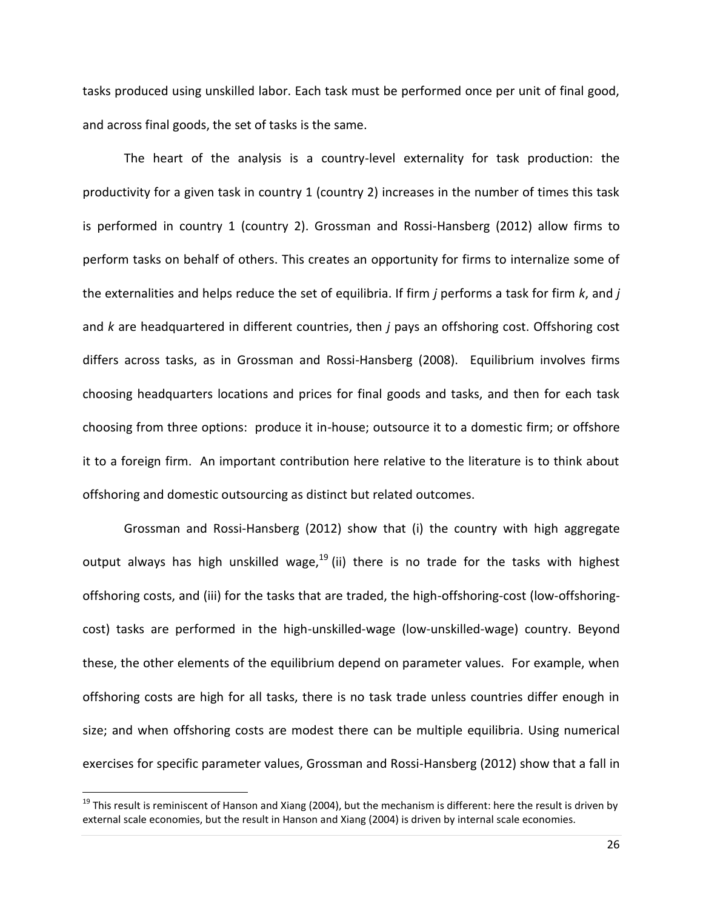tasks produced using unskilled labor. Each task must be performed once per unit of final good, and across final goods, the set of tasks is the same.

The heart of the analysis is a country-level externality for task production: the productivity for a given task in country 1 (country 2) increases in the number of times this task is performed in country 1 (country 2). Grossman and Rossi-Hansberg (2012) allow firms to perform tasks on behalf of others. This creates an opportunity for firms to internalize some of the externalities and helps reduce the set of equilibria. If firm *j* performs a task for firm *k*, and *j* and *k* are headquartered in different countries, then *j* pays an offshoring cost. Offshoring cost differs across tasks, as in Grossman and Rossi-Hansberg (2008). Equilibrium involves firms choosing headquarters locations and prices for final goods and tasks, and then for each task choosing from three options: produce it in-house; outsource it to a domestic firm; or offshore it to a foreign firm. An important contribution here relative to the literature is to think about offshoring and domestic outsourcing as distinct but related outcomes.

Grossman and Rossi-Hansberg (2012) show that (i) the country with high aggregate output always has high unskilled wage,<sup>19</sup> (ii) there is no trade for the tasks with highest offshoring costs, and (iii) for the tasks that are traded, the high-offshoring-cost (low-offshoringcost) tasks are performed in the high-unskilled-wage (low-unskilled-wage) country. Beyond these, the other elements of the equilibrium depend on parameter values. For example, when offshoring costs are high for all tasks, there is no task trade unless countries differ enough in size; and when offshoring costs are modest there can be multiple equilibria. Using numerical exercises for specific parameter values, Grossman and Rossi-Hansberg (2012) show that a fall in

 $19$  This result is reminiscent of Hanson and Xiang (2004), but the mechanism is different: here the result is driven by external scale economies, but the result in Hanson and Xiang (2004) is driven by internal scale economies.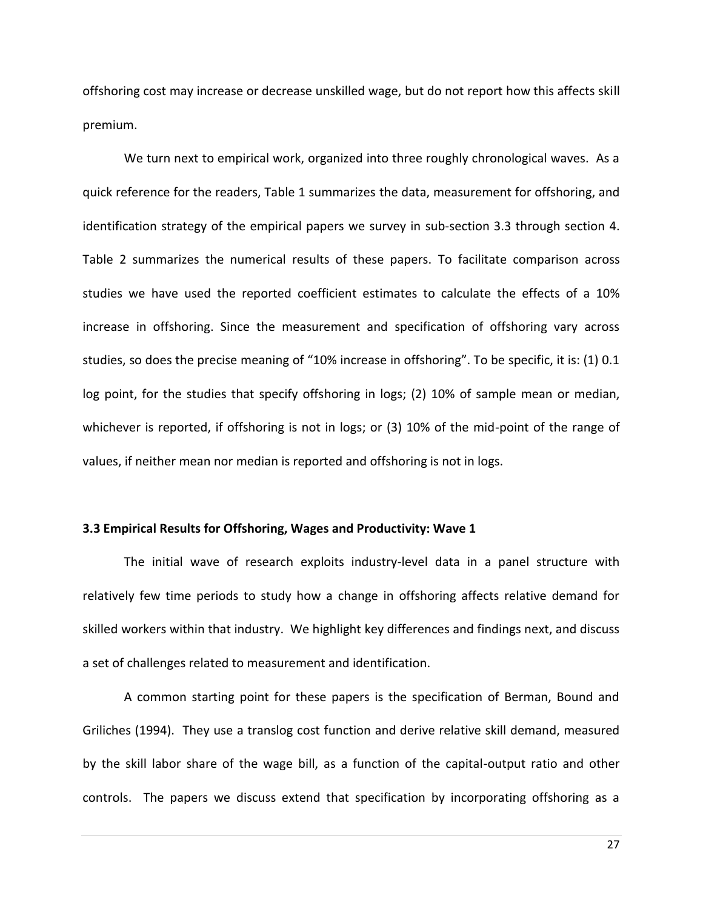offshoring cost may increase or decrease unskilled wage, but do not report how this affects skill premium.

We turn next to empirical work, organized into three roughly chronological waves. As a quick reference for the readers, Table 1 summarizes the data, measurement for offshoring, and identification strategy of the empirical papers we survey in sub-section 3.3 through section 4. Table 2 summarizes the numerical results of these papers. To facilitate comparison across studies we have used the reported coefficient estimates to calculate the effects of a 10% increase in offshoring. Since the measurement and specification of offshoring vary across studies, so does the precise meaning of "10% increase in offshoring". To be specific, it is: (1) 0.1 log point, for the studies that specify offshoring in logs; (2) 10% of sample mean or median, whichever is reported, if offshoring is not in logs; or (3) 10% of the mid-point of the range of values, if neither mean nor median is reported and offshoring is not in logs.

#### **3.3 Empirical Results for Offshoring, Wages and Productivity: Wave 1**

The initial wave of research exploits industry-level data in a panel structure with relatively few time periods to study how a change in offshoring affects relative demand for skilled workers within that industry. We highlight key differences and findings next, and discuss a set of challenges related to measurement and identification.

A common starting point for these papers is the specification of Berman, Bound and Griliches (1994). They use a translog cost function and derive relative skill demand, measured by the skill labor share of the wage bill, as a function of the capital-output ratio and other controls. The papers we discuss extend that specification by incorporating offshoring as a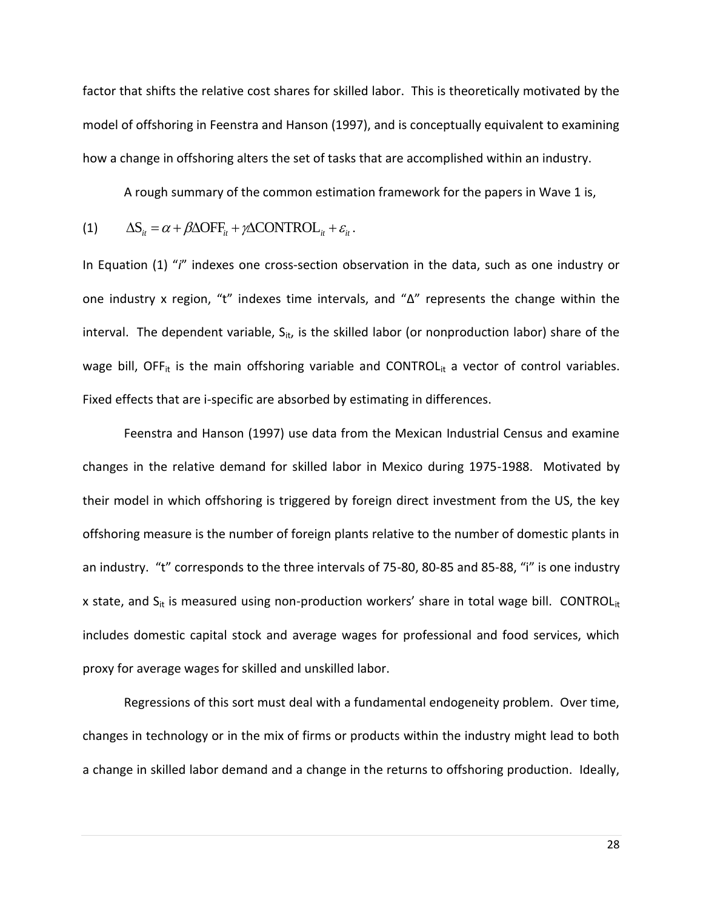factor that shifts the relative cost shares for skilled labor. This is theoretically motivated by the model of offshoring in Feenstra and Hanson (1997), and is conceptually equivalent to examining how a change in offshoring alters the set of tasks that are accomplished within an industry.

A rough summary of the common estimation framework for the papers in Wave 1 is,

(1) 
$$
\Delta S_{it} = \alpha + \beta \Delta OFF_{it} + \gamma \Delta CONTROL_{it} + \varepsilon_{it}.
$$

In Equation (1) "*i*" indexes one cross-section observation in the data, such as one industry or one industry x region, "t" indexes time intervals, and "Δ" represents the change within the interval. The dependent variable,  $S_{it}$ , is the skilled labor (or nonproduction labor) share of the wage bill, OFF<sub>it</sub> is the main offshoring variable and CONTROL $_{it}$  a vector of control variables. Fixed effects that are i-specific are absorbed by estimating in differences.

Feenstra and Hanson (1997) use data from the Mexican Industrial Census and examine changes in the relative demand for skilled labor in Mexico during 1975-1988. Motivated by their model in which offshoring is triggered by foreign direct investment from the US, the key offshoring measure is the number of foreign plants relative to the number of domestic plants in an industry. "t" corresponds to the three intervals of 75-80, 80-85 and 85-88, "i" is one industry x state, and  $S_{it}$  is measured using non-production workers' share in total wage bill. CONTROL $_{it}$ includes domestic capital stock and average wages for professional and food services, which proxy for average wages for skilled and unskilled labor.

Regressions of this sort must deal with a fundamental endogeneity problem. Over time, changes in technology or in the mix of firms or products within the industry might lead to both a change in skilled labor demand and a change in the returns to offshoring production. Ideally,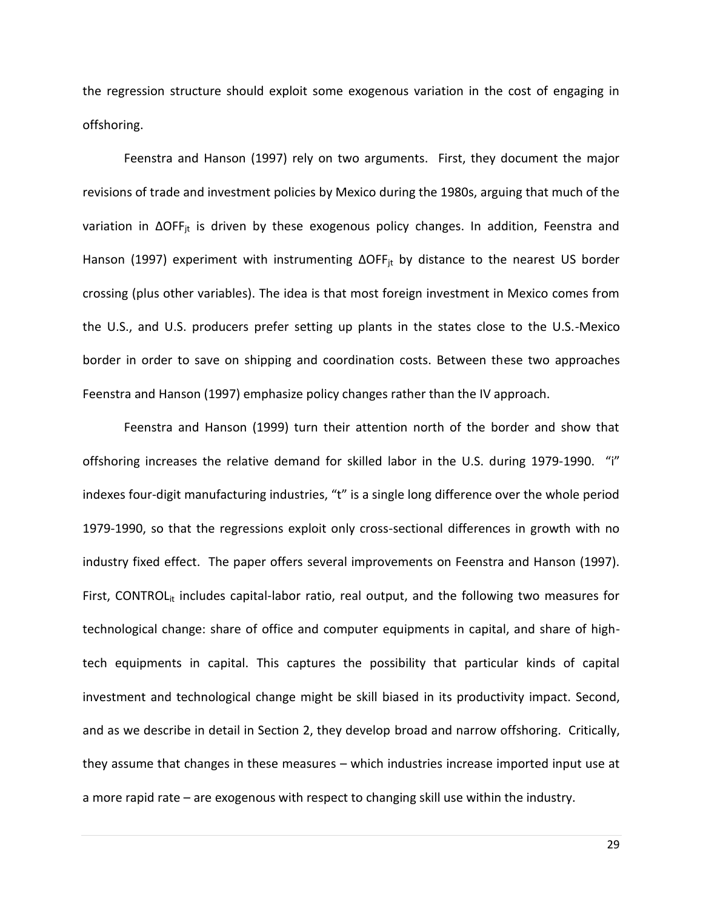the regression structure should exploit some exogenous variation in the cost of engaging in offshoring.

Feenstra and Hanson (1997) rely on two arguments. First, they document the major revisions of trade and investment policies by Mexico during the 1980s, arguing that much of the variation in ΔOFF<sub>jt</sub> is driven by these exogenous policy changes. In addition, Feenstra and Hanson (1997) experiment with instrumenting  $\Delta$ OFF<sub>it</sub> by distance to the nearest US border crossing (plus other variables). The idea is that most foreign investment in Mexico comes from the U.S., and U.S. producers prefer setting up plants in the states close to the U.S.-Mexico border in order to save on shipping and coordination costs. Between these two approaches Feenstra and Hanson (1997) emphasize policy changes rather than the IV approach.

Feenstra and Hanson (1999) turn their attention north of the border and show that offshoring increases the relative demand for skilled labor in the U.S. during 1979-1990. "i" indexes four-digit manufacturing industries, "t" is a single long difference over the whole period 1979-1990, so that the regressions exploit only cross-sectional differences in growth with no industry fixed effect. The paper offers several improvements on Feenstra and Hanson (1997). First, CONTROL<sub>it</sub> includes capital-labor ratio, real output, and the following two measures for technological change: share of office and computer equipments in capital, and share of hightech equipments in capital. This captures the possibility that particular kinds of capital investment and technological change might be skill biased in its productivity impact. Second, and as we describe in detail in Section 2, they develop broad and narrow offshoring. Critically, they assume that changes in these measures – which industries increase imported input use at a more rapid rate – are exogenous with respect to changing skill use within the industry.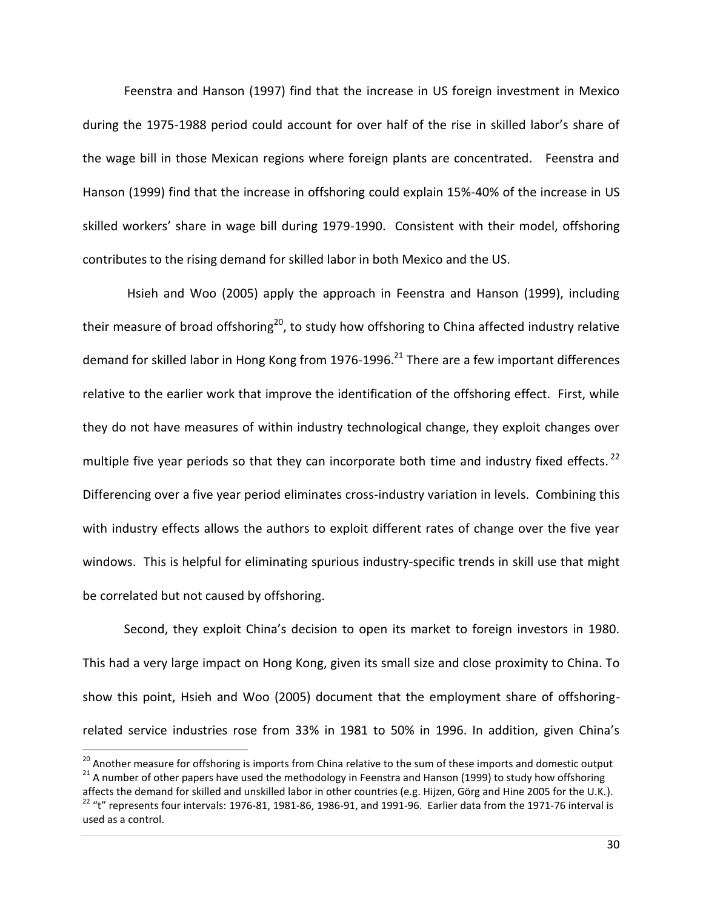Feenstra and Hanson (1997) find that the increase in US foreign investment in Mexico during the 1975-1988 period could account for over half of the rise in skilled labor's share of the wage bill in those Mexican regions where foreign plants are concentrated. Feenstra and Hanson (1999) find that the increase in offshoring could explain 15%-40% of the increase in US skilled workers' share in wage bill during 1979-1990. Consistent with their model, offshoring contributes to the rising demand for skilled labor in both Mexico and the US.

Hsieh and Woo (2005) apply the approach in Feenstra and Hanson (1999), including their measure of broad offshoring<sup>20</sup>, to study how offshoring to China affected industry relative demand for skilled labor in Hong Kong from 1976-1996.<sup>21</sup> There are a few important differences relative to the earlier work that improve the identification of the offshoring effect. First, while they do not have measures of within industry technological change, they exploit changes over multiple five year periods so that they can incorporate both time and industry fixed effects.  $^{22}$ Differencing over a five year period eliminates cross-industry variation in levels. Combining this with industry effects allows the authors to exploit different rates of change over the five year windows. This is helpful for eliminating spurious industry-specific trends in skill use that might be correlated but not caused by offshoring.

Second, they exploit China's decision to open its market to foreign investors in 1980. This had a very large impact on Hong Kong, given its small size and close proximity to China. To show this point, Hsieh and Woo (2005) document that the employment share of offshoringrelated service industries rose from 33% in 1981 to 50% in 1996. In addition, given China's

<sup>&</sup>lt;sup>20</sup> Another measure for offshoring is imports from China relative to the sum of these imports and domestic output <sup>21</sup> A number of other papers have used the methodology in Feenstra and Hanson (1999) to study how offshoring

affects the demand for skilled and unskilled labor in other countries (e.g. Hijzen, Görg and Hine 2005 for the U.K.).  $22$  "t" represents four intervals: 1976-81, 1981-86, 1986-91, and 1991-96. Earlier data from the 1971-76 interval is used as a control.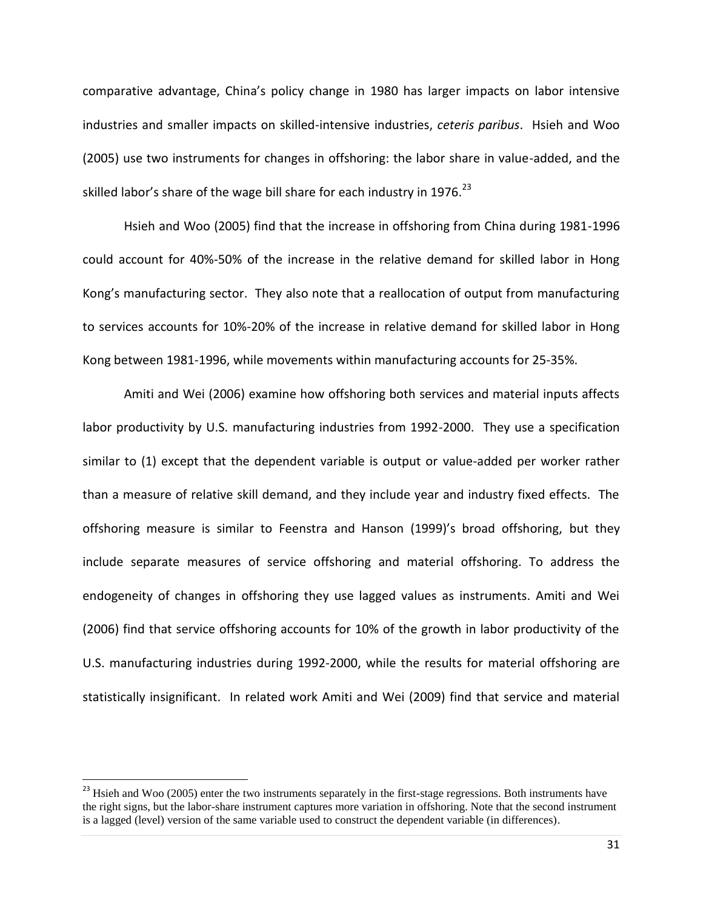comparative advantage, China's policy change in 1980 has larger impacts on labor intensive industries and smaller impacts on skilled-intensive industries, *ceteris paribus*. Hsieh and Woo (2005) use two instruments for changes in offshoring: the labor share in value-added, and the skilled labor's share of the wage bill share for each industry in 1976.<sup>23</sup>

Hsieh and Woo (2005) find that the increase in offshoring from China during 1981-1996 could account for 40%-50% of the increase in the relative demand for skilled labor in Hong Kong's manufacturing sector. They also note that a reallocation of output from manufacturing to services accounts for 10%-20% of the increase in relative demand for skilled labor in Hong Kong between 1981-1996, while movements within manufacturing accounts for 25-35%.

Amiti and Wei (2006) examine how offshoring both services and material inputs affects labor productivity by U.S. manufacturing industries from 1992-2000. They use a specification similar to (1) except that the dependent variable is output or value-added per worker rather than a measure of relative skill demand, and they include year and industry fixed effects. The offshoring measure is similar to Feenstra and Hanson (1999)'s broad offshoring, but they include separate measures of service offshoring and material offshoring. To address the endogeneity of changes in offshoring they use lagged values as instruments. Amiti and Wei (2006) find that service offshoring accounts for 10% of the growth in labor productivity of the U.S. manufacturing industries during 1992-2000, while the results for material offshoring are statistically insignificant. In related work Amiti and Wei (2009) find that service and material

 $\overline{\phantom{a}}$ 

<sup>&</sup>lt;sup>23</sup> Hsieh and Woo (2005) enter the two instruments separately in the first-stage regressions. Both instruments have the right signs, but the labor-share instrument captures more variation in offshoring. Note that the second instrument is a lagged (level) version of the same variable used to construct the dependent variable (in differences).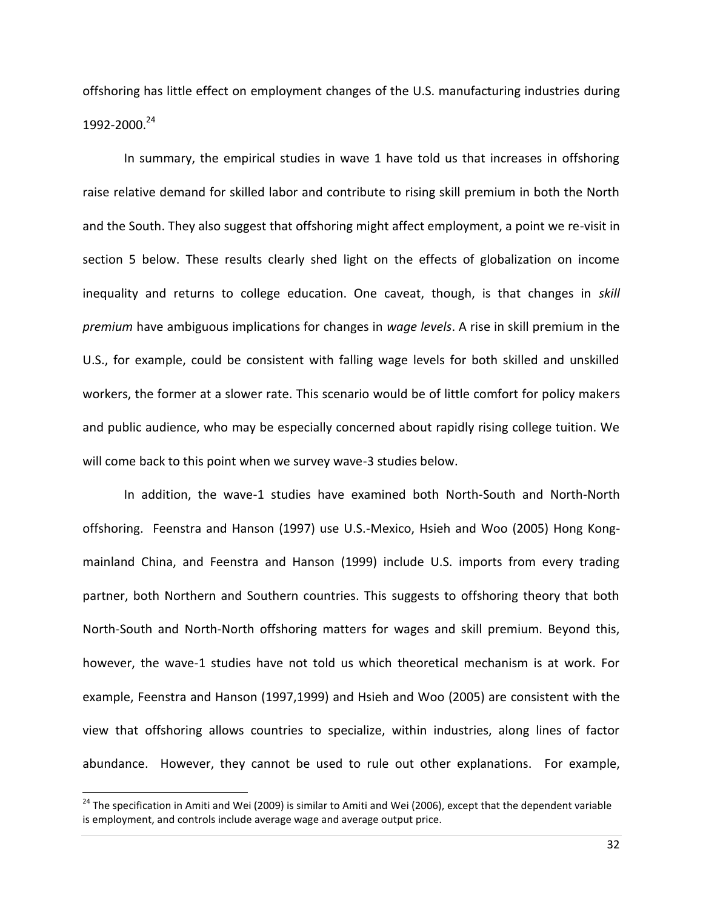offshoring has little effect on employment changes of the U.S. manufacturing industries during 1992-2000.<sup>24</sup>

In summary, the empirical studies in wave 1 have told us that increases in offshoring raise relative demand for skilled labor and contribute to rising skill premium in both the North and the South. They also suggest that offshoring might affect employment, a point we re-visit in section 5 below. These results clearly shed light on the effects of globalization on income inequality and returns to college education. One caveat, though, is that changes in *skill premium* have ambiguous implications for changes in *wage levels*. A rise in skill premium in the U.S., for example, could be consistent with falling wage levels for both skilled and unskilled workers, the former at a slower rate. This scenario would be of little comfort for policy makers and public audience, who may be especially concerned about rapidly rising college tuition. We will come back to this point when we survey wave-3 studies below.

In addition, the wave-1 studies have examined both North-South and North-North offshoring. Feenstra and Hanson (1997) use U.S.-Mexico, Hsieh and Woo (2005) Hong Kongmainland China, and Feenstra and Hanson (1999) include U.S. imports from every trading partner, both Northern and Southern countries. This suggests to offshoring theory that both North-South and North-North offshoring matters for wages and skill premium. Beyond this, however, the wave-1 studies have not told us which theoretical mechanism is at work. For example, Feenstra and Hanson (1997,1999) and Hsieh and Woo (2005) are consistent with the view that offshoring allows countries to specialize, within industries, along lines of factor abundance. However, they cannot be used to rule out other explanations. For example,

<sup>&</sup>lt;sup>24</sup> The specification in Amiti and Wei (2009) is similar to Amiti and Wei (2006), except that the dependent variable is employment, and controls include average wage and average output price.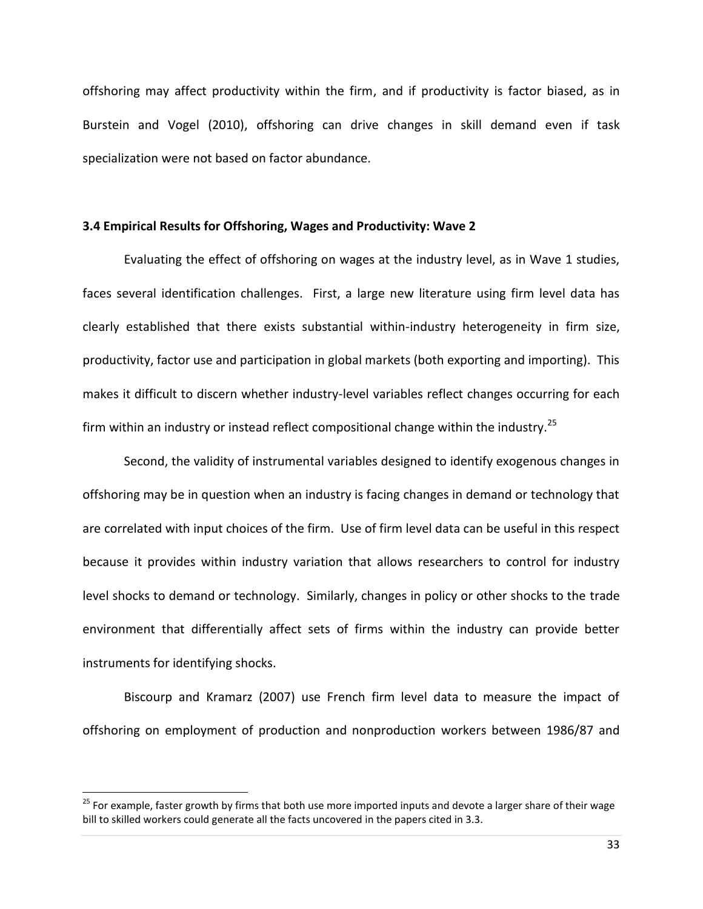offshoring may affect productivity within the firm, and if productivity is factor biased, as in Burstein and Vogel (2010), offshoring can drive changes in skill demand even if task specialization were not based on factor abundance.

#### **3.4 Empirical Results for Offshoring, Wages and Productivity: Wave 2**

Evaluating the effect of offshoring on wages at the industry level, as in Wave 1 studies, faces several identification challenges. First, a large new literature using firm level data has clearly established that there exists substantial within-industry heterogeneity in firm size, productivity, factor use and participation in global markets (both exporting and importing). This makes it difficult to discern whether industry-level variables reflect changes occurring for each firm within an industry or instead reflect compositional change within the industry.<sup>25</sup>

Second, the validity of instrumental variables designed to identify exogenous changes in offshoring may be in question when an industry is facing changes in demand or technology that are correlated with input choices of the firm. Use of firm level data can be useful in this respect because it provides within industry variation that allows researchers to control for industry level shocks to demand or technology. Similarly, changes in policy or other shocks to the trade environment that differentially affect sets of firms within the industry can provide better instruments for identifying shocks.

Biscourp and Kramarz (2007) use French firm level data to measure the impact of offshoring on employment of production and nonproduction workers between 1986/87 and

<sup>&</sup>lt;sup>25</sup> For example, faster growth by firms that both use more imported inputs and devote a larger share of their wage bill to skilled workers could generate all the facts uncovered in the papers cited in 3.3.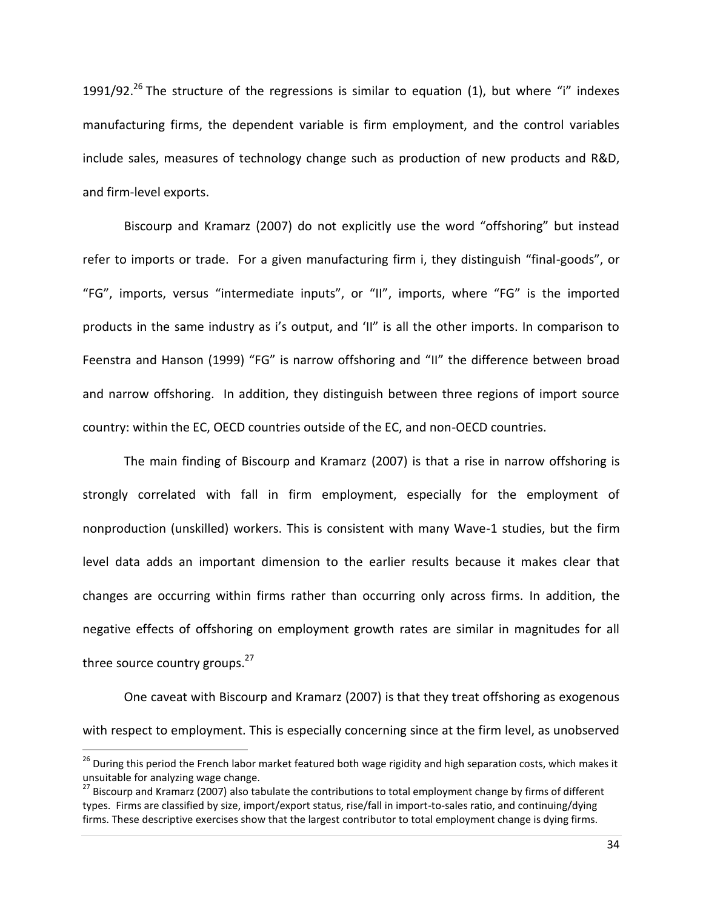1991/92.<sup>26</sup> The structure of the regressions is similar to equation (1), but where "i" indexes manufacturing firms, the dependent variable is firm employment, and the control variables include sales, measures of technology change such as production of new products and R&D, and firm-level exports.

Biscourp and Kramarz (2007) do not explicitly use the word "offshoring" but instead refer to imports or trade. For a given manufacturing firm i, they distinguish "final-goods", or "FG", imports, versus "intermediate inputs", or "II", imports, where "FG" is the imported products in the same industry as i's output, and 'II" is all the other imports. In comparison to Feenstra and Hanson (1999) "FG" is narrow offshoring and "II" the difference between broad and narrow offshoring. In addition, they distinguish between three regions of import source country: within the EC, OECD countries outside of the EC, and non-OECD countries.

The main finding of Biscourp and Kramarz (2007) is that a rise in narrow offshoring is strongly correlated with fall in firm employment, especially for the employment of nonproduction (unskilled) workers. This is consistent with many Wave-1 studies, but the firm level data adds an important dimension to the earlier results because it makes clear that changes are occurring within firms rather than occurring only across firms. In addition, the negative effects of offshoring on employment growth rates are similar in magnitudes for all three source country groups.<sup>27</sup>

One caveat with Biscourp and Kramarz (2007) is that they treat offshoring as exogenous with respect to employment. This is especially concerning since at the firm level, as unobserved

<sup>&</sup>lt;sup>26</sup> During this period the French labor market featured both wage rigidity and high separation costs, which makes it unsuitable for analyzing wage change.

<sup>&</sup>lt;sup>27</sup> Biscourp and Kramarz (2007) also tabulate the contributions to total employment change by firms of different types. Firms are classified by size, import/export status, rise/fall in import-to-sales ratio, and continuing/dying firms. These descriptive exercises show that the largest contributor to total employment change is dying firms.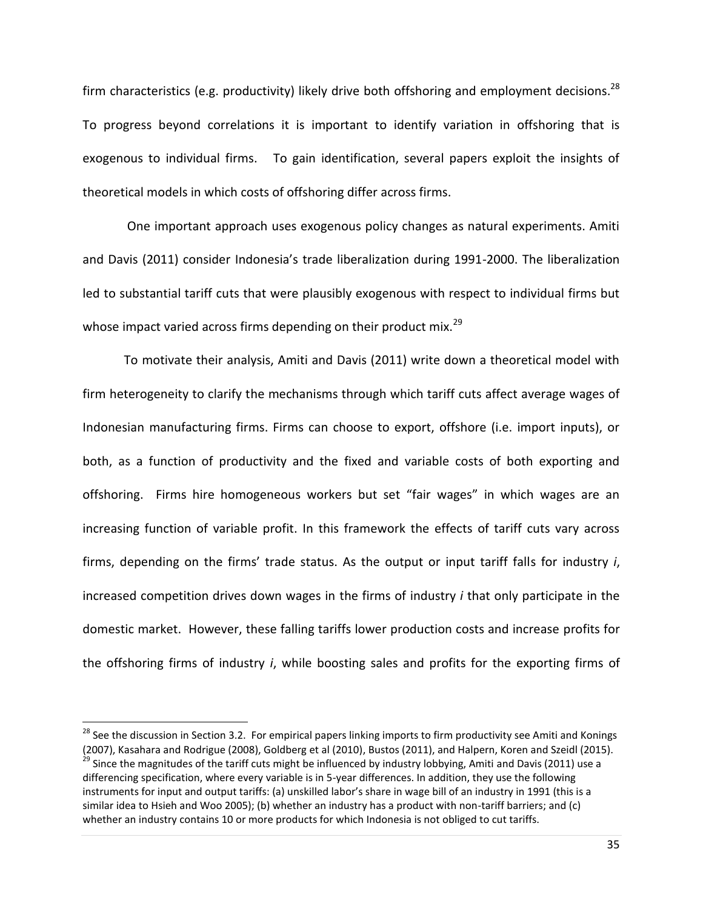firm characteristics (e.g. productivity) likely drive both offshoring and employment decisions.<sup>28</sup> To progress beyond correlations it is important to identify variation in offshoring that is exogenous to individual firms. To gain identification, several papers exploit the insights of theoretical models in which costs of offshoring differ across firms.

One important approach uses exogenous policy changes as natural experiments. Amiti and Davis (2011) consider Indonesia's trade liberalization during 1991-2000. The liberalization led to substantial tariff cuts that were plausibly exogenous with respect to individual firms but whose impact varied across firms depending on their product mix. $^{29}$ 

To motivate their analysis, Amiti and Davis (2011) write down a theoretical model with firm heterogeneity to clarify the mechanisms through which tariff cuts affect average wages of Indonesian manufacturing firms. Firms can choose to export, offshore (i.e. import inputs), or both, as a function of productivity and the fixed and variable costs of both exporting and offshoring. Firms hire homogeneous workers but set "fair wages" in which wages are an increasing function of variable profit. In this framework the effects of tariff cuts vary across firms, depending on the firms' trade status. As the output or input tariff falls for industry *i*, increased competition drives down wages in the firms of industry *i* that only participate in the domestic market. However, these falling tariffs lower production costs and increase profits for the offshoring firms of industry *i*, while boosting sales and profits for the exporting firms of

 $\overline{\phantom{a}}$ 

<sup>&</sup>lt;sup>28</sup> See the discussion in Section 3.2. For empirical papers linking imports to firm productivity see Amiti and Konings (2007), Kasahara and Rodrigue (2008), Goldberg et al (2010), Bustos (2011), and Halpern, Koren and Szeidl (2015). <sup>29</sup> Since the magnitudes of the tariff cuts might be influenced by industry lobbying, Amiti and Davis (2011) use a differencing specification, where every variable is in 5-year differences. In addition, they use the following instruments for input and output tariffs: (a) unskilled labor's share in wage bill of an industry in 1991 (this is a similar idea to Hsieh and Woo 2005); (b) whether an industry has a product with non-tariff barriers; and (c) whether an industry contains 10 or more products for which Indonesia is not obliged to cut tariffs.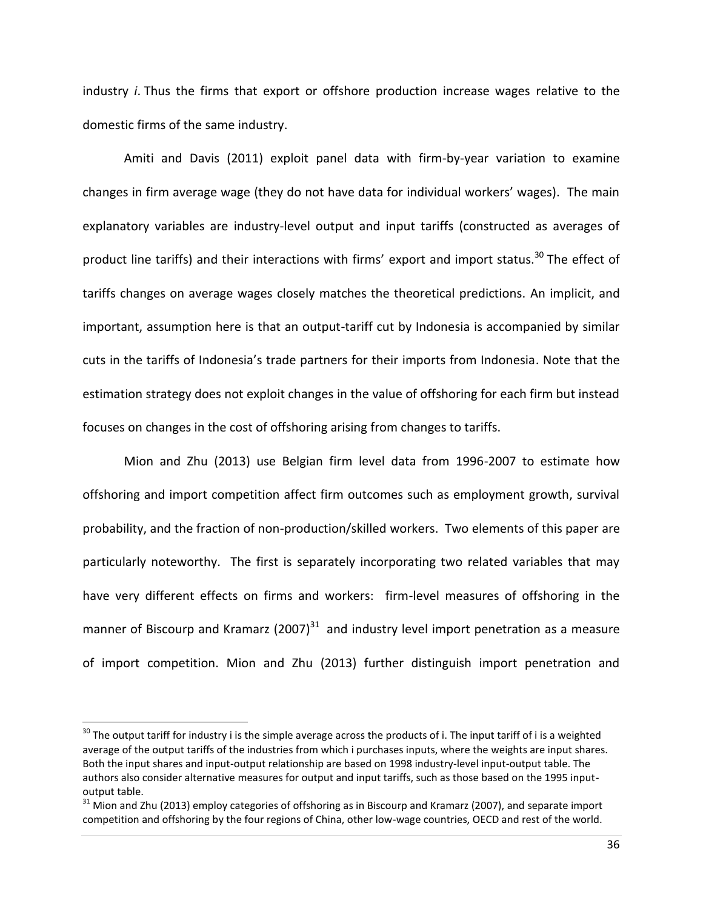industry *i*. Thus the firms that export or offshore production increase wages relative to the domestic firms of the same industry.

Amiti and Davis (2011) exploit panel data with firm-by-year variation to examine changes in firm average wage (they do not have data for individual workers' wages). The main explanatory variables are industry-level output and input tariffs (constructed as averages of product line tariffs) and their interactions with firms' export and import status.<sup>30</sup> The effect of tariffs changes on average wages closely matches the theoretical predictions. An implicit, and important, assumption here is that an output-tariff cut by Indonesia is accompanied by similar cuts in the tariffs of Indonesia's trade partners for their imports from Indonesia. Note that the estimation strategy does not exploit changes in the value of offshoring for each firm but instead focuses on changes in the cost of offshoring arising from changes to tariffs.

Mion and Zhu (2013) use Belgian firm level data from 1996-2007 to estimate how offshoring and import competition affect firm outcomes such as employment growth, survival probability, and the fraction of non-production/skilled workers. Two elements of this paper are particularly noteworthy. The first is separately incorporating two related variables that may have very different effects on firms and workers: firm-level measures of offshoring in the manner of Biscourp and Kramarz (2007)<sup>31</sup> and industry level import penetration as a measure of import competition. Mion and Zhu (2013) further distinguish import penetration and

 $\overline{\phantom{a}}$ 

 $^{30}$  The output tariff for industry i is the simple average across the products of i. The input tariff of i is a weighted average of the output tariffs of the industries from which i purchases inputs, where the weights are input shares. Both the input shares and input-output relationship are based on 1998 industry-level input-output table. The authors also consider alternative measures for output and input tariffs, such as those based on the 1995 inputoutput table.

<sup>&</sup>lt;sup>31</sup> Mion and Zhu (2013) employ categories of offshoring as in Biscourp and Kramarz (2007), and separate import competition and offshoring by the four regions of China, other low-wage countries, OECD and rest of the world.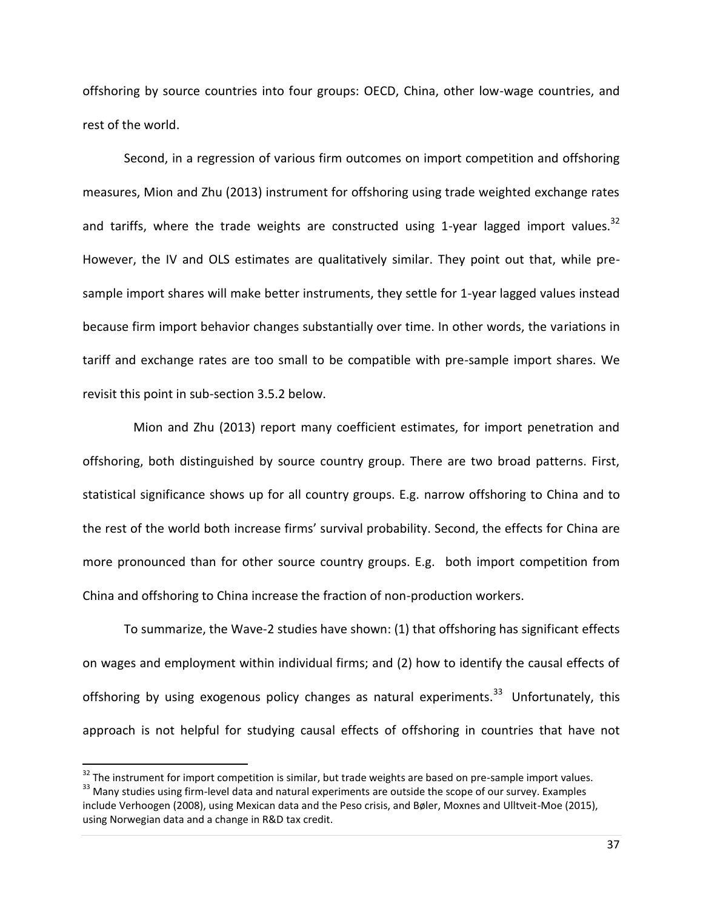offshoring by source countries into four groups: OECD, China, other low-wage countries, and rest of the world.

Second, in a regression of various firm outcomes on import competition and offshoring measures, Mion and Zhu (2013) instrument for offshoring using trade weighted exchange rates and tariffs, where the trade weights are constructed using 1-year lagged import values.<sup>32</sup> However, the IV and OLS estimates are qualitatively similar. They point out that, while presample import shares will make better instruments, they settle for 1-year lagged values instead because firm import behavior changes substantially over time. In other words, the variations in tariff and exchange rates are too small to be compatible with pre-sample import shares. We revisit this point in sub-section 3.5.2 below.

 Mion and Zhu (2013) report many coefficient estimates, for import penetration and offshoring, both distinguished by source country group. There are two broad patterns. First, statistical significance shows up for all country groups. E.g. narrow offshoring to China and to the rest of the world both increase firms' survival probability. Second, the effects for China are more pronounced than for other source country groups. E.g. both import competition from China and offshoring to China increase the fraction of non-production workers.

To summarize, the Wave-2 studies have shown: (1) that offshoring has significant effects on wages and employment within individual firms; and (2) how to identify the causal effects of offshoring by using exogenous policy changes as natural experiments.<sup>33</sup> Unfortunately, this approach is not helpful for studying causal effects of offshoring in countries that have not

 $\overline{a}$ 

 $32$  The instrument for import competition is similar, but trade weights are based on pre-sample import values. <sup>33</sup> Many studies using firm-level data and natural experiments are outside the scope of our survey. Examples include Verhoogen (2008), using Mexican data and the Peso crisis, and Bøler, Moxnes and Ulltveit-Moe (2015), using Norwegian data and a change in R&D tax credit.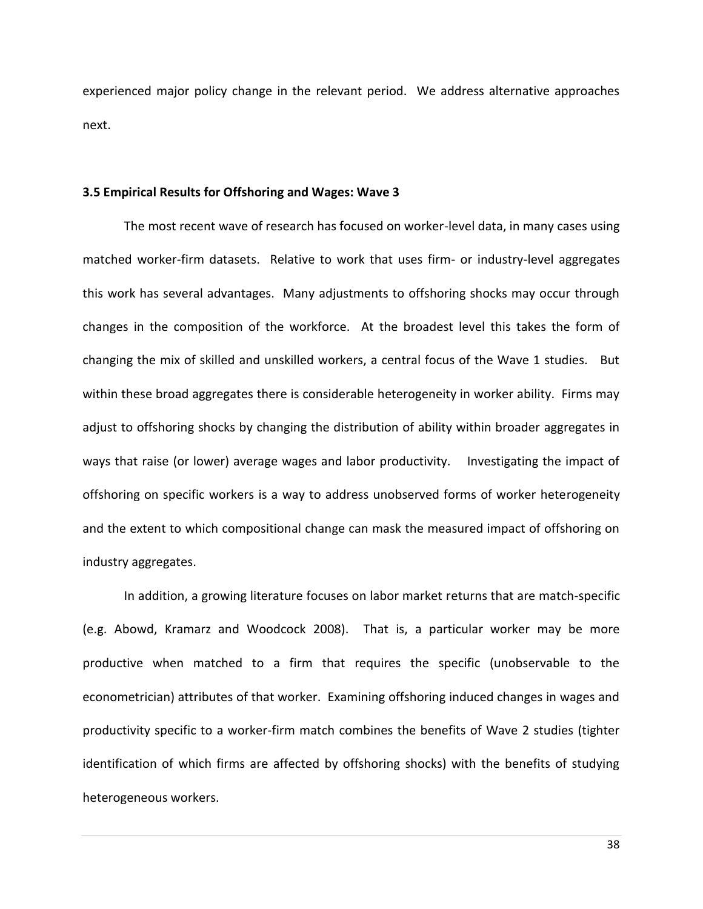experienced major policy change in the relevant period. We address alternative approaches next.

#### **3.5 Empirical Results for Offshoring and Wages: Wave 3**

The most recent wave of research has focused on worker-level data, in many cases using matched worker-firm datasets. Relative to work that uses firm- or industry-level aggregates this work has several advantages. Many adjustments to offshoring shocks may occur through changes in the composition of the workforce. At the broadest level this takes the form of changing the mix of skilled and unskilled workers, a central focus of the Wave 1 studies. But within these broad aggregates there is considerable heterogeneity in worker ability. Firms may adjust to offshoring shocks by changing the distribution of ability within broader aggregates in ways that raise (or lower) average wages and labor productivity. Investigating the impact of offshoring on specific workers is a way to address unobserved forms of worker heterogeneity and the extent to which compositional change can mask the measured impact of offshoring on industry aggregates.

In addition, a growing literature focuses on labor market returns that are match-specific (e.g. Abowd, Kramarz and Woodcock 2008). That is, a particular worker may be more productive when matched to a firm that requires the specific (unobservable to the econometrician) attributes of that worker. Examining offshoring induced changes in wages and productivity specific to a worker-firm match combines the benefits of Wave 2 studies (tighter identification of which firms are affected by offshoring shocks) with the benefits of studying heterogeneous workers.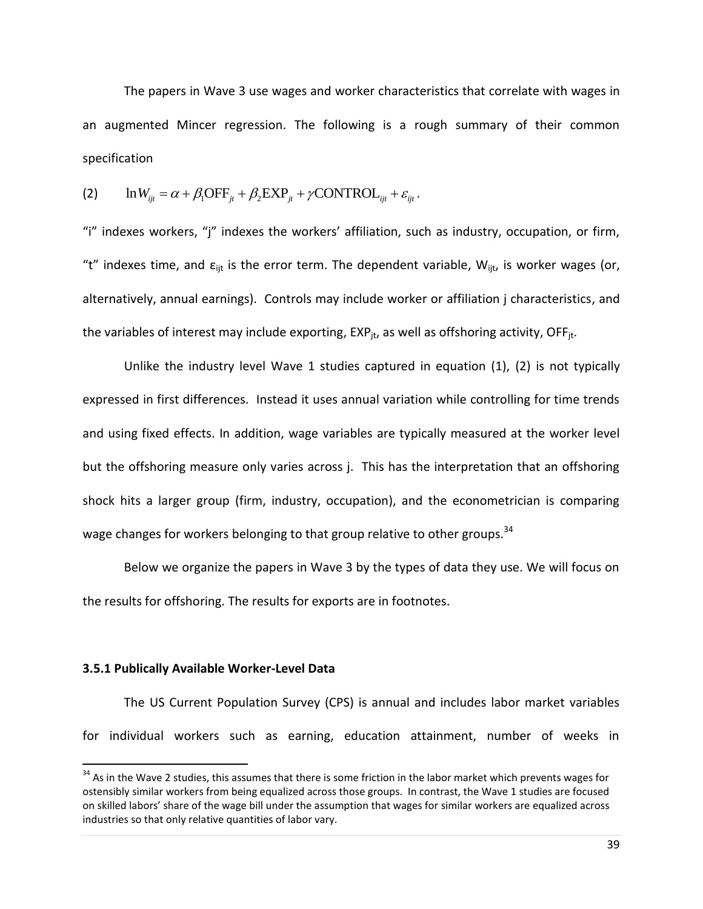The papers in Wave 3 use wages and worker characteristics that correlate with wages in an augmented Mincer regression. The following is a rough summary of their common specification

specification  
\n(2) 
$$
\ln W_{ijt} = \alpha + \beta_1 \text{OFF}_{jt} + \beta_2 \text{EXP}_{jt} + \gamma \text{CONTROL}_{ijt} + \varepsilon_{ijt}
$$
.

"i" indexes workers, "j" indexes the workers' affiliation, such as industry, occupation, or firm, "t" indexes time, and  $\varepsilon_{\text{lit}}$  is the error term. The dependent variable,  $W_{\text{lit}}$ , is worker wages (or, alternatively, annual earnings). Controls may include worker or affiliation j characteristics, and the variables of interest may include exporting,  $EXP_{it}$  as well as offshoring activity, OFF $_{it}$ .

Unlike the industry level Wave 1 studies captured in equation (1), (2) is not typically expressed in first differences. Instead it uses annual variation while controlling for time trends and using fixed effects. In addition, wage variables are typically measured at the worker level but the offshoring measure only varies across j. This has the interpretation that an offshoring shock hits a larger group (firm, industry, occupation), and the econometrician is comparing wage changes for workers belonging to that group relative to other groups.<sup>34</sup>

Below we organize the papers in Wave 3 by the types of data they use. We will focus on the results for offshoring. The results for exports are in footnotes.

### **3.5.1 Publically Available Worker-Level Data**

 $\overline{a}$ 

The US Current Population Survey (CPS) is annual and includes labor market variables for individual workers such as earning, education attainment, number of weeks in

 $34$  As in the Wave 2 studies, this assumes that there is some friction in the labor market which prevents wages for ostensibly similar workers from being equalized across those groups. In contrast, the Wave 1 studies are focused on skilled labors' share of the wage bill under the assumption that wages for similar workers are equalized across industries so that only relative quantities of labor vary.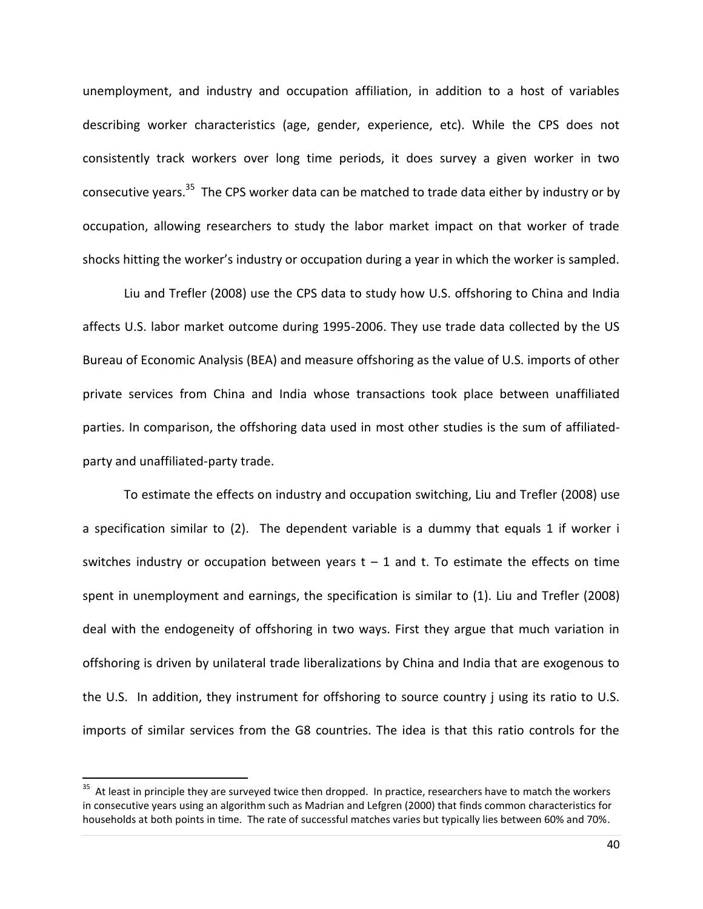unemployment, and industry and occupation affiliation, in addition to a host of variables describing worker characteristics (age, gender, experience, etc). While the CPS does not consistently track workers over long time periods, it does survey a given worker in two consecutive years.<sup>35</sup> The CPS worker data can be matched to trade data either by industry or by occupation, allowing researchers to study the labor market impact on that worker of trade shocks hitting the worker's industry or occupation during a year in which the worker is sampled.

Liu and Trefler (2008) use the CPS data to study how U.S. offshoring to China and India affects U.S. labor market outcome during 1995-2006. They use trade data collected by the US Bureau of Economic Analysis (BEA) and measure offshoring as the value of U.S. imports of other private services from China and India whose transactions took place between unaffiliated parties. In comparison, the offshoring data used in most other studies is the sum of affiliatedparty and unaffiliated-party trade.

To estimate the effects on industry and occupation switching, Liu and Trefler (2008) use a specification similar to (2). The dependent variable is a dummy that equals 1 if worker i switches industry or occupation between years  $t - 1$  and t. To estimate the effects on time spent in unemployment and earnings, the specification is similar to (1). Liu and Trefler (2008) deal with the endogeneity of offshoring in two ways. First they argue that much variation in offshoring is driven by unilateral trade liberalizations by China and India that are exogenous to the U.S. In addition, they instrument for offshoring to source country j using its ratio to U.S. imports of similar services from the G8 countries. The idea is that this ratio controls for the

 $\overline{\phantom{a}}$ 

<sup>&</sup>lt;sup>35</sup> At least in principle they are surveyed twice then dropped. In practice, researchers have to match the workers in consecutive years using an algorithm such as Madrian and Lefgren (2000) that finds common characteristics for households at both points in time. The rate of successful matches varies but typically lies between 60% and 70%.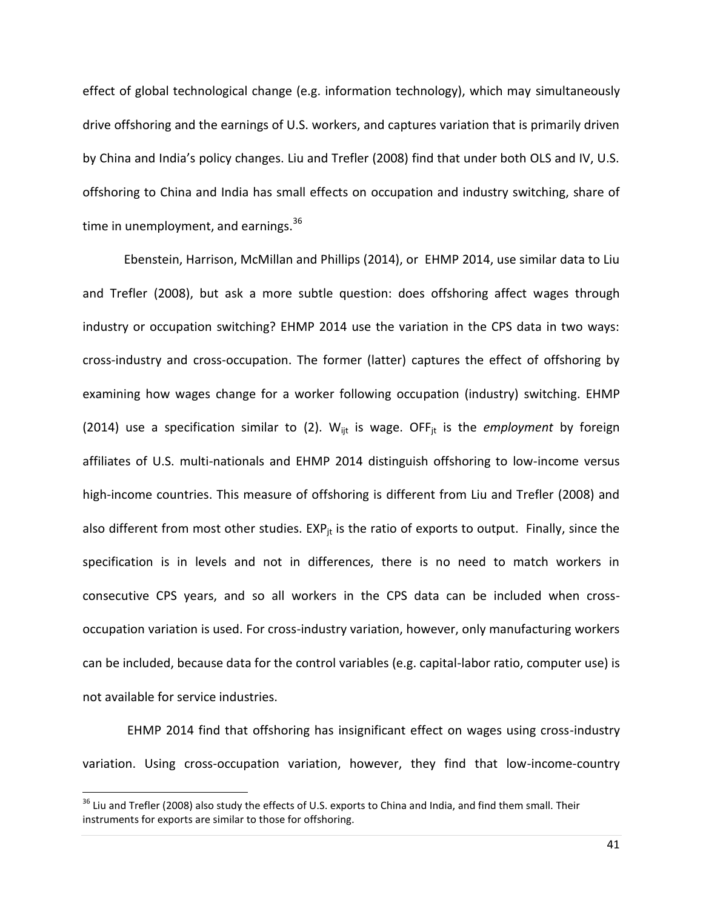effect of global technological change (e.g. information technology), which may simultaneously drive offshoring and the earnings of U.S. workers, and captures variation that is primarily driven by China and India's policy changes. Liu and Trefler (2008) find that under both OLS and IV, U.S. offshoring to China and India has small effects on occupation and industry switching, share of time in unemployment, and earnings. $36$ 

Ebenstein, Harrison, McMillan and Phillips (2014), or EHMP 2014, use similar data to Liu and Trefler (2008), but ask a more subtle question: does offshoring affect wages through industry or occupation switching? EHMP 2014 use the variation in the CPS data in two ways: cross-industry and cross-occupation. The former (latter) captures the effect of offshoring by examining how wages change for a worker following occupation (industry) switching. EHMP (2014) use a specification similar to (2). W<sub>ijt</sub> is wage. OFF<sub>it</sub> is the *employment* by foreign affiliates of U.S. multi-nationals and EHMP 2014 distinguish offshoring to low-income versus high-income countries. This measure of offshoring is different from Liu and Trefler (2008) and also different from most other studies.  $EXP_{it}$  is the ratio of exports to output. Finally, since the specification is in levels and not in differences, there is no need to match workers in consecutive CPS years, and so all workers in the CPS data can be included when crossoccupation variation is used. For cross-industry variation, however, only manufacturing workers can be included, because data for the control variables (e.g. capital-labor ratio, computer use) is not available for service industries.

EHMP 2014 find that offshoring has insignificant effect on wages using cross-industry variation. Using cross-occupation variation, however, they find that low-income-country

l

 $36$  Liu and Trefler (2008) also study the effects of U.S. exports to China and India, and find them small. Their instruments for exports are similar to those for offshoring.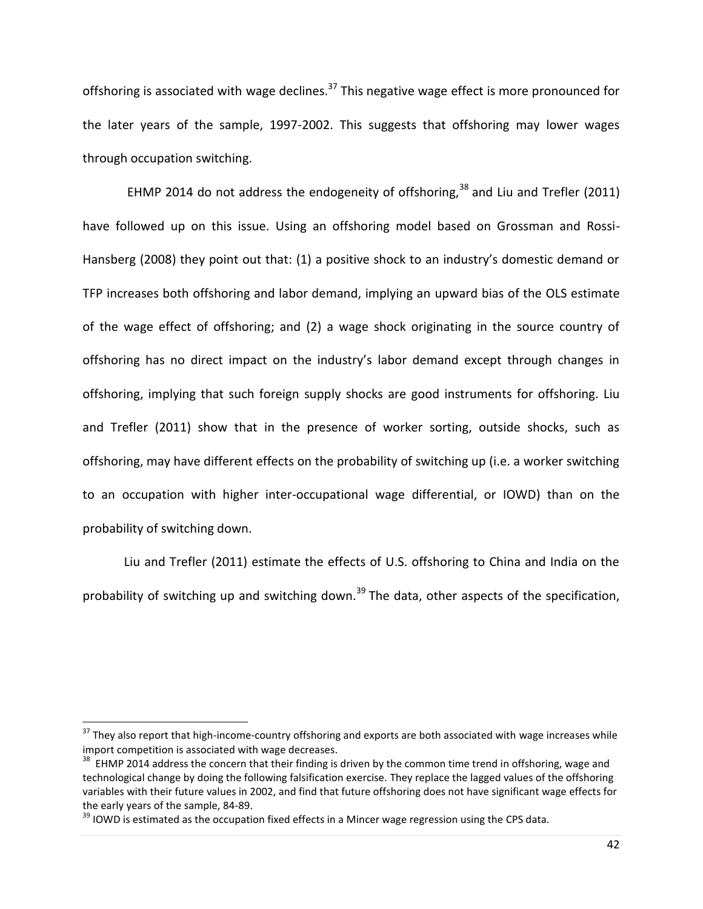offshoring is associated with wage declines.<sup>37</sup> This negative wage effect is more pronounced for the later years of the sample, 1997-2002. This suggests that offshoring may lower wages through occupation switching.

EHMP 2014 do not address the endogeneity of offshoring,  $38$  and Liu and Trefler (2011) have followed up on this issue. Using an offshoring model based on Grossman and Rossi-Hansberg (2008) they point out that: (1) a positive shock to an industry's domestic demand or TFP increases both offshoring and labor demand, implying an upward bias of the OLS estimate of the wage effect of offshoring; and (2) a wage shock originating in the source country of offshoring has no direct impact on the industry's labor demand except through changes in offshoring, implying that such foreign supply shocks are good instruments for offshoring. Liu and Trefler (2011) show that in the presence of worker sorting, outside shocks, such as offshoring, may have different effects on the probability of switching up (i.e. a worker switching to an occupation with higher inter-occupational wage differential, or IOWD) than on the probability of switching down.

Liu and Trefler (2011) estimate the effects of U.S. offshoring to China and India on the probability of switching up and switching down.<sup>39</sup> The data, other aspects of the specification,

 $\overline{\phantom{a}}$ 

 $37$  They also report that high-income-country offshoring and exports are both associated with wage increases while import competition is associated with wage decreases.

<sup>&</sup>lt;sup>38</sup> EHMP 2014 address the concern that their finding is driven by the common time trend in offshoring, wage and technological change by doing the following falsification exercise. They replace the lagged values of the offshoring variables with their future values in 2002, and find that future offshoring does not have significant wage effects for the early years of the sample, 84-89.

 $39$  IOWD is estimated as the occupation fixed effects in a Mincer wage regression using the CPS data.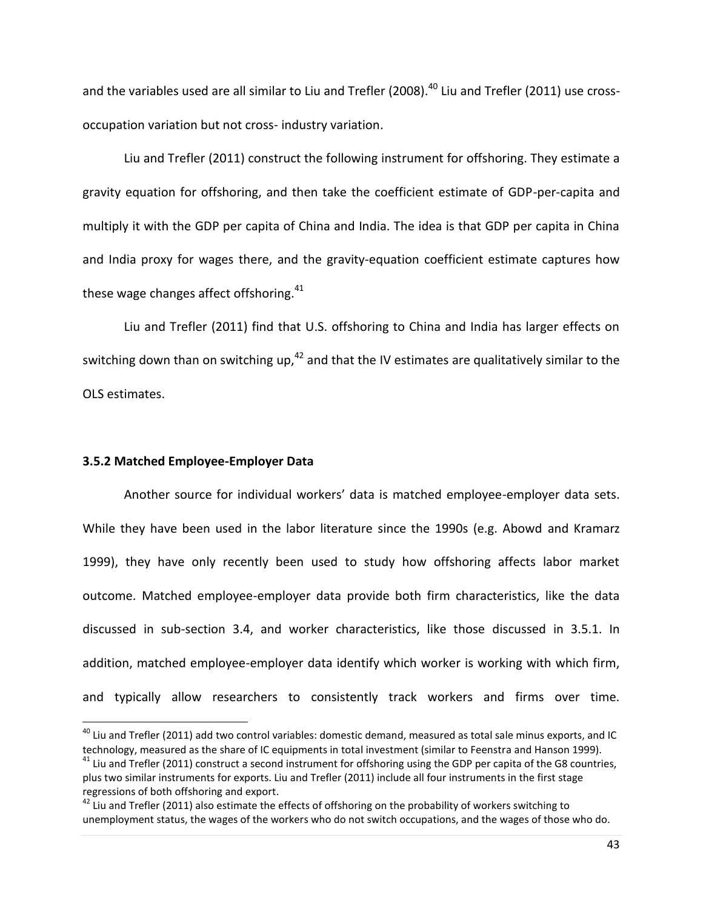and the variables used are all similar to Liu and Trefler (2008).<sup>40</sup> Liu and Trefler (2011) use crossoccupation variation but not cross- industry variation.

Liu and Trefler (2011) construct the following instrument for offshoring. They estimate a gravity equation for offshoring, and then take the coefficient estimate of GDP-per-capita and multiply it with the GDP per capita of China and India. The idea is that GDP per capita in China and India proxy for wages there, and the gravity-equation coefficient estimate captures how these wage changes affect offshoring. $41$ 

Liu and Trefler (2011) find that U.S. offshoring to China and India has larger effects on switching down than on switching up, $42$  and that the IV estimates are qualitatively similar to the OLS estimates.

# **3.5.2 Matched Employee-Employer Data**

 $\overline{\phantom{a}}$ 

Another source for individual workers' data is matched employee-employer data sets. While they have been used in the labor literature since the 1990s (e.g. Abowd and Kramarz 1999), they have only recently been used to study how offshoring affects labor market outcome. Matched employee-employer data provide both firm characteristics, like the data discussed in sub-section 3.4, and worker characteristics, like those discussed in 3.5.1. In addition, matched employee-employer data identify which worker is working with which firm, and typically allow researchers to consistently track workers and firms over time.

 $40$  Liu and Trefler (2011) add two control variables: domestic demand, measured as total sale minus exports, and IC technology, measured as the share of IC equipments in total investment (similar to Feenstra and Hanson 1999).

 $41$  Liu and Trefler (2011) construct a second instrument for offshoring using the GDP per capita of the G8 countries, plus two similar instruments for exports. Liu and Trefler (2011) include all four instruments in the first stage regressions of both offshoring and export.

 $42$  Liu and Trefler (2011) also estimate the effects of offshoring on the probability of workers switching to unemployment status, the wages of the workers who do not switch occupations, and the wages of those who do.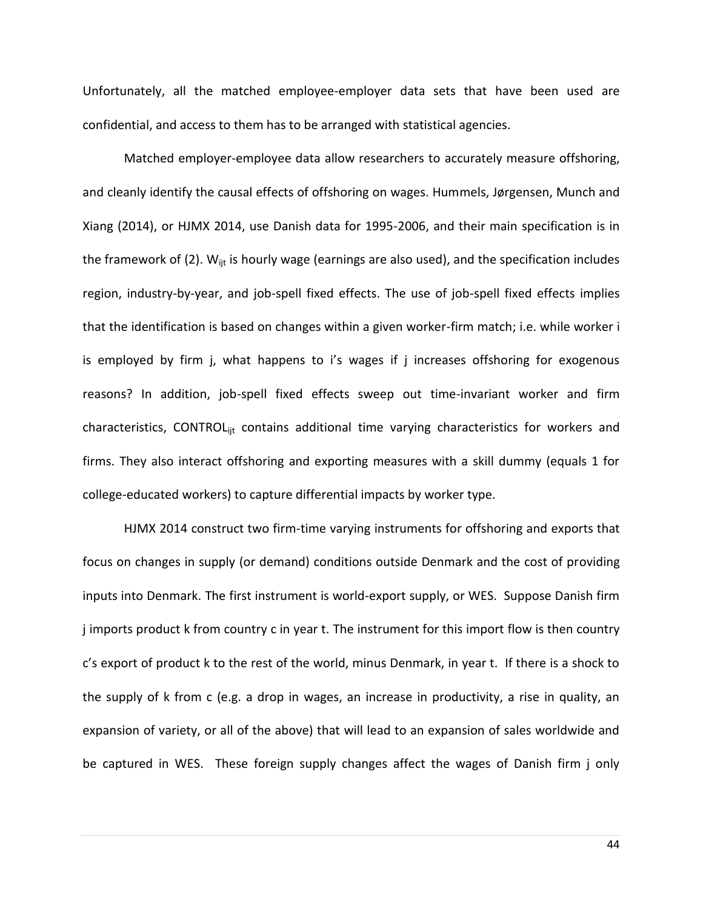Unfortunately, all the matched employee-employer data sets that have been used are confidential, and access to them has to be arranged with statistical agencies.

Matched employer-employee data allow researchers to accurately measure offshoring, and cleanly identify the causal effects of offshoring on wages. Hummels, Jørgensen, Munch and Xiang (2014), or HJMX 2014, use Danish data for 1995-2006, and their main specification is in the framework of (2).  $W_{\text{int}}$  is hourly wage (earnings are also used), and the specification includes region, industry-by-year, and job-spell fixed effects. The use of job-spell fixed effects implies that the identification is based on changes within a given worker-firm match; i.e. while worker i is employed by firm j, what happens to i's wages if j increases offshoring for exogenous reasons? In addition, job-spell fixed effects sweep out time-invariant worker and firm characteristics, CONTROL<sub>iit</sub> contains additional time varying characteristics for workers and firms. They also interact offshoring and exporting measures with a skill dummy (equals 1 for college-educated workers) to capture differential impacts by worker type.

HJMX 2014 construct two firm-time varying instruments for offshoring and exports that focus on changes in supply (or demand) conditions outside Denmark and the cost of providing inputs into Denmark. The first instrument is world-export supply, or WES. Suppose Danish firm j imports product k from country c in year t. The instrument for this import flow is then country c's export of product k to the rest of the world, minus Denmark, in year t. If there is a shock to the supply of k from c (e.g. a drop in wages, an increase in productivity, a rise in quality, an expansion of variety, or all of the above) that will lead to an expansion of sales worldwide and be captured in WES. These foreign supply changes affect the wages of Danish firm j only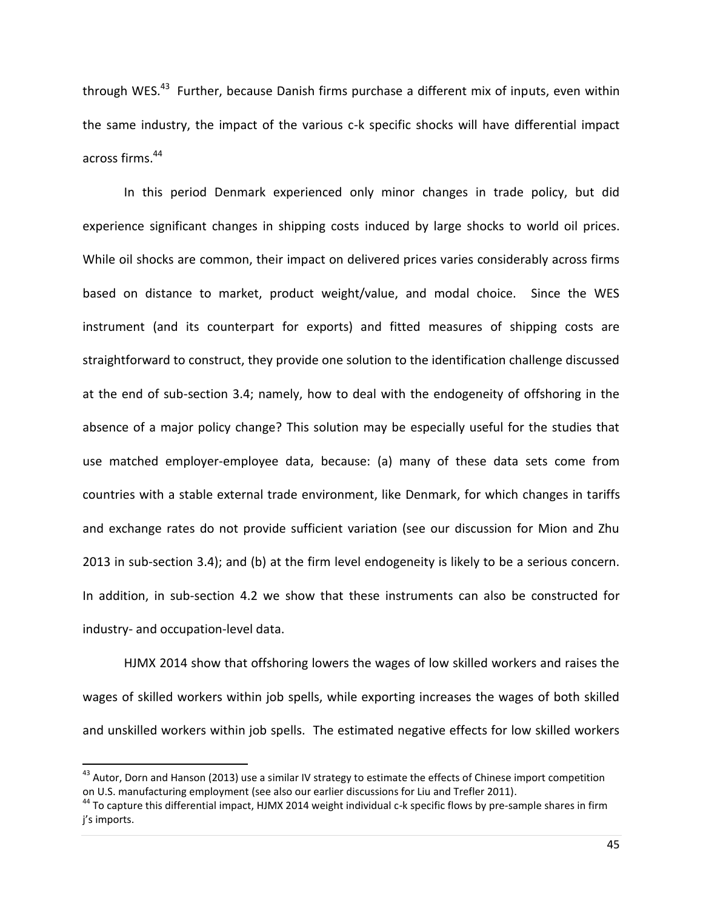through WES.<sup>43</sup> Further, because Danish firms purchase a different mix of inputs, even within the same industry, the impact of the various c-k specific shocks will have differential impact across firms.<sup>44</sup>

In this period Denmark experienced only minor changes in trade policy, but did experience significant changes in shipping costs induced by large shocks to world oil prices. While oil shocks are common, their impact on delivered prices varies considerably across firms based on distance to market, product weight/value, and modal choice. Since the WES instrument (and its counterpart for exports) and fitted measures of shipping costs are straightforward to construct, they provide one solution to the identification challenge discussed at the end of sub-section 3.4; namely, how to deal with the endogeneity of offshoring in the absence of a major policy change? This solution may be especially useful for the studies that use matched employer-employee data, because: (a) many of these data sets come from countries with a stable external trade environment, like Denmark, for which changes in tariffs and exchange rates do not provide sufficient variation (see our discussion for Mion and Zhu 2013 in sub-section 3.4); and (b) at the firm level endogeneity is likely to be a serious concern. In addition, in sub-section 4.2 we show that these instruments can also be constructed for industry- and occupation-level data.

HJMX 2014 show that offshoring lowers the wages of low skilled workers and raises the wages of skilled workers within job spells, while exporting increases the wages of both skilled and unskilled workers within job spells. The estimated negative effects for low skilled workers

 $\overline{a}$ 

<sup>&</sup>lt;sup>43</sup> Autor, Dorn and Hanson (2013) use a similar IV strategy to estimate the effects of Chinese import competition on U.S. manufacturing employment (see also our earlier discussions for Liu and Trefler 2011).

 $^{44}$  To capture this differential impact, HJMX 2014 weight individual c-k specific flows by pre-sample shares in firm j's imports.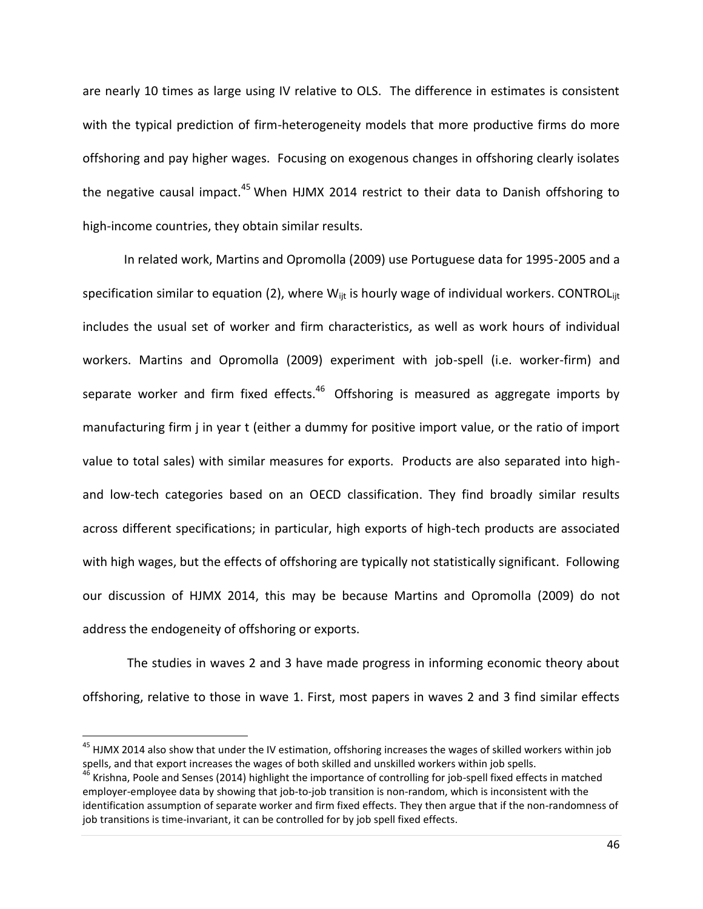are nearly 10 times as large using IV relative to OLS. The difference in estimates is consistent with the typical prediction of firm-heterogeneity models that more productive firms do more offshoring and pay higher wages. Focusing on exogenous changes in offshoring clearly isolates the negative causal impact.<sup>45</sup> When HJMX 2014 restrict to their data to Danish offshoring to high-income countries, they obtain similar results.

In related work, Martins and Opromolla (2009) use Portuguese data for 1995-2005 and a specification similar to equation (2), where  $W_{\text{int}}$  is hourly wage of individual workers. CONTROL $_{\text{int}}$ includes the usual set of worker and firm characteristics, as well as work hours of individual workers. Martins and Opromolla (2009) experiment with job-spell (i.e. worker-firm) and separate worker and firm fixed effects.<sup>46</sup> Offshoring is measured as aggregate imports by manufacturing firm j in year t (either a dummy for positive import value, or the ratio of import value to total sales) with similar measures for exports. Products are also separated into highand low-tech categories based on an OECD classification. They find broadly similar results across different specifications; in particular, high exports of high-tech products are associated with high wages, but the effects of offshoring are typically not statistically significant. Following our discussion of HJMX 2014, this may be because Martins and Opromolla (2009) do not address the endogeneity of offshoring or exports.

The studies in waves 2 and 3 have made progress in informing economic theory about offshoring, relative to those in wave 1. First, most papers in waves 2 and 3 find similar effects

 $\overline{a}$ 

<sup>&</sup>lt;sup>45</sup> HJMX 2014 also show that under the IV estimation, offshoring increases the wages of skilled workers within job spells, and that export increases the wages of both skilled and unskilled workers within job spells.

<sup>&</sup>lt;sup>46</sup> Krishna, Poole and Senses (2014) highlight the importance of controlling for job-spell fixed effects in matched employer-employee data by showing that job-to-job transition is non-random, which is inconsistent with the identification assumption of separate worker and firm fixed effects. They then argue that if the non-randomness of job transitions is time-invariant, it can be controlled for by job spell fixed effects.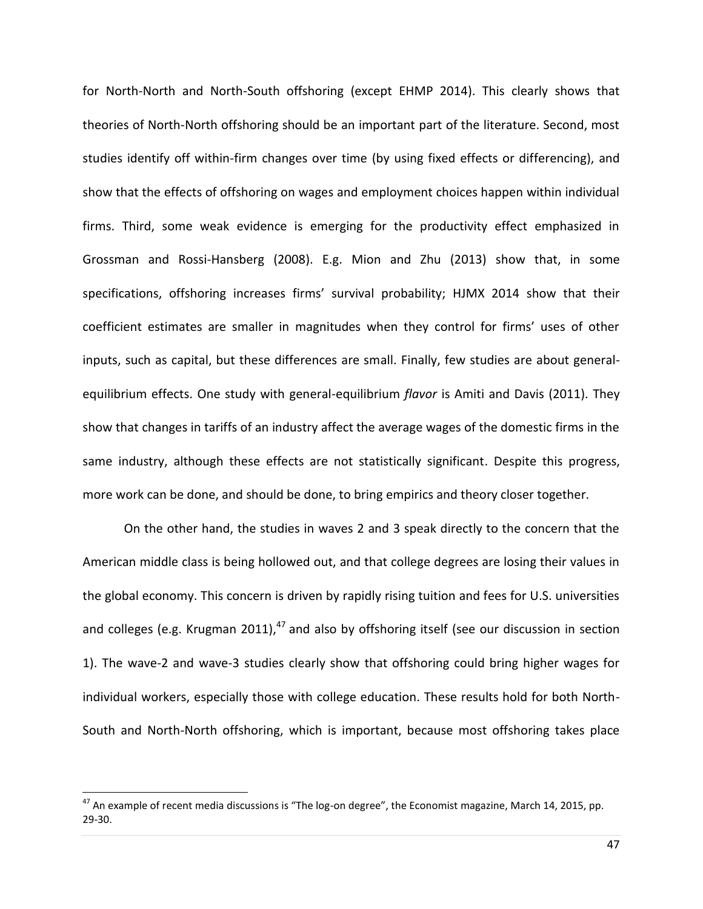for North-North and North-South offshoring (except EHMP 2014). This clearly shows that theories of North-North offshoring should be an important part of the literature. Second, most studies identify off within-firm changes over time (by using fixed effects or differencing), and show that the effects of offshoring on wages and employment choices happen within individual firms. Third, some weak evidence is emerging for the productivity effect emphasized in Grossman and Rossi-Hansberg (2008). E.g. Mion and Zhu (2013) show that, in some specifications, offshoring increases firms' survival probability; HJMX 2014 show that their coefficient estimates are smaller in magnitudes when they control for firms' uses of other inputs, such as capital, but these differences are small. Finally, few studies are about generalequilibrium effects. One study with general-equilibrium *flavor* is Amiti and Davis (2011). They show that changes in tariffs of an industry affect the average wages of the domestic firms in the same industry, although these effects are not statistically significant. Despite this progress, more work can be done, and should be done, to bring empirics and theory closer together.

On the other hand, the studies in waves 2 and 3 speak directly to the concern that the American middle class is being hollowed out, and that college degrees are losing their values in the global economy. This concern is driven by rapidly rising tuition and fees for U.S. universities and colleges (e.g. Krugman 2011), $^{47}$  and also by offshoring itself (see our discussion in section 1). The wave-2 and wave-3 studies clearly show that offshoring could bring higher wages for individual workers, especially those with college education. These results hold for both North-South and North-North offshoring, which is important, because most offshoring takes place

l

 $^{47}$  An example of recent media discussions is "The log-on degree", the Economist magazine, March 14, 2015, pp. 29-30.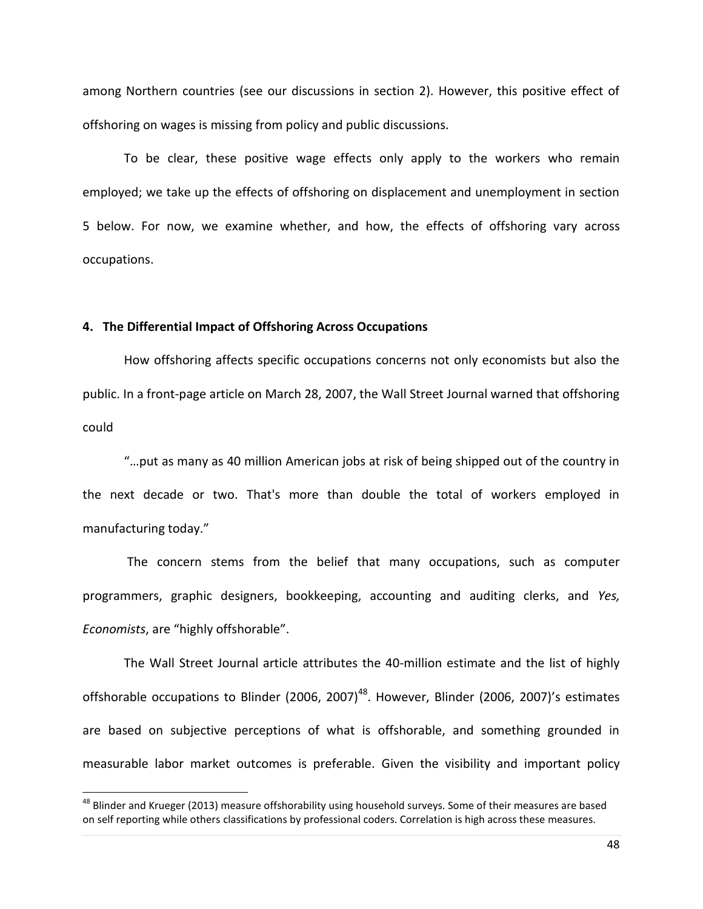among Northern countries (see our discussions in section 2). However, this positive effect of offshoring on wages is missing from policy and public discussions.

To be clear, these positive wage effects only apply to the workers who remain employed; we take up the effects of offshoring on displacement and unemployment in section 5 below. For now, we examine whether, and how, the effects of offshoring vary across occupations.

#### **4. The Differential Impact of Offshoring Across Occupations**

l

How offshoring affects specific occupations concerns not only economists but also the public. In a front-page article on March 28, 2007, the Wall Street Journal warned that offshoring could

"…put as many as 40 million American jobs at risk of being shipped out of the country in the next decade or two. That's more than double the total of workers employed in manufacturing today."

The concern stems from the belief that many occupations, such as computer programmers, graphic designers, bookkeeping, accounting and auditing clerks, and *Yes, Economists*, are "highly offshorable".

The Wall Street Journal article attributes the 40-million estimate and the list of highly offshorable occupations to Blinder (2006, 2007)<sup>48</sup>. However, Blinder (2006, 2007)'s estimates are based on subjective perceptions of what is offshorable, and something grounded in measurable labor market outcomes is preferable. Given the visibility and important policy

<sup>&</sup>lt;sup>48</sup> Blinder and Krueger (2013) measure offshorability using household surveys. Some of their measures are based on self reporting while others classifications by professional coders. Correlation is high across these measures.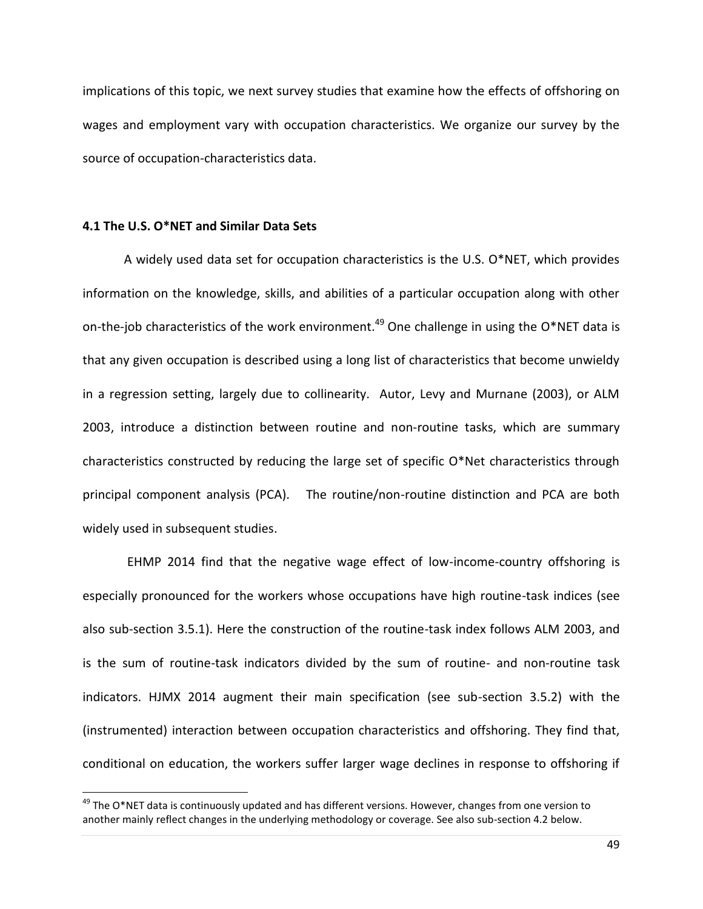implications of this topic, we next survey studies that examine how the effects of offshoring on wages and employment vary with occupation characteristics. We organize our survey by the source of occupation-characteristics data.

## **4.1 The U.S. O\*NET and Similar Data Sets**

l

A widely used data set for occupation characteristics is the U.S. O\*NET, which provides information on the knowledge, skills, and abilities of a particular occupation along with other on-the-job characteristics of the work environment.<sup>49</sup> One challenge in using the O\*NET data is that any given occupation is described using a long list of characteristics that become unwieldy in a regression setting, largely due to collinearity. Autor, Levy and Murnane (2003), or ALM 2003, introduce a distinction between routine and non-routine tasks, which are summary characteristics constructed by reducing the large set of specific O\*Net characteristics through principal component analysis (PCA). The routine/non-routine distinction and PCA are both widely used in subsequent studies.

EHMP 2014 find that the negative wage effect of low-income-country offshoring is especially pronounced for the workers whose occupations have high routine-task indices (see also sub-section 3.5.1). Here the construction of the routine-task index follows ALM 2003, and is the sum of routine-task indicators divided by the sum of routine- and non-routine task indicators. HJMX 2014 augment their main specification (see sub-section 3.5.2) with the (instrumented) interaction between occupation characteristics and offshoring. They find that, conditional on education, the workers suffer larger wage declines in response to offshoring if

 $49$  The O\*NET data is continuously updated and has different versions. However, changes from one version to another mainly reflect changes in the underlying methodology or coverage. See also sub-section 4.2 below.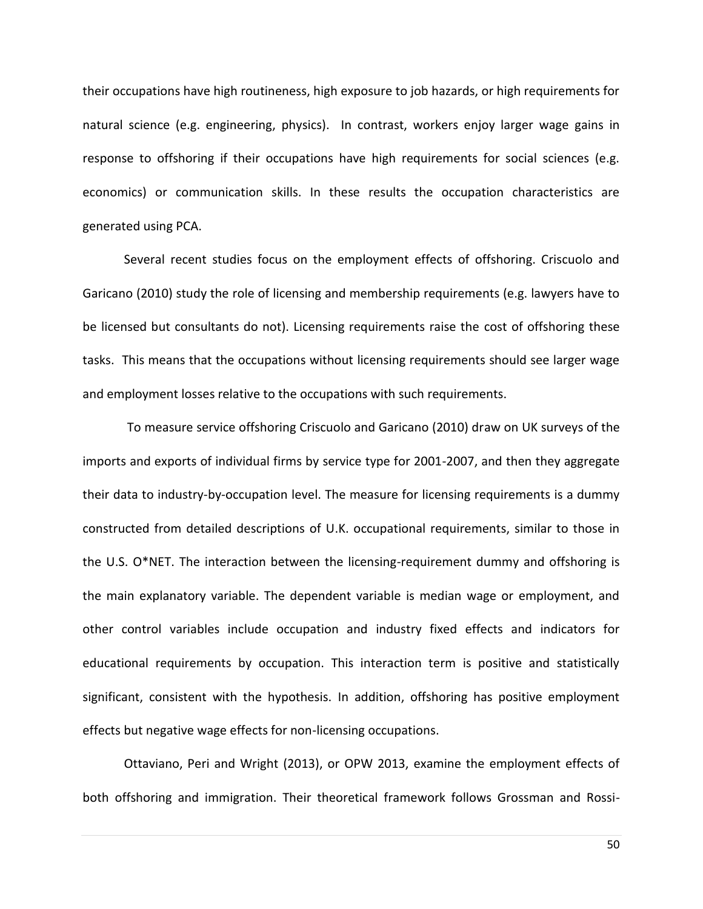their occupations have high routineness, high exposure to job hazards, or high requirements for natural science (e.g. engineering, physics). In contrast, workers enjoy larger wage gains in response to offshoring if their occupations have high requirements for social sciences (e.g. economics) or communication skills. In these results the occupation characteristics are generated using PCA.

Several recent studies focus on the employment effects of offshoring. Criscuolo and Garicano (2010) study the role of licensing and membership requirements (e.g. lawyers have to be licensed but consultants do not). Licensing requirements raise the cost of offshoring these tasks. This means that the occupations without licensing requirements should see larger wage and employment losses relative to the occupations with such requirements.

To measure service offshoring Criscuolo and Garicano (2010) draw on UK surveys of the imports and exports of individual firms by service type for 2001-2007, and then they aggregate their data to industry-by-occupation level. The measure for licensing requirements is a dummy constructed from detailed descriptions of U.K. occupational requirements, similar to those in the U.S. O\*NET. The interaction between the licensing-requirement dummy and offshoring is the main explanatory variable. The dependent variable is median wage or employment, and other control variables include occupation and industry fixed effects and indicators for educational requirements by occupation. This interaction term is positive and statistically significant, consistent with the hypothesis. In addition, offshoring has positive employment effects but negative wage effects for non-licensing occupations.

Ottaviano, Peri and Wright (2013), or OPW 2013, examine the employment effects of both offshoring and immigration. Their theoretical framework follows Grossman and Rossi-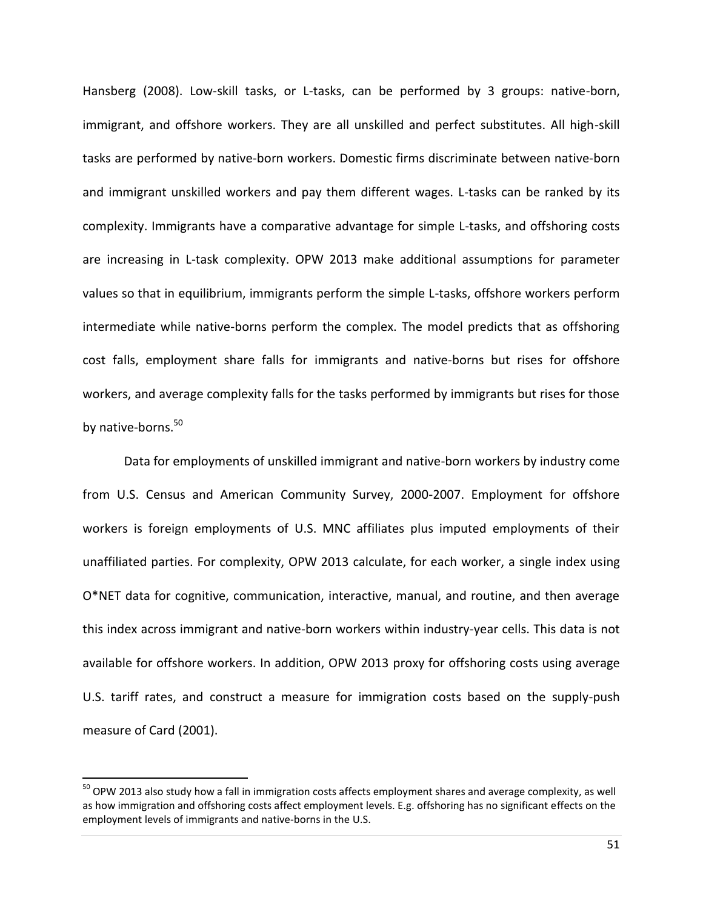Hansberg (2008). Low-skill tasks, or L-tasks, can be performed by 3 groups: native-born, immigrant, and offshore workers. They are all unskilled and perfect substitutes. All high-skill tasks are performed by native-born workers. Domestic firms discriminate between native-born and immigrant unskilled workers and pay them different wages. L-tasks can be ranked by its complexity. Immigrants have a comparative advantage for simple L-tasks, and offshoring costs are increasing in L-task complexity. OPW 2013 make additional assumptions for parameter values so that in equilibrium, immigrants perform the simple L-tasks, offshore workers perform intermediate while native-borns perform the complex. The model predicts that as offshoring cost falls, employment share falls for immigrants and native-borns but rises for offshore workers, and average complexity falls for the tasks performed by immigrants but rises for those by native-borns.<sup>50</sup>

Data for employments of unskilled immigrant and native-born workers by industry come from U.S. Census and American Community Survey, 2000-2007. Employment for offshore workers is foreign employments of U.S. MNC affiliates plus imputed employments of their unaffiliated parties. For complexity, OPW 2013 calculate, for each worker, a single index using O\*NET data for cognitive, communication, interactive, manual, and routine, and then average this index across immigrant and native-born workers within industry-year cells. This data is not available for offshore workers. In addition, OPW 2013 proxy for offshoring costs using average U.S. tariff rates, and construct a measure for immigration costs based on the supply-push measure of Card (2001).

 $\overline{\phantom{a}}$ 

<sup>&</sup>lt;sup>50</sup> OPW 2013 also study how a fall in immigration costs affects employment shares and average complexity, as well as how immigration and offshoring costs affect employment levels. E.g. offshoring has no significant effects on the employment levels of immigrants and native-borns in the U.S.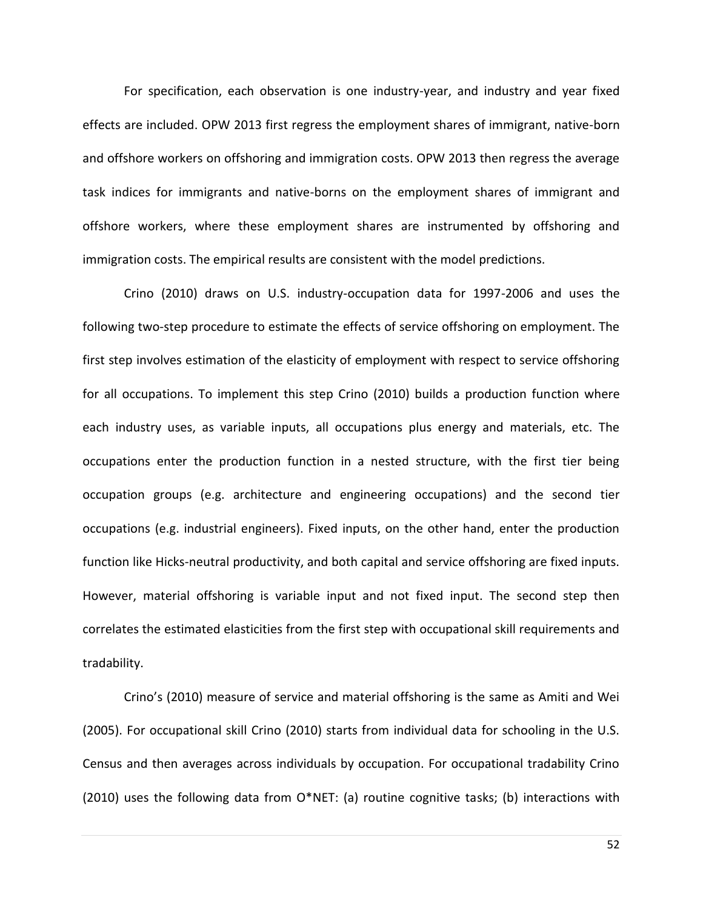For specification, each observation is one industry-year, and industry and year fixed effects are included. OPW 2013 first regress the employment shares of immigrant, native-born and offshore workers on offshoring and immigration costs. OPW 2013 then regress the average task indices for immigrants and native-borns on the employment shares of immigrant and offshore workers, where these employment shares are instrumented by offshoring and immigration costs. The empirical results are consistent with the model predictions.

Crino (2010) draws on U.S. industry-occupation data for 1997-2006 and uses the following two-step procedure to estimate the effects of service offshoring on employment. The first step involves estimation of the elasticity of employment with respect to service offshoring for all occupations. To implement this step Crino (2010) builds a production function where each industry uses, as variable inputs, all occupations plus energy and materials, etc. The occupations enter the production function in a nested structure, with the first tier being occupation groups (e.g. architecture and engineering occupations) and the second tier occupations (e.g. industrial engineers). Fixed inputs, on the other hand, enter the production function like Hicks-neutral productivity, and both capital and service offshoring are fixed inputs. However, material offshoring is variable input and not fixed input. The second step then correlates the estimated elasticities from the first step with occupational skill requirements and tradability.

Crino's (2010) measure of service and material offshoring is the same as Amiti and Wei (2005). For occupational skill Crino (2010) starts from individual data for schooling in the U.S. Census and then averages across individuals by occupation. For occupational tradability Crino (2010) uses the following data from O\*NET: (a) routine cognitive tasks; (b) interactions with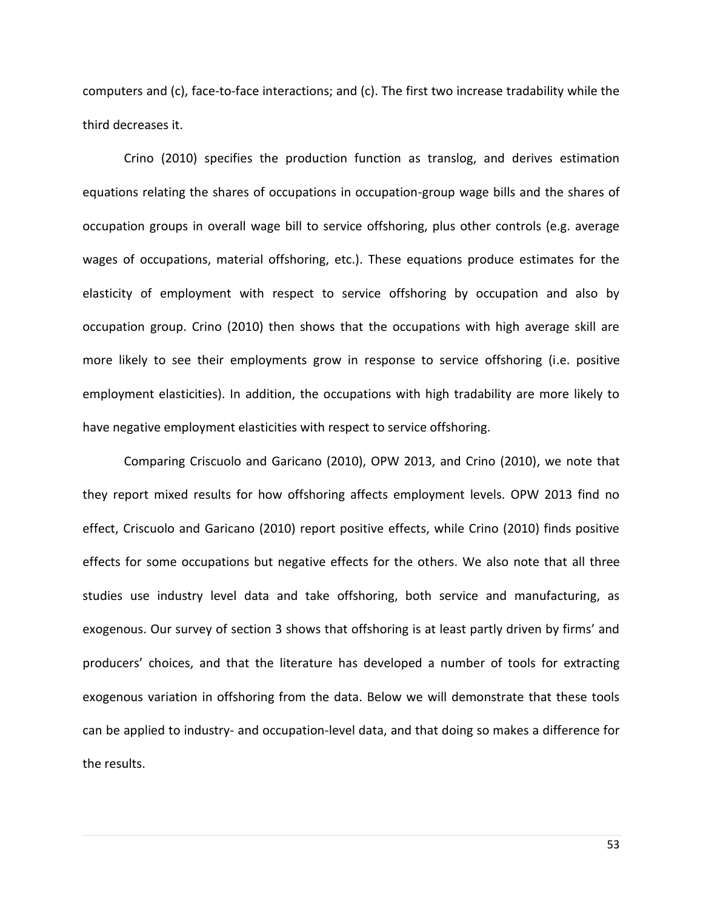computers and (c), face-to-face interactions; and (c). The first two increase tradability while the third decreases it.

Crino (2010) specifies the production function as translog, and derives estimation equations relating the shares of occupations in occupation-group wage bills and the shares of occupation groups in overall wage bill to service offshoring, plus other controls (e.g. average wages of occupations, material offshoring, etc.). These equations produce estimates for the elasticity of employment with respect to service offshoring by occupation and also by occupation group. Crino (2010) then shows that the occupations with high average skill are more likely to see their employments grow in response to service offshoring (i.e. positive employment elasticities). In addition, the occupations with high tradability are more likely to have negative employment elasticities with respect to service offshoring.

Comparing Criscuolo and Garicano (2010), OPW 2013, and Crino (2010), we note that they report mixed results for how offshoring affects employment levels. OPW 2013 find no effect, Criscuolo and Garicano (2010) report positive effects, while Crino (2010) finds positive effects for some occupations but negative effects for the others. We also note that all three studies use industry level data and take offshoring, both service and manufacturing, as exogenous. Our survey of section 3 shows that offshoring is at least partly driven by firms' and producers' choices, and that the literature has developed a number of tools for extracting exogenous variation in offshoring from the data. Below we will demonstrate that these tools can be applied to industry- and occupation-level data, and that doing so makes a difference for the results.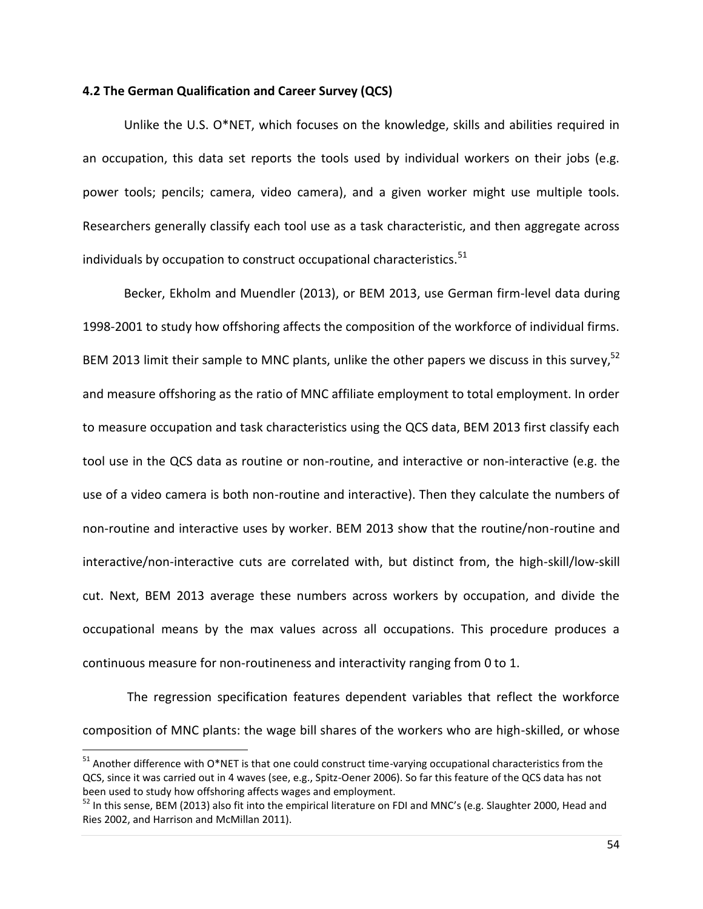## **4.2 The German Qualification and Career Survey (QCS)**

Unlike the U.S. O\*NET, which focuses on the knowledge, skills and abilities required in an occupation, this data set reports the tools used by individual workers on their jobs (e.g. power tools; pencils; camera, video camera), and a given worker might use multiple tools. Researchers generally classify each tool use as a task characteristic, and then aggregate across individuals by occupation to construct occupational characteristics.<sup>51</sup>

Becker, Ekholm and Muendler (2013), or BEM 2013, use German firm-level data during 1998-2001 to study how offshoring affects the composition of the workforce of individual firms. BEM 2013 limit their sample to MNC plants, unlike the other papers we discuss in this survey,  $52$ and measure offshoring as the ratio of MNC affiliate employment to total employment. In order to measure occupation and task characteristics using the QCS data, BEM 2013 first classify each tool use in the QCS data as routine or non-routine, and interactive or non-interactive (e.g. the use of a video camera is both non-routine and interactive). Then they calculate the numbers of non-routine and interactive uses by worker. BEM 2013 show that the routine/non-routine and interactive/non-interactive cuts are correlated with, but distinct from, the high-skill/low-skill cut. Next, BEM 2013 average these numbers across workers by occupation, and divide the occupational means by the max values across all occupations. This procedure produces a continuous measure for non-routineness and interactivity ranging from 0 to 1.

The regression specification features dependent variables that reflect the workforce composition of MNC plants: the wage bill shares of the workers who are high-skilled, or whose

l

<sup>&</sup>lt;sup>51</sup> Another difference with O\*NET is that one could construct time-varying occupational characteristics from the QCS, since it was carried out in 4 waves (see, e.g., Spitz-Oener 2006). So far this feature of the QCS data has not been used to study how offshoring affects wages and employment.

 $52$  In this sense, BEM (2013) also fit into the empirical literature on FDI and MNC's (e.g. Slaughter 2000, Head and Ries 2002, and Harrison and McMillan 2011).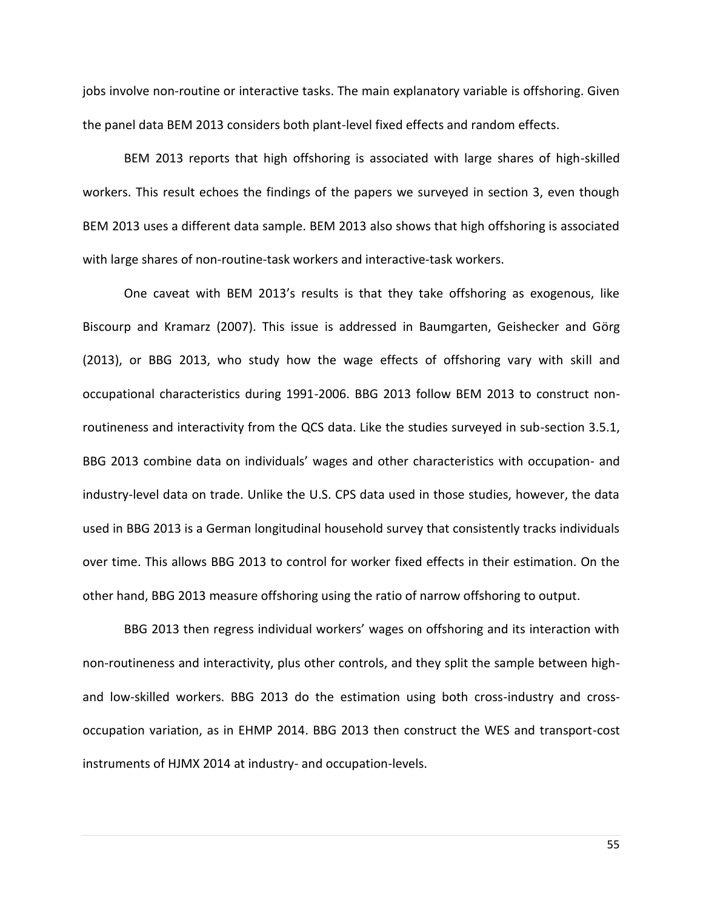jobs involve non-routine or interactive tasks. The main explanatory variable is offshoring. Given the panel data BEM 2013 considers both plant-level fixed effects and random effects.

BEM 2013 reports that high offshoring is associated with large shares of high-skilled workers. This result echoes the findings of the papers we surveyed in section 3, even though BEM 2013 uses a different data sample. BEM 2013 also shows that high offshoring is associated with large shares of non-routine-task workers and interactive-task workers.

One caveat with BEM 2013's results is that they take offshoring as exogenous, like Biscourp and Kramarz (2007). This issue is addressed in Baumgarten, Geishecker and Görg (2013), or BBG 2013, who study how the wage effects of offshoring vary with skill and occupational characteristics during 1991-2006. BBG 2013 follow BEM 2013 to construct nonroutineness and interactivity from the QCS data. Like the studies surveyed in sub-section 3.5.1, BBG 2013 combine data on individuals' wages and other characteristics with occupation- and industry-level data on trade. Unlike the U.S. CPS data used in those studies, however, the data used in BBG 2013 is a German longitudinal household survey that consistently tracks individuals over time. This allows BBG 2013 to control for worker fixed effects in their estimation. On the other hand, BBG 2013 measure offshoring using the ratio of narrow offshoring to output.

BBG 2013 then regress individual workers' wages on offshoring and its interaction with non-routineness and interactivity, plus other controls, and they split the sample between highand low-skilled workers. BBG 2013 do the estimation using both cross-industry and crossoccupation variation, as in EHMP 2014. BBG 2013 then construct the WES and transport-cost instruments of HJMX 2014 at industry- and occupation-levels.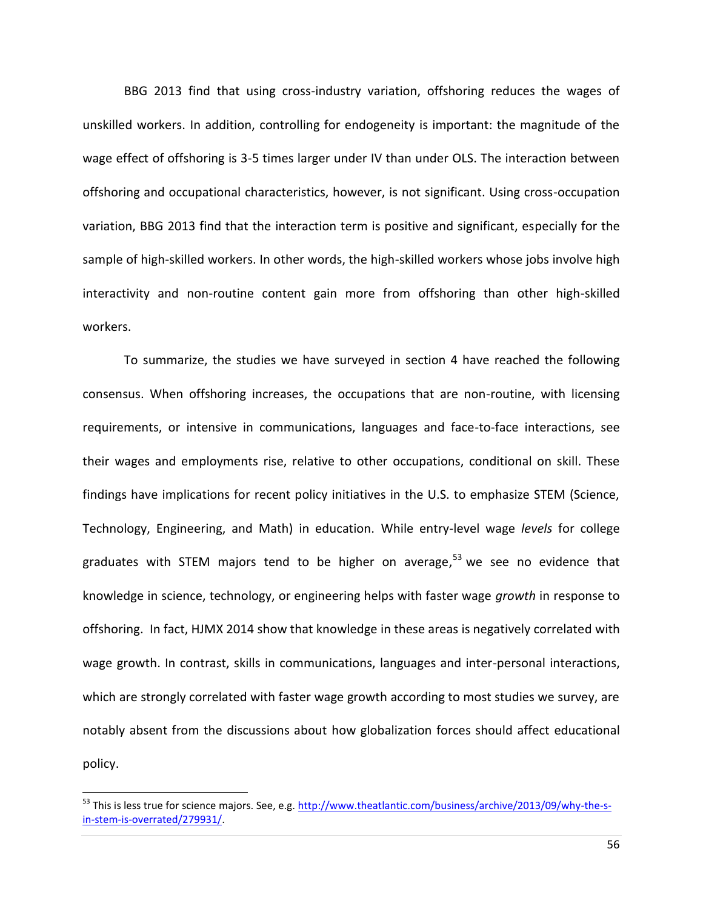BBG 2013 find that using cross-industry variation, offshoring reduces the wages of unskilled workers. In addition, controlling for endogeneity is important: the magnitude of the wage effect of offshoring is 3-5 times larger under IV than under OLS. The interaction between offshoring and occupational characteristics, however, is not significant. Using cross-occupation variation, BBG 2013 find that the interaction term is positive and significant, especially for the sample of high-skilled workers. In other words, the high-skilled workers whose jobs involve high interactivity and non-routine content gain more from offshoring than other high-skilled workers.

To summarize, the studies we have surveyed in section 4 have reached the following consensus. When offshoring increases, the occupations that are non-routine, with licensing requirements, or intensive in communications, languages and face-to-face interactions, see their wages and employments rise, relative to other occupations, conditional on skill. These findings have implications for recent policy initiatives in the U.S. to emphasize STEM (Science, Technology, Engineering, and Math) in education. While entry-level wage *levels* for college graduates with STEM majors tend to be higher on average, <sup>53</sup> we see no evidence that knowledge in science, technology, or engineering helps with faster wage *growth* in response to offshoring. In fact, HJMX 2014 show that knowledge in these areas is negatively correlated with wage growth. In contrast, skills in communications, languages and inter-personal interactions, which are strongly correlated with faster wage growth according to most studies we survey, are notably absent from the discussions about how globalization forces should affect educational policy.

l

<sup>53</sup> This is less true for science majors. See, e.g[. http://www.theatlantic.com/business/archive/2013/09/why-the-s](http://www.theatlantic.com/business/archive/2013/09/why-the-s-in-stem-is-overrated/279931/)[in-stem-is-overrated/279931/.](http://www.theatlantic.com/business/archive/2013/09/why-the-s-in-stem-is-overrated/279931/)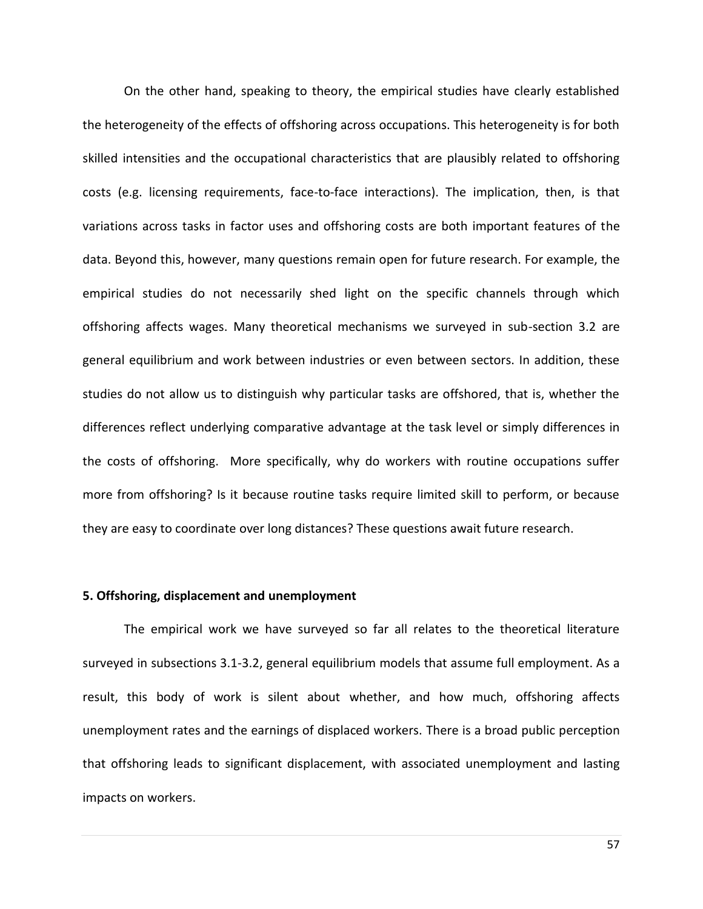On the other hand, speaking to theory, the empirical studies have clearly established the heterogeneity of the effects of offshoring across occupations. This heterogeneity is for both skilled intensities and the occupational characteristics that are plausibly related to offshoring costs (e.g. licensing requirements, face-to-face interactions). The implication, then, is that variations across tasks in factor uses and offshoring costs are both important features of the data. Beyond this, however, many questions remain open for future research. For example, the empirical studies do not necessarily shed light on the specific channels through which offshoring affects wages. Many theoretical mechanisms we surveyed in sub-section 3.2 are general equilibrium and work between industries or even between sectors. In addition, these studies do not allow us to distinguish why particular tasks are offshored, that is, whether the differences reflect underlying comparative advantage at the task level or simply differences in the costs of offshoring. More specifically, why do workers with routine occupations suffer more from offshoring? Is it because routine tasks require limited skill to perform, or because they are easy to coordinate over long distances? These questions await future research.

### **5. Offshoring, displacement and unemployment**

The empirical work we have surveyed so far all relates to the theoretical literature surveyed in subsections 3.1-3.2, general equilibrium models that assume full employment. As a result, this body of work is silent about whether, and how much, offshoring affects unemployment rates and the earnings of displaced workers. There is a broad public perception that offshoring leads to significant displacement, with associated unemployment and lasting impacts on workers.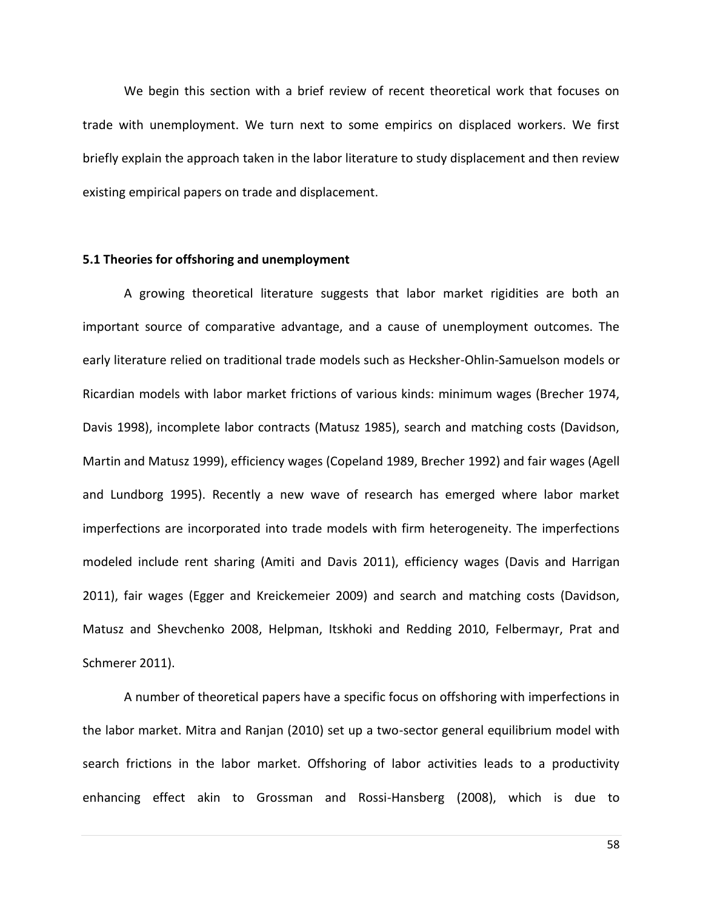We begin this section with a brief review of recent theoretical work that focuses on trade with unemployment. We turn next to some empirics on displaced workers. We first briefly explain the approach taken in the labor literature to study displacement and then review existing empirical papers on trade and displacement.

## **5.1 Theories for offshoring and unemployment**

A growing theoretical literature suggests that labor market rigidities are both an important source of comparative advantage, and a cause of unemployment outcomes. The early literature relied on traditional trade models such as Hecksher-Ohlin-Samuelson models or Ricardian models with labor market frictions of various kinds: minimum wages (Brecher 1974, Davis 1998), incomplete labor contracts (Matusz 1985), search and matching costs (Davidson, Martin and Matusz 1999), efficiency wages (Copeland 1989, Brecher 1992) and fair wages (Agell and Lundborg 1995). Recently a new wave of research has emerged where labor market imperfections are incorporated into trade models with firm heterogeneity. The imperfections modeled include rent sharing (Amiti and Davis 2011), efficiency wages (Davis and Harrigan 2011), fair wages (Egger and Kreickemeier 2009) and search and matching costs (Davidson, Matusz and Shevchenko 2008, Helpman, Itskhoki and Redding 2010, Felbermayr, Prat and Schmerer 2011).

A number of theoretical papers have a specific focus on offshoring with imperfections in the labor market. Mitra and Ranjan (2010) set up a two-sector general equilibrium model with search frictions in the labor market. Offshoring of labor activities leads to a productivity enhancing effect akin to Grossman and Rossi-Hansberg (2008), which is due to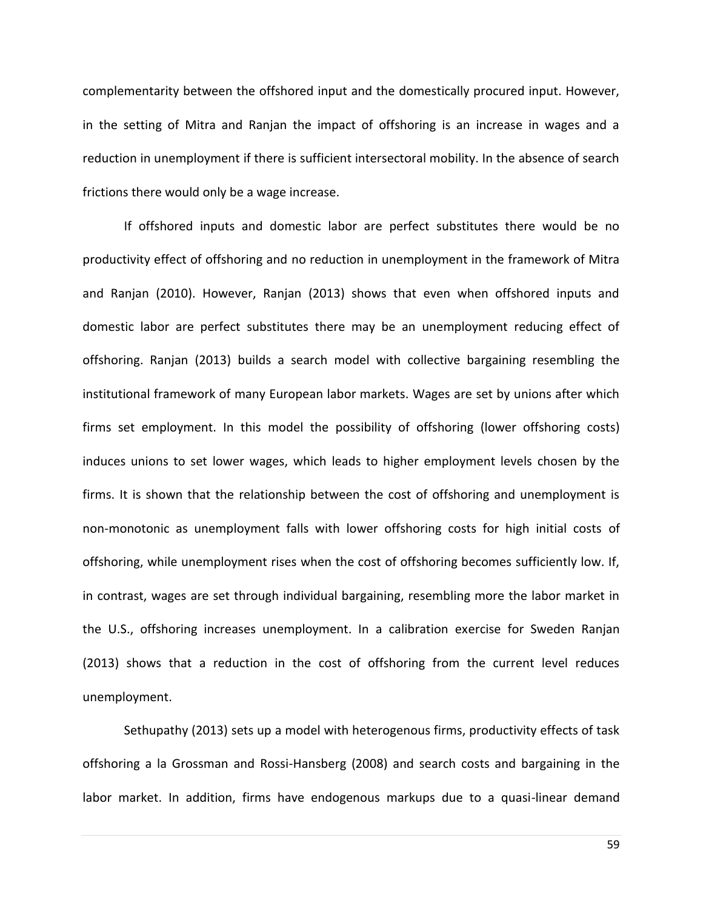complementarity between the offshored input and the domestically procured input. However, in the setting of Mitra and Ranjan the impact of offshoring is an increase in wages and a reduction in unemployment if there is sufficient intersectoral mobility. In the absence of search frictions there would only be a wage increase.

If offshored inputs and domestic labor are perfect substitutes there would be no productivity effect of offshoring and no reduction in unemployment in the framework of Mitra and Ranjan (2010). However, Ranjan (2013) shows that even when offshored inputs and domestic labor are perfect substitutes there may be an unemployment reducing effect of offshoring. Ranjan (2013) builds a search model with collective bargaining resembling the institutional framework of many European labor markets. Wages are set by unions after which firms set employment. In this model the possibility of offshoring (lower offshoring costs) induces unions to set lower wages, which leads to higher employment levels chosen by the firms. It is shown that the relationship between the cost of offshoring and unemployment is non-monotonic as unemployment falls with lower offshoring costs for high initial costs of offshoring, while unemployment rises when the cost of offshoring becomes sufficiently low. If, in contrast, wages are set through individual bargaining, resembling more the labor market in the U.S., offshoring increases unemployment. In a calibration exercise for Sweden Ranjan (2013) shows that a reduction in the cost of offshoring from the current level reduces unemployment.

Sethupathy (2013) sets up a model with heterogenous firms, productivity effects of task offshoring a la Grossman and Rossi-Hansberg (2008) and search costs and bargaining in the labor market. In addition, firms have endogenous markups due to a quasi-linear demand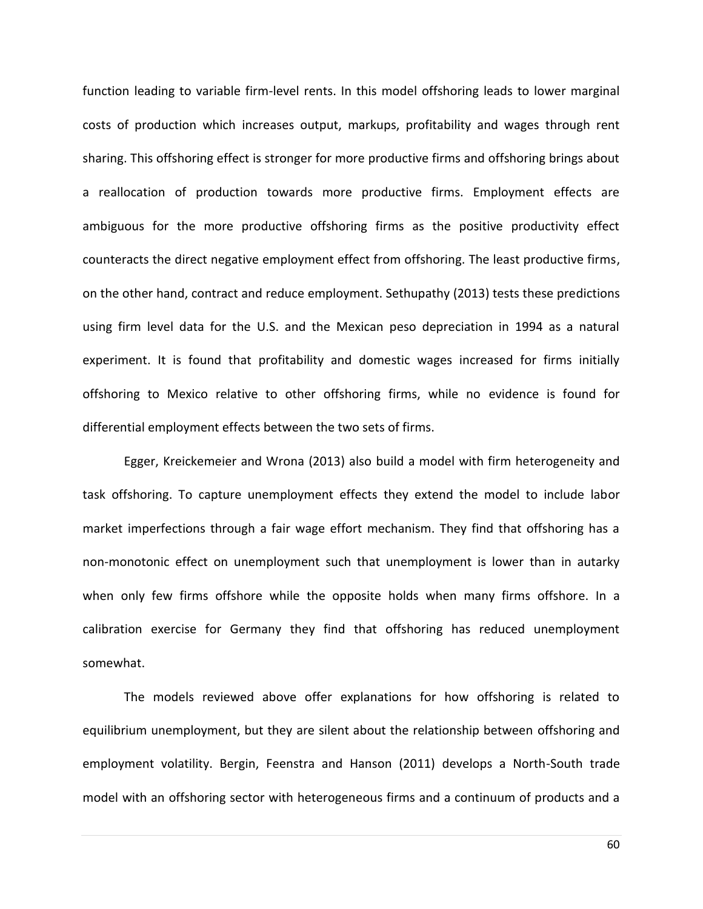function leading to variable firm-level rents. In this model offshoring leads to lower marginal costs of production which increases output, markups, profitability and wages through rent sharing. This offshoring effect is stronger for more productive firms and offshoring brings about a reallocation of production towards more productive firms. Employment effects are ambiguous for the more productive offshoring firms as the positive productivity effect counteracts the direct negative employment effect from offshoring. The least productive firms, on the other hand, contract and reduce employment. Sethupathy (2013) tests these predictions using firm level data for the U.S. and the Mexican peso depreciation in 1994 as a natural experiment. It is found that profitability and domestic wages increased for firms initially offshoring to Mexico relative to other offshoring firms, while no evidence is found for differential employment effects between the two sets of firms.

Egger, Kreickemeier and Wrona (2013) also build a model with firm heterogeneity and task offshoring. To capture unemployment effects they extend the model to include labor market imperfections through a fair wage effort mechanism. They find that offshoring has a non-monotonic effect on unemployment such that unemployment is lower than in autarky when only few firms offshore while the opposite holds when many firms offshore. In a calibration exercise for Germany they find that offshoring has reduced unemployment somewhat.

The models reviewed above offer explanations for how offshoring is related to equilibrium unemployment, but they are silent about the relationship between offshoring and employment volatility. Bergin, Feenstra and Hanson (2011) develops a North-South trade model with an offshoring sector with heterogeneous firms and a continuum of products and a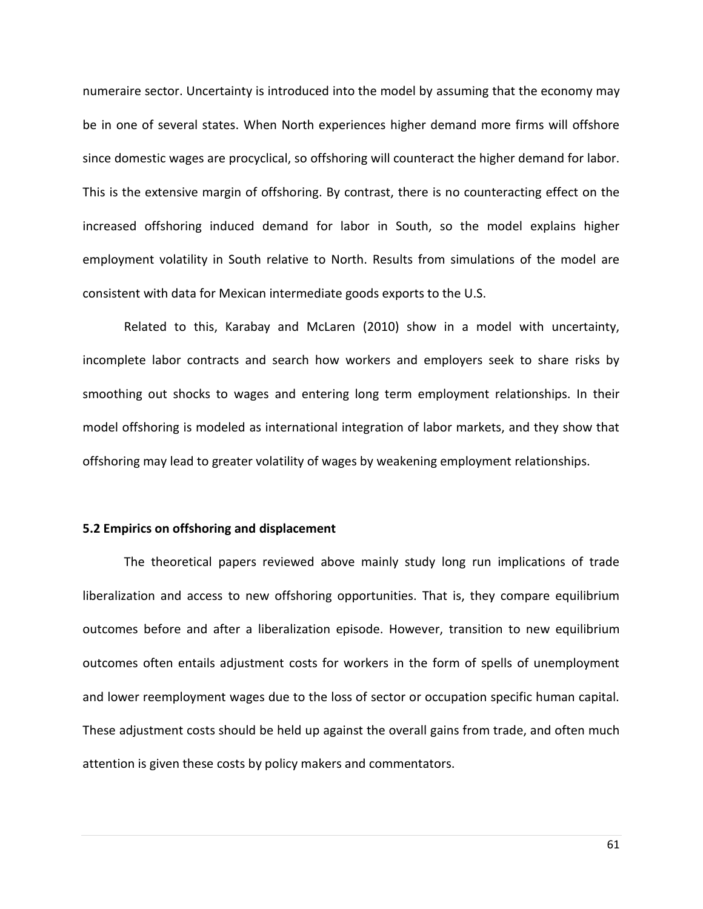numeraire sector. Uncertainty is introduced into the model by assuming that the economy may be in one of several states. When North experiences higher demand more firms will offshore since domestic wages are procyclical, so offshoring will counteract the higher demand for labor. This is the extensive margin of offshoring. By contrast, there is no counteracting effect on the increased offshoring induced demand for labor in South, so the model explains higher employment volatility in South relative to North. Results from simulations of the model are consistent with data for Mexican intermediate goods exports to the U.S.

Related to this, Karabay and McLaren (2010) show in a model with uncertainty, incomplete labor contracts and search how workers and employers seek to share risks by smoothing out shocks to wages and entering long term employment relationships. In their model offshoring is modeled as international integration of labor markets, and they show that offshoring may lead to greater volatility of wages by weakening employment relationships.

# **5.2 Empirics on offshoring and displacement**

The theoretical papers reviewed above mainly study long run implications of trade liberalization and access to new offshoring opportunities. That is, they compare equilibrium outcomes before and after a liberalization episode. However, transition to new equilibrium outcomes often entails adjustment costs for workers in the form of spells of unemployment and lower reemployment wages due to the loss of sector or occupation specific human capital. These adjustment costs should be held up against the overall gains from trade, and often much attention is given these costs by policy makers and commentators.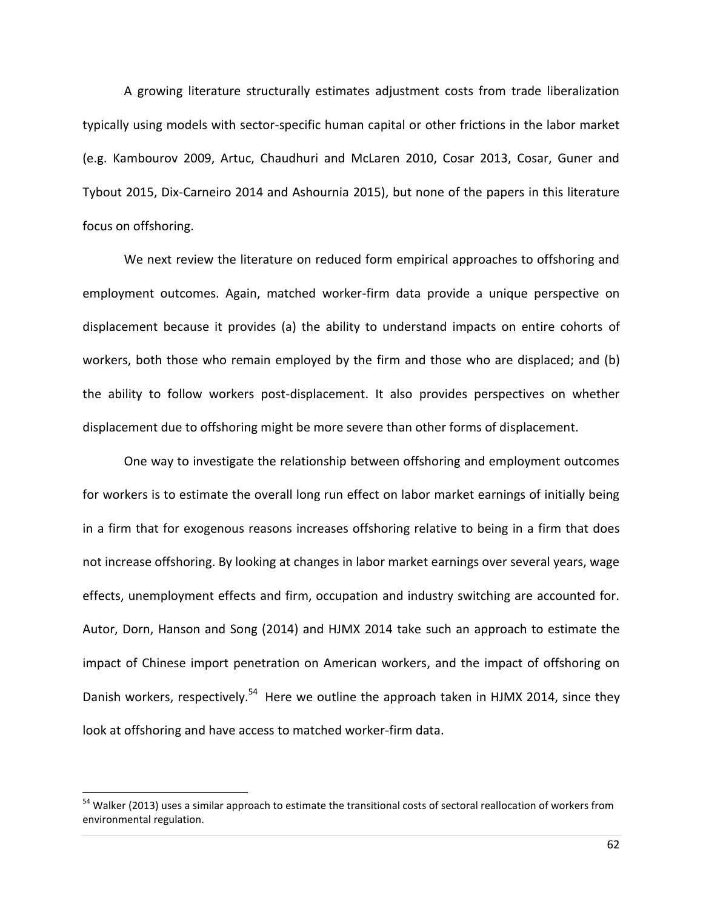A growing literature structurally estimates adjustment costs from trade liberalization typically using models with sector-specific human capital or other frictions in the labor market (e.g. Kambourov 2009, Artuc, Chaudhuri and McLaren 2010, Cosar 2013, Cosar, Guner and Tybout 2015, Dix-Carneiro 2014 and Ashournia 2015), but none of the papers in this literature focus on offshoring.

We next review the literature on reduced form empirical approaches to offshoring and employment outcomes. Again, matched worker-firm data provide a unique perspective on displacement because it provides (a) the ability to understand impacts on entire cohorts of workers, both those who remain employed by the firm and those who are displaced; and (b) the ability to follow workers post-displacement. It also provides perspectives on whether displacement due to offshoring might be more severe than other forms of displacement.

One way to investigate the relationship between offshoring and employment outcomes for workers is to estimate the overall long run effect on labor market earnings of initially being in a firm that for exogenous reasons increases offshoring relative to being in a firm that does not increase offshoring. By looking at changes in labor market earnings over several years, wage effects, unemployment effects and firm, occupation and industry switching are accounted for. Autor, Dorn, Hanson and Song (2014) and HJMX 2014 take such an approach to estimate the impact of Chinese import penetration on American workers, and the impact of offshoring on Danish workers, respectively.<sup>54</sup> Here we outline the approach taken in HJMX 2014, since they look at offshoring and have access to matched worker-firm data.

l

<sup>&</sup>lt;sup>54</sup> Walker (2013) uses a similar approach to estimate the transitional costs of sectoral reallocation of workers from environmental regulation.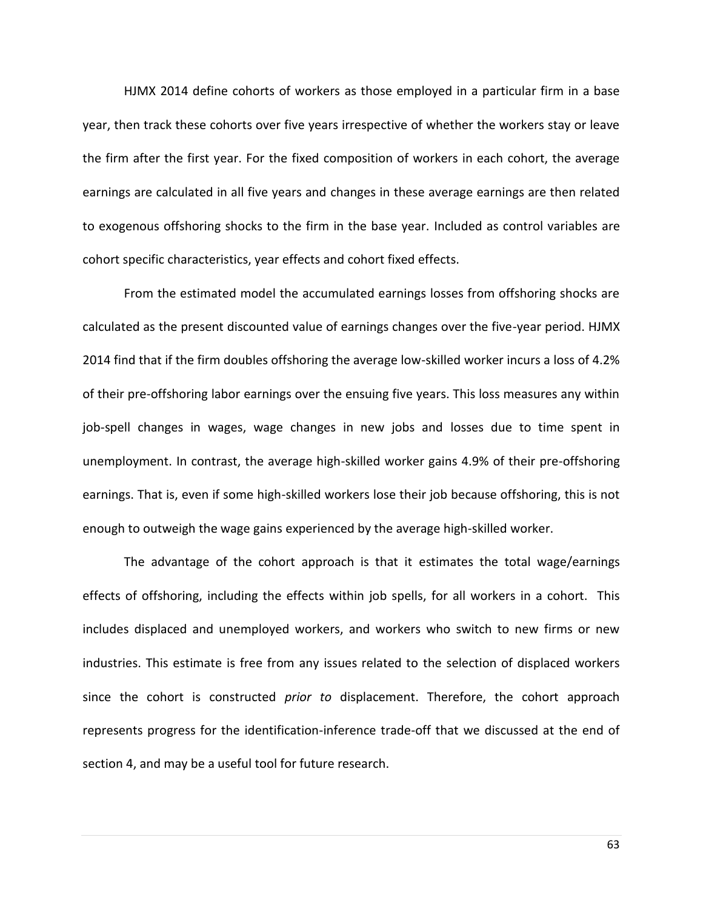HJMX 2014 define cohorts of workers as those employed in a particular firm in a base year, then track these cohorts over five years irrespective of whether the workers stay or leave the firm after the first year. For the fixed composition of workers in each cohort, the average earnings are calculated in all five years and changes in these average earnings are then related to exogenous offshoring shocks to the firm in the base year. Included as control variables are cohort specific characteristics, year effects and cohort fixed effects.

From the estimated model the accumulated earnings losses from offshoring shocks are calculated as the present discounted value of earnings changes over the five-year period. HJMX 2014 find that if the firm doubles offshoring the average low-skilled worker incurs a loss of 4.2% of their pre-offshoring labor earnings over the ensuing five years. This loss measures any within job-spell changes in wages, wage changes in new jobs and losses due to time spent in unemployment. In contrast, the average high-skilled worker gains 4.9% of their pre-offshoring earnings. That is, even if some high-skilled workers lose their job because offshoring, this is not enough to outweigh the wage gains experienced by the average high-skilled worker.

The advantage of the cohort approach is that it estimates the total wage/earnings effects of offshoring, including the effects within job spells, for all workers in a cohort. This includes displaced and unemployed workers, and workers who switch to new firms or new industries. This estimate is free from any issues related to the selection of displaced workers since the cohort is constructed *prior to* displacement. Therefore, the cohort approach represents progress for the identification-inference trade-off that we discussed at the end of section 4, and may be a useful tool for future research.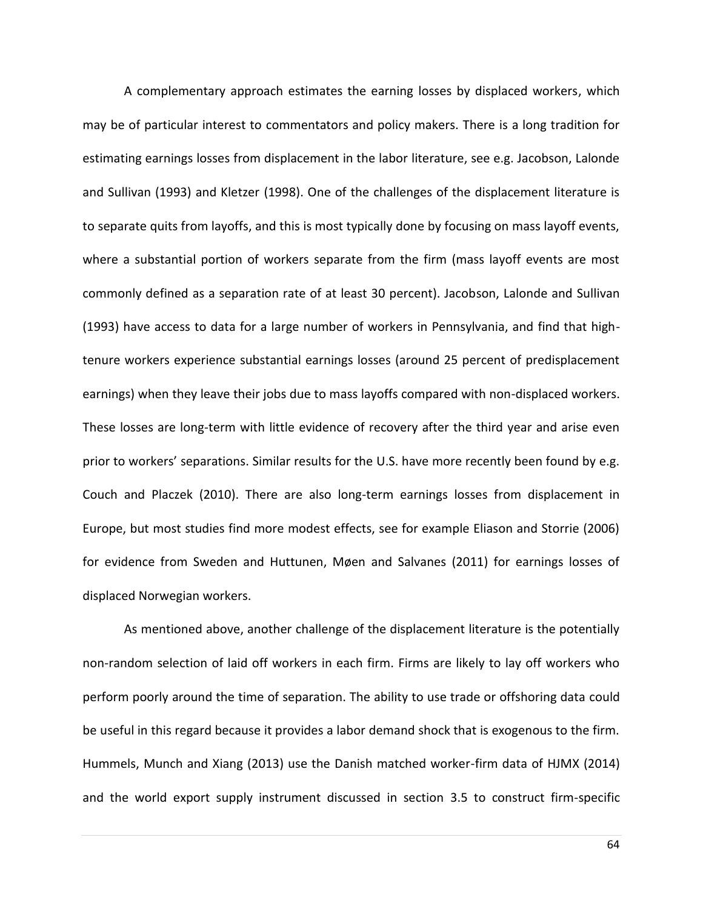A complementary approach estimates the earning losses by displaced workers, which may be of particular interest to commentators and policy makers. There is a long tradition for estimating earnings losses from displacement in the labor literature, see e.g. Jacobson, Lalonde and Sullivan (1993) and Kletzer (1998). One of the challenges of the displacement literature is to separate quits from layoffs, and this is most typically done by focusing on mass layoff events, where a substantial portion of workers separate from the firm (mass layoff events are most commonly defined as a separation rate of at least 30 percent). Jacobson, Lalonde and Sullivan (1993) have access to data for a large number of workers in Pennsylvania, and find that hightenure workers experience substantial earnings losses (around 25 percent of predisplacement earnings) when they leave their jobs due to mass layoffs compared with non-displaced workers. These losses are long-term with little evidence of recovery after the third year and arise even prior to workers' separations. Similar results for the U.S. have more recently been found by e.g. Couch and Placzek (2010). There are also long-term earnings losses from displacement in Europe, but most studies find more modest effects, see for example Eliason and Storrie (2006) for evidence from Sweden and Huttunen, Møen and Salvanes (2011) for earnings losses of displaced Norwegian workers.

As mentioned above, another challenge of the displacement literature is the potentially non-random selection of laid off workers in each firm. Firms are likely to lay off workers who perform poorly around the time of separation. The ability to use trade or offshoring data could be useful in this regard because it provides a labor demand shock that is exogenous to the firm. Hummels, Munch and Xiang (2013) use the Danish matched worker-firm data of HJMX (2014) and the world export supply instrument discussed in section 3.5 to construct firm-specific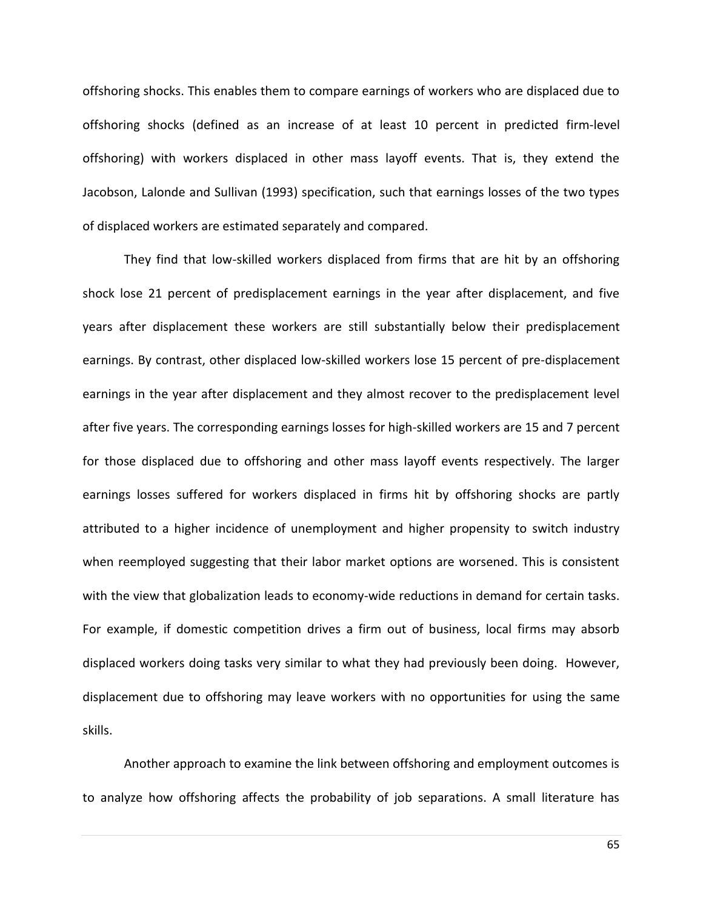offshoring shocks. This enables them to compare earnings of workers who are displaced due to offshoring shocks (defined as an increase of at least 10 percent in predicted firm-level offshoring) with workers displaced in other mass layoff events. That is, they extend the Jacobson, Lalonde and Sullivan (1993) specification, such that earnings losses of the two types of displaced workers are estimated separately and compared.

They find that low-skilled workers displaced from firms that are hit by an offshoring shock lose 21 percent of predisplacement earnings in the year after displacement, and five years after displacement these workers are still substantially below their predisplacement earnings. By contrast, other displaced low-skilled workers lose 15 percent of pre-displacement earnings in the year after displacement and they almost recover to the predisplacement level after five years. The corresponding earnings losses for high-skilled workers are 15 and 7 percent for those displaced due to offshoring and other mass layoff events respectively. The larger earnings losses suffered for workers displaced in firms hit by offshoring shocks are partly attributed to a higher incidence of unemployment and higher propensity to switch industry when reemployed suggesting that their labor market options are worsened. This is consistent with the view that globalization leads to economy-wide reductions in demand for certain tasks. For example, if domestic competition drives a firm out of business, local firms may absorb displaced workers doing tasks very similar to what they had previously been doing. However, displacement due to offshoring may leave workers with no opportunities for using the same skills.

Another approach to examine the link between offshoring and employment outcomes is to analyze how offshoring affects the probability of job separations. A small literature has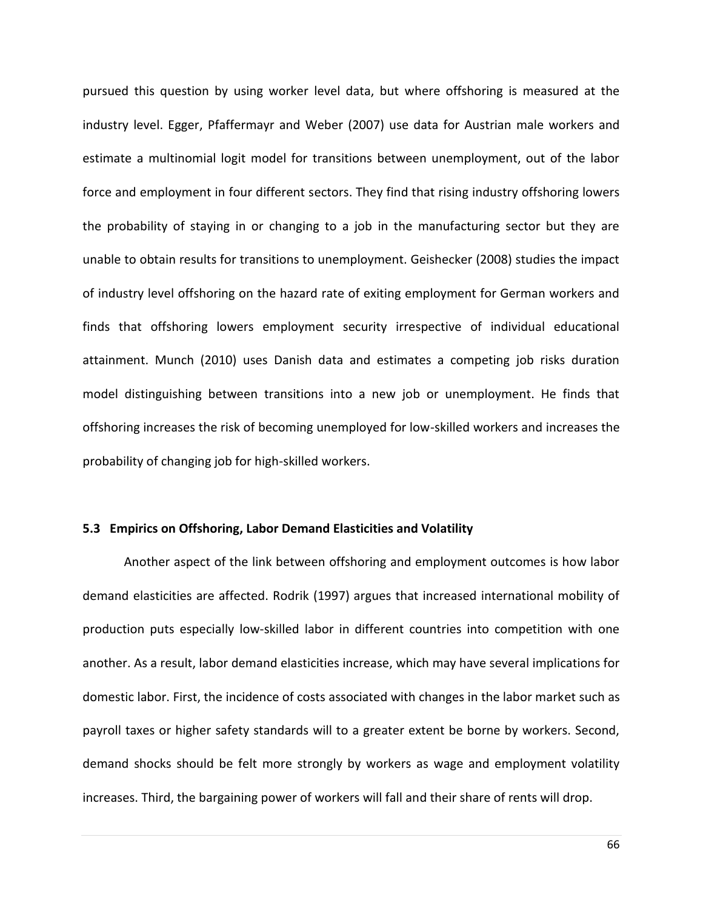pursued this question by using worker level data, but where offshoring is measured at the industry level. Egger, Pfaffermayr and Weber (2007) use data for Austrian male workers and estimate a multinomial logit model for transitions between unemployment, out of the labor force and employment in four different sectors. They find that rising industry offshoring lowers the probability of staying in or changing to a job in the manufacturing sector but they are unable to obtain results for transitions to unemployment. Geishecker (2008) studies the impact of industry level offshoring on the hazard rate of exiting employment for German workers and finds that offshoring lowers employment security irrespective of individual educational attainment. Munch (2010) uses Danish data and estimates a competing job risks duration model distinguishing between transitions into a new job or unemployment. He finds that offshoring increases the risk of becoming unemployed for low-skilled workers and increases the probability of changing job for high-skilled workers.

#### **5.3 Empirics on Offshoring, Labor Demand Elasticities and Volatility**

Another aspect of the link between offshoring and employment outcomes is how labor demand elasticities are affected. Rodrik (1997) argues that increased international mobility of production puts especially low-skilled labor in different countries into competition with one another. As a result, labor demand elasticities increase, which may have several implications for domestic labor. First, the incidence of costs associated with changes in the labor market such as payroll taxes or higher safety standards will to a greater extent be borne by workers. Second, demand shocks should be felt more strongly by workers as wage and employment volatility increases. Third, the bargaining power of workers will fall and their share of rents will drop.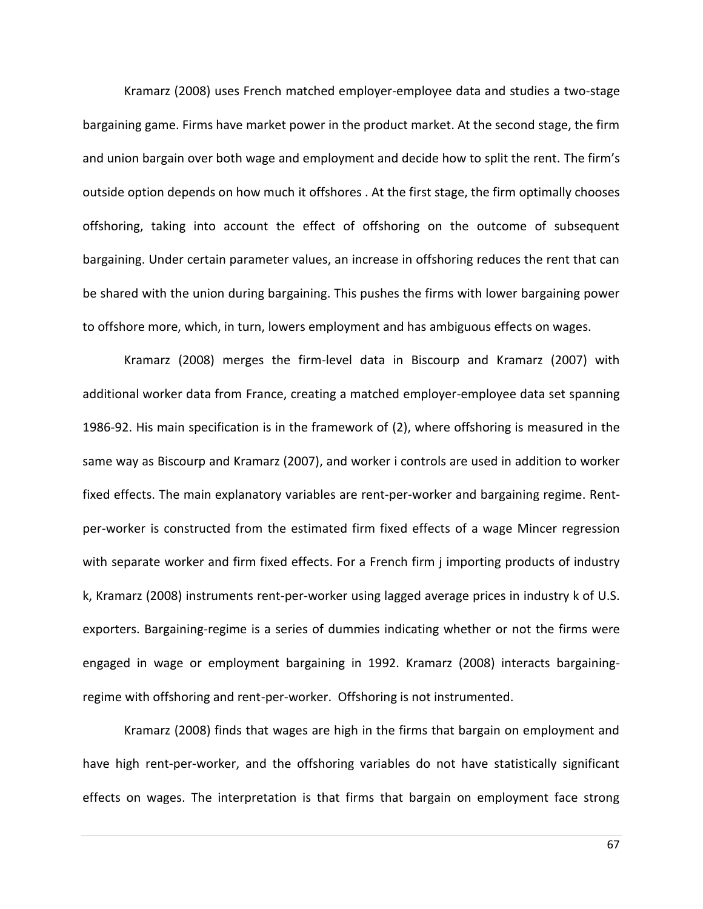Kramarz (2008) uses French matched employer-employee data and studies a two-stage bargaining game. Firms have market power in the product market. At the second stage, the firm and union bargain over both wage and employment and decide how to split the rent. The firm's outside option depends on how much it offshores . At the first stage, the firm optimally chooses offshoring, taking into account the effect of offshoring on the outcome of subsequent bargaining. Under certain parameter values, an increase in offshoring reduces the rent that can be shared with the union during bargaining. This pushes the firms with lower bargaining power to offshore more, which, in turn, lowers employment and has ambiguous effects on wages.

Kramarz (2008) merges the firm-level data in Biscourp and Kramarz (2007) with additional worker data from France, creating a matched employer-employee data set spanning 1986-92. His main specification is in the framework of (2), where offshoring is measured in the same way as Biscourp and Kramarz (2007), and worker i controls are used in addition to worker fixed effects. The main explanatory variables are rent-per-worker and bargaining regime. Rentper-worker is constructed from the estimated firm fixed effects of a wage Mincer regression with separate worker and firm fixed effects. For a French firm j importing products of industry k, Kramarz (2008) instruments rent-per-worker using lagged average prices in industry k of U.S. exporters. Bargaining-regime is a series of dummies indicating whether or not the firms were engaged in wage or employment bargaining in 1992. Kramarz (2008) interacts bargainingregime with offshoring and rent-per-worker. Offshoring is not instrumented.

Kramarz (2008) finds that wages are high in the firms that bargain on employment and have high rent-per-worker, and the offshoring variables do not have statistically significant effects on wages. The interpretation is that firms that bargain on employment face strong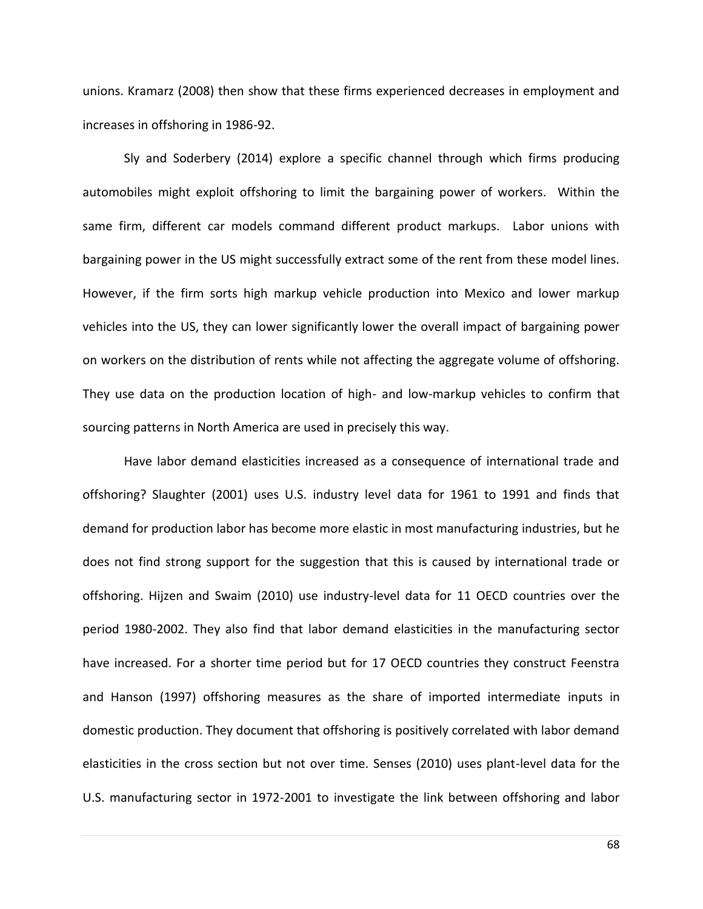unions. Kramarz (2008) then show that these firms experienced decreases in employment and increases in offshoring in 1986-92.

Sly and Soderbery (2014) explore a specific channel through which firms producing automobiles might exploit offshoring to limit the bargaining power of workers. Within the same firm, different car models command different product markups. Labor unions with bargaining power in the US might successfully extract some of the rent from these model lines. However, if the firm sorts high markup vehicle production into Mexico and lower markup vehicles into the US, they can lower significantly lower the overall impact of bargaining power on workers on the distribution of rents while not affecting the aggregate volume of offshoring. They use data on the production location of high- and low-markup vehicles to confirm that sourcing patterns in North America are used in precisely this way.

Have labor demand elasticities increased as a consequence of international trade and offshoring? Slaughter (2001) uses U.S. industry level data for 1961 to 1991 and finds that demand for production labor has become more elastic in most manufacturing industries, but he does not find strong support for the suggestion that this is caused by international trade or offshoring. Hijzen and Swaim (2010) use industry-level data for 11 OECD countries over the period 1980-2002. They also find that labor demand elasticities in the manufacturing sector have increased. For a shorter time period but for 17 OECD countries they construct Feenstra and Hanson (1997) offshoring measures as the share of imported intermediate inputs in domestic production. They document that offshoring is positively correlated with labor demand elasticities in the cross section but not over time. Senses (2010) uses plant-level data for the U.S. manufacturing sector in 1972-2001 to investigate the link between offshoring and labor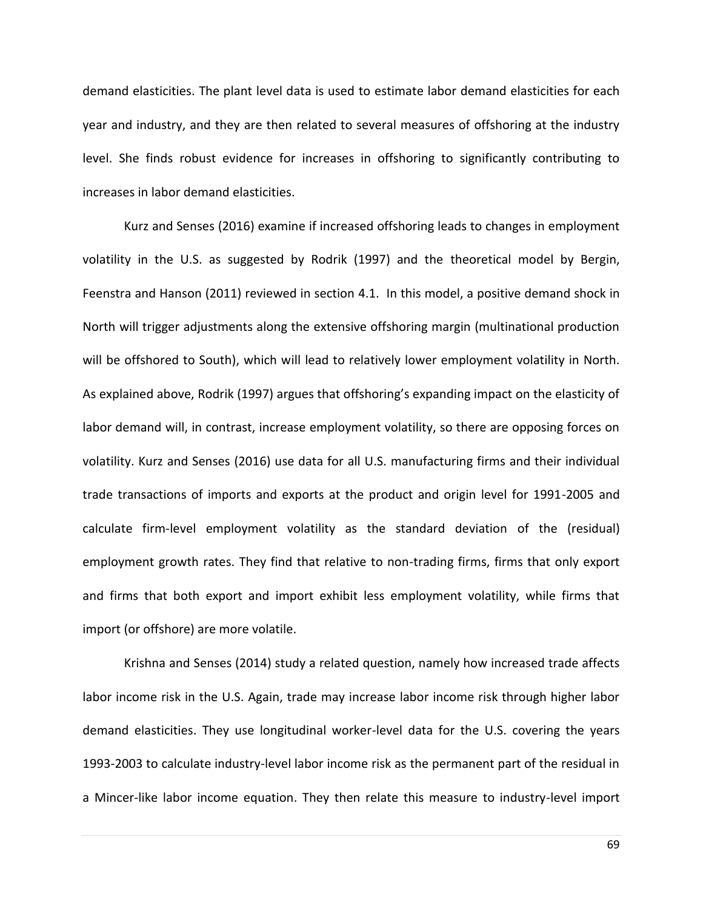demand elasticities. The plant level data is used to estimate labor demand elasticities for each year and industry, and they are then related to several measures of offshoring at the industry level. She finds robust evidence for increases in offshoring to significantly contributing to increases in labor demand elasticities.

Kurz and Senses (2016) examine if increased offshoring leads to changes in employment volatility in the U.S. as suggested by Rodrik (1997) and the theoretical model by Bergin, Feenstra and Hanson (2011) reviewed in section 4.1. In this model, a positive demand shock in North will trigger adjustments along the extensive offshoring margin (multinational production will be offshored to South), which will lead to relatively lower employment volatility in North. As explained above, Rodrik (1997) argues that offshoring's expanding impact on the elasticity of labor demand will, in contrast, increase employment volatility, so there are opposing forces on volatility. Kurz and Senses (2016) use data for all U.S. manufacturing firms and their individual trade transactions of imports and exports at the product and origin level for 1991-2005 and calculate firm-level employment volatility as the standard deviation of the (residual) employment growth rates. They find that relative to non-trading firms, firms that only export and firms that both export and import exhibit less employment volatility, while firms that import (or offshore) are more volatile.

Krishna and Senses (2014) study a related question, namely how increased trade affects labor income risk in the U.S. Again, trade may increase labor income risk through higher labor demand elasticities. They use longitudinal worker-level data for the U.S. covering the years 1993-2003 to calculate industry-level labor income risk as the permanent part of the residual in a Mincer-like labor income equation. They then relate this measure to industry-level import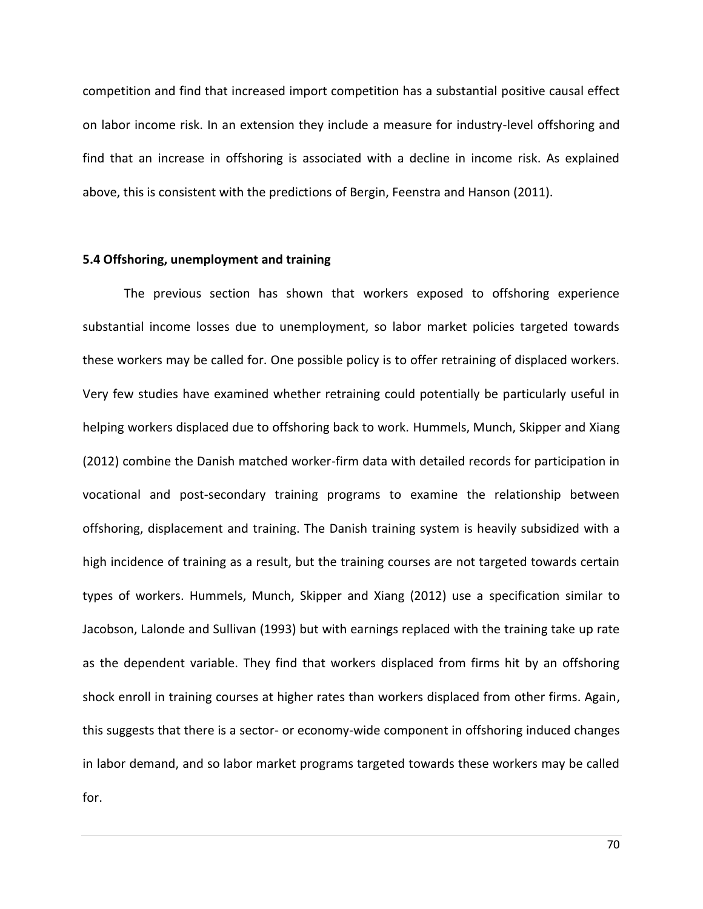competition and find that increased import competition has a substantial positive causal effect on labor income risk. In an extension they include a measure for industry-level offshoring and find that an increase in offshoring is associated with a decline in income risk. As explained above, this is consistent with the predictions of Bergin, Feenstra and Hanson (2011).

## **5.4 Offshoring, unemployment and training**

The previous section has shown that workers exposed to offshoring experience substantial income losses due to unemployment, so labor market policies targeted towards these workers may be called for. One possible policy is to offer retraining of displaced workers. Very few studies have examined whether retraining could potentially be particularly useful in helping workers displaced due to offshoring back to work. Hummels, Munch, Skipper and Xiang (2012) combine the Danish matched worker-firm data with detailed records for participation in vocational and post-secondary training programs to examine the relationship between offshoring, displacement and training. The Danish training system is heavily subsidized with a high incidence of training as a result, but the training courses are not targeted towards certain types of workers. Hummels, Munch, Skipper and Xiang (2012) use a specification similar to Jacobson, Lalonde and Sullivan (1993) but with earnings replaced with the training take up rate as the dependent variable. They find that workers displaced from firms hit by an offshoring shock enroll in training courses at higher rates than workers displaced from other firms. Again, this suggests that there is a sector- or economy-wide component in offshoring induced changes in labor demand, and so labor market programs targeted towards these workers may be called for.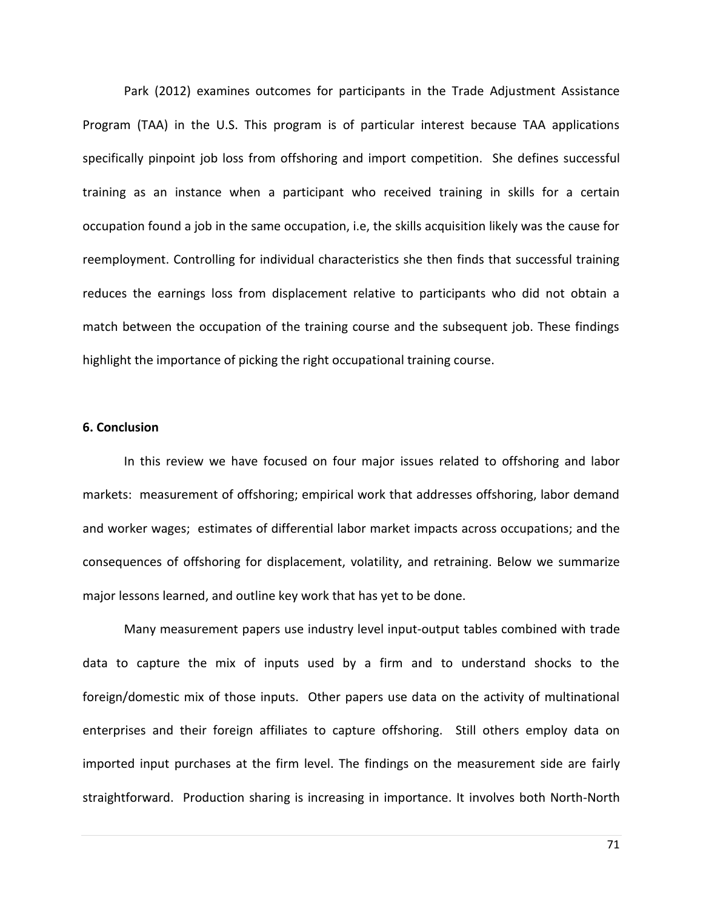Park (2012) examines outcomes for participants in the Trade Adjustment Assistance Program (TAA) in the U.S. This program is of particular interest because TAA applications specifically pinpoint job loss from offshoring and import competition. She defines successful training as an instance when a participant who received training in skills for a certain occupation found a job in the same occupation, i.e, the skills acquisition likely was the cause for reemployment. Controlling for individual characteristics she then finds that successful training reduces the earnings loss from displacement relative to participants who did not obtain a match between the occupation of the training course and the subsequent job. These findings highlight the importance of picking the right occupational training course.

#### **6. Conclusion**

In this review we have focused on four major issues related to offshoring and labor markets: measurement of offshoring; empirical work that addresses offshoring, labor demand and worker wages; estimates of differential labor market impacts across occupations; and the consequences of offshoring for displacement, volatility, and retraining. Below we summarize major lessons learned, and outline key work that has yet to be done.

Many measurement papers use industry level input-output tables combined with trade data to capture the mix of inputs used by a firm and to understand shocks to the foreign/domestic mix of those inputs. Other papers use data on the activity of multinational enterprises and their foreign affiliates to capture offshoring. Still others employ data on imported input purchases at the firm level. The findings on the measurement side are fairly straightforward. Production sharing is increasing in importance. It involves both North-North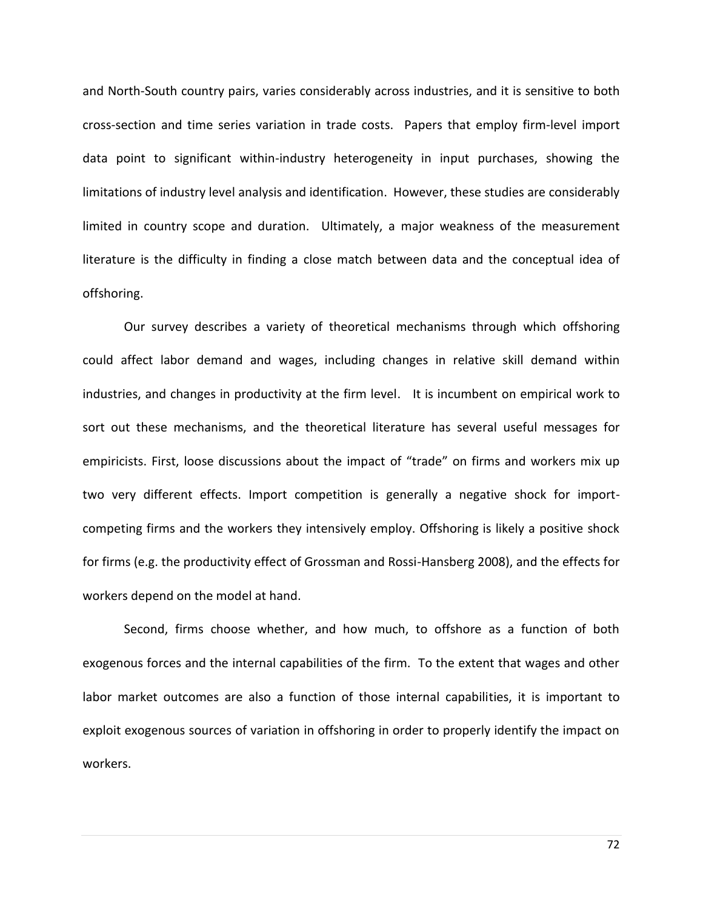and North-South country pairs, varies considerably across industries, and it is sensitive to both cross-section and time series variation in trade costs. Papers that employ firm-level import data point to significant within-industry heterogeneity in input purchases, showing the limitations of industry level analysis and identification. However, these studies are considerably limited in country scope and duration. Ultimately, a major weakness of the measurement literature is the difficulty in finding a close match between data and the conceptual idea of offshoring.

Our survey describes a variety of theoretical mechanisms through which offshoring could affect labor demand and wages, including changes in relative skill demand within industries, and changes in productivity at the firm level. It is incumbent on empirical work to sort out these mechanisms, and the theoretical literature has several useful messages for empiricists. First, loose discussions about the impact of "trade" on firms and workers mix up two very different effects. Import competition is generally a negative shock for importcompeting firms and the workers they intensively employ. Offshoring is likely a positive shock for firms (e.g. the productivity effect of Grossman and Rossi-Hansberg 2008), and the effects for workers depend on the model at hand.

Second, firms choose whether, and how much, to offshore as a function of both exogenous forces and the internal capabilities of the firm. To the extent that wages and other labor market outcomes are also a function of those internal capabilities, it is important to exploit exogenous sources of variation in offshoring in order to properly identify the impact on workers.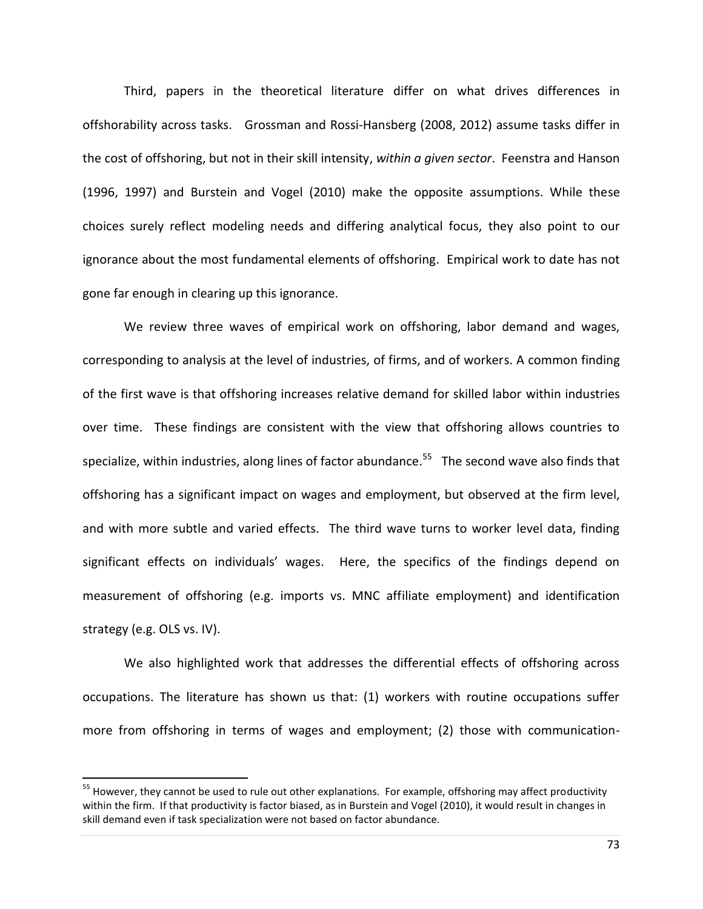Third, papers in the theoretical literature differ on what drives differences in offshorability across tasks. Grossman and Rossi-Hansberg (2008, 2012) assume tasks differ in the cost of offshoring, but not in their skill intensity, *within a given sector*. Feenstra and Hanson (1996, 1997) and Burstein and Vogel (2010) make the opposite assumptions. While these choices surely reflect modeling needs and differing analytical focus, they also point to our ignorance about the most fundamental elements of offshoring. Empirical work to date has not gone far enough in clearing up this ignorance.

We review three waves of empirical work on offshoring, labor demand and wages, corresponding to analysis at the level of industries, of firms, and of workers. A common finding of the first wave is that offshoring increases relative demand for skilled labor within industries over time. These findings are consistent with the view that offshoring allows countries to specialize, within industries, along lines of factor abundance.<sup>55</sup> The second wave also finds that offshoring has a significant impact on wages and employment, but observed at the firm level, and with more subtle and varied effects. The third wave turns to worker level data, finding significant effects on individuals' wages. Here, the specifics of the findings depend on measurement of offshoring (e.g. imports vs. MNC affiliate employment) and identification strategy (e.g. OLS vs. IV).

We also highlighted work that addresses the differential effects of offshoring across occupations. The literature has shown us that: (1) workers with routine occupations suffer more from offshoring in terms of wages and employment; (2) those with communication-

 $\overline{\phantom{a}}$ 

<sup>&</sup>lt;sup>55</sup> However, they cannot be used to rule out other explanations. For example, offshoring may affect productivity within the firm. If that productivity is factor biased, as in Burstein and Vogel (2010), it would result in changes in skill demand even if task specialization were not based on factor abundance.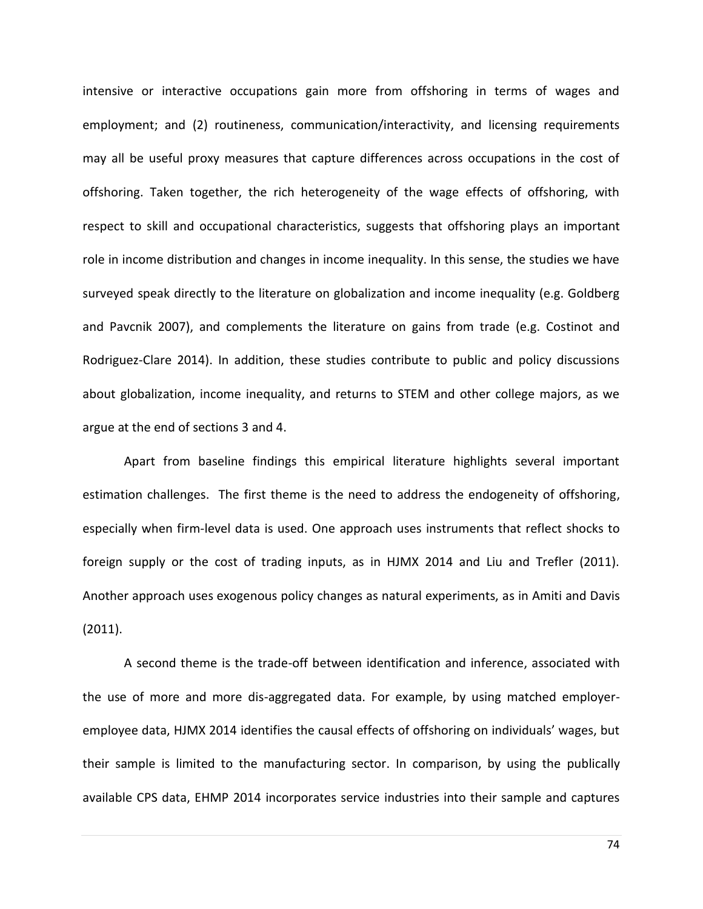intensive or interactive occupations gain more from offshoring in terms of wages and employment; and (2) routineness, communication/interactivity, and licensing requirements may all be useful proxy measures that capture differences across occupations in the cost of offshoring. Taken together, the rich heterogeneity of the wage effects of offshoring, with respect to skill and occupational characteristics, suggests that offshoring plays an important role in income distribution and changes in income inequality. In this sense, the studies we have surveyed speak directly to the literature on globalization and income inequality (e.g. Goldberg and Pavcnik 2007), and complements the literature on gains from trade (e.g. Costinot and Rodriguez-Clare 2014). In addition, these studies contribute to public and policy discussions about globalization, income inequality, and returns to STEM and other college majors, as we argue at the end of sections 3 and 4.

Apart from baseline findings this empirical literature highlights several important estimation challenges. The first theme is the need to address the endogeneity of offshoring, especially when firm-level data is used. One approach uses instruments that reflect shocks to foreign supply or the cost of trading inputs, as in HJMX 2014 and Liu and Trefler (2011). Another approach uses exogenous policy changes as natural experiments, as in Amiti and Davis (2011).

A second theme is the trade-off between identification and inference, associated with the use of more and more dis-aggregated data. For example, by using matched employeremployee data, HJMX 2014 identifies the causal effects of offshoring on individuals' wages, but their sample is limited to the manufacturing sector. In comparison, by using the publically available CPS data, EHMP 2014 incorporates service industries into their sample and captures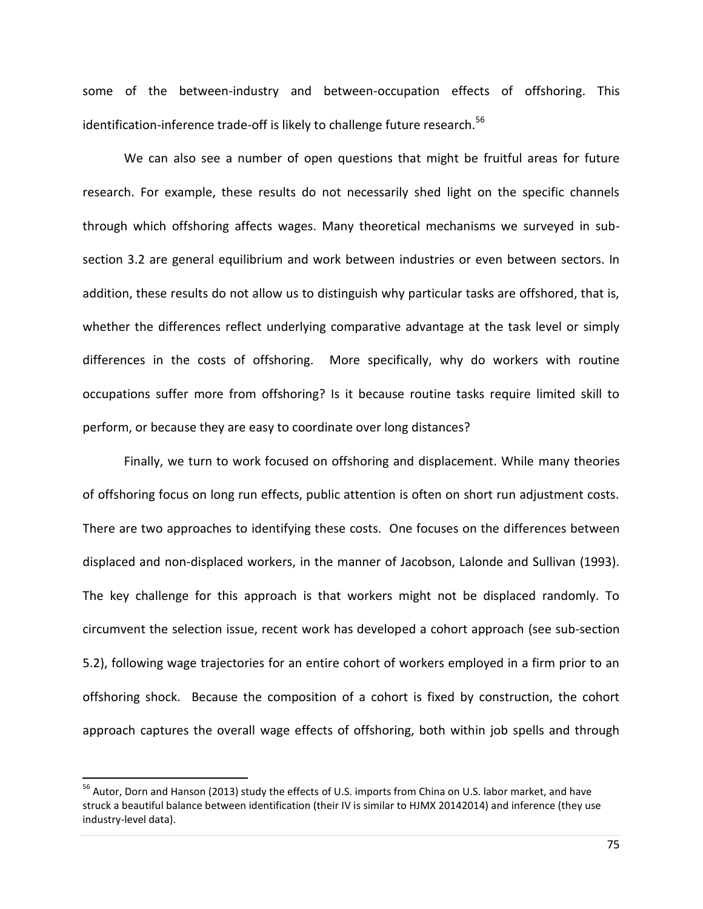some of the between-industry and between-occupation effects of offshoring. This identification-inference trade-off is likely to challenge future research. $56$ 

We can also see a number of open questions that might be fruitful areas for future research. For example, these results do not necessarily shed light on the specific channels through which offshoring affects wages. Many theoretical mechanisms we surveyed in subsection 3.2 are general equilibrium and work between industries or even between sectors. In addition, these results do not allow us to distinguish why particular tasks are offshored, that is, whether the differences reflect underlying comparative advantage at the task level or simply differences in the costs of offshoring. More specifically, why do workers with routine occupations suffer more from offshoring? Is it because routine tasks require limited skill to perform, or because they are easy to coordinate over long distances?

Finally, we turn to work focused on offshoring and displacement. While many theories of offshoring focus on long run effects, public attention is often on short run adjustment costs. There are two approaches to identifying these costs. One focuses on the differences between displaced and non-displaced workers, in the manner of Jacobson, Lalonde and Sullivan (1993). The key challenge for this approach is that workers might not be displaced randomly. To circumvent the selection issue, recent work has developed a cohort approach (see sub-section 5.2), following wage trajectories for an entire cohort of workers employed in a firm prior to an offshoring shock. Because the composition of a cohort is fixed by construction, the cohort approach captures the overall wage effects of offshoring, both within job spells and through

 $\overline{\phantom{a}}$ 

<sup>&</sup>lt;sup>56</sup> Autor, Dorn and Hanson (2013) study the effects of U.S. imports from China on U.S. labor market, and have struck a beautiful balance between identification (their IV is similar to HJMX 20142014) and inference (they use industry-level data).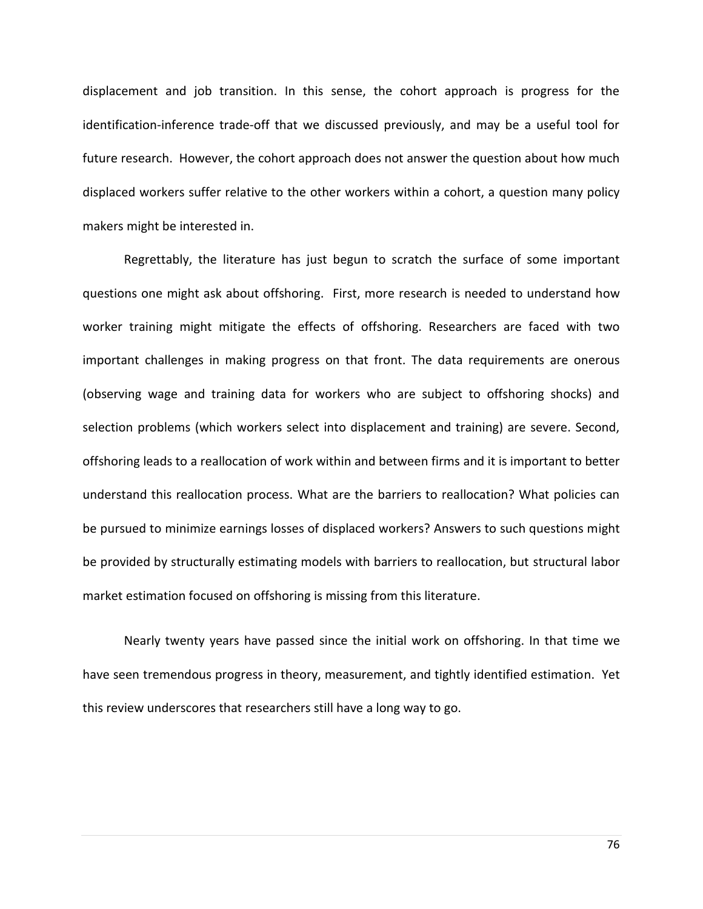displacement and job transition. In this sense, the cohort approach is progress for the identification-inference trade-off that we discussed previously, and may be a useful tool for future research. However, the cohort approach does not answer the question about how much displaced workers suffer relative to the other workers within a cohort, a question many policy makers might be interested in.

Regrettably, the literature has just begun to scratch the surface of some important questions one might ask about offshoring. First, more research is needed to understand how worker training might mitigate the effects of offshoring. Researchers are faced with two important challenges in making progress on that front. The data requirements are onerous (observing wage and training data for workers who are subject to offshoring shocks) and selection problems (which workers select into displacement and training) are severe. Second, offshoring leads to a reallocation of work within and between firms and it is important to better understand this reallocation process. What are the barriers to reallocation? What policies can be pursued to minimize earnings losses of displaced workers? Answers to such questions might be provided by structurally estimating models with barriers to reallocation, but structural labor market estimation focused on offshoring is missing from this literature.

Nearly twenty years have passed since the initial work on offshoring. In that time we have seen tremendous progress in theory, measurement, and tightly identified estimation. Yet this review underscores that researchers still have a long way to go.

76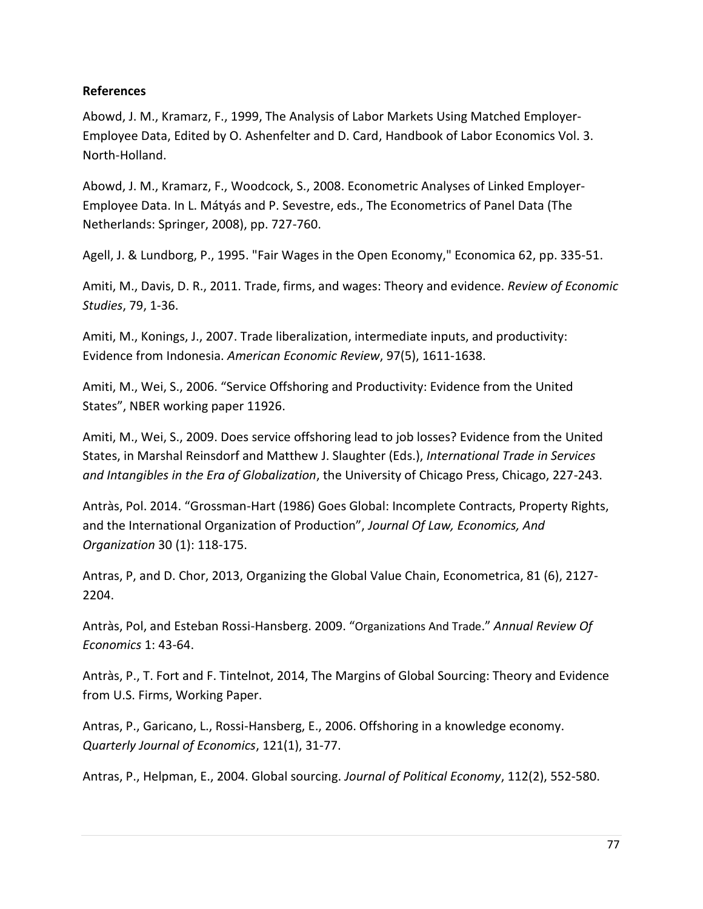#### **References**

Abowd, J. M., Kramarz, F., 1999, The Analysis of Labor Markets Using Matched Employer-Employee Data, Edited by O. Ashenfelter and D. Card, Handbook of Labor Economics Vol. 3. North-Holland.

Abowd, J. M., Kramarz, F., Woodcock, S., 2008. Econometric Analyses of Linked Employer-Employee Data. In L. Mátyás and P. Sevestre, eds., The Econometrics of Panel Data (The Netherlands: Springer, 2008), pp. 727-760.

Agell, J. & Lundborg, P., 1995. "Fair Wages in the Open Economy," Economica 62, pp. 335-51.

Amiti, M., Davis, D. R., 2011. Trade, firms, and wages: Theory and evidence. *Review of Economic Studies*, 79, 1-36.

Amiti, M., Konings, J., 2007. Trade liberalization, intermediate inputs, and productivity: Evidence from Indonesia. *American Economic Review*, 97(5), 1611-1638.

Amiti, M., Wei, S., 2006. "Service Offshoring and Productivity: Evidence from the United States", NBER working paper 11926.

Amiti, M., Wei, S., 2009. Does service offshoring lead to job losses? Evidence from the United States, in Marshal Reinsdorf and Matthew J. Slaughter (Eds.), *International Trade in Services and Intangibles in the Era of Globalization*, the University of Chicago Press, Chicago, 227-243.

Antràs, Pol. 2014. "Grossman-Hart (1986) Goes Global: Incomplete Contracts, Property Rights, and the International Organization of Production", *Journal Of Law, Economics, And Organization* 30 (1): 118-175.

Antras, P, and D. Chor, 2013, Organizing the Global Value Chain, Econometrica, 81 (6), 2127- 2204.

Antràs, Pol, and Esteban Rossi-Hansberg. 2009. "Organizations And Trade." *Annual Review Of Economics* 1: 43-64.

Antràs, P., T. Fort and F. Tintelnot, 2014, The Margins of Global Sourcing: Theory and Evidence from U.S. Firms, Working Paper.

Antras, P., Garicano, L., Rossi-Hansberg, E., 2006. Offshoring in a knowledge economy. *Quarterly Journal of Economics*, 121(1), 31-77.

Antras, P., Helpman, E., 2004. Global sourcing. *Journal of Political Economy*, 112(2), 552-580.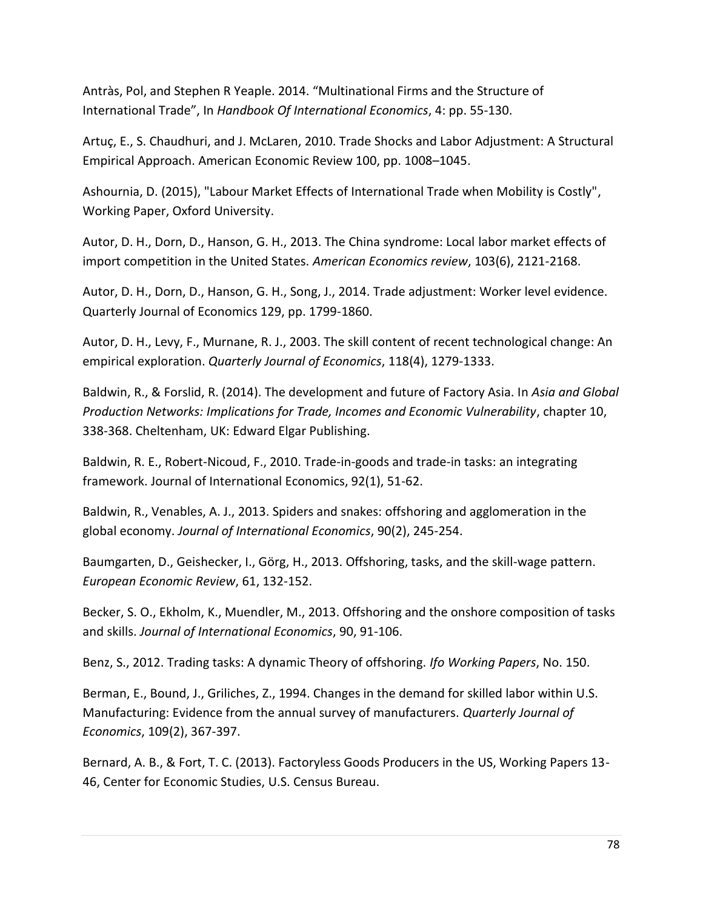Antràs, Pol, and Stephen R Yeaple. 2014. "Multinational Firms and the Structure of International Trade", In *Handbook Of International Economics*, 4: pp. 55-130.

Artuç, E., S. Chaudhuri, and J. McLaren, 2010. Trade Shocks and Labor Adjustment: A Structural Empirical Approach. American Economic Review 100, pp. 1008–1045.

Ashournia, D. (2015), "Labour Market Effects of International Trade when Mobility is Costly", Working Paper, Oxford University.

Autor, D. H., Dorn, D., Hanson, G. H., 2013. The China syndrome: Local labor market effects of import competition in the United States. *American Economics review*, 103(6), 2121-2168.

Autor, D. H., Dorn, D., Hanson, G. H., Song, J., 2014. Trade adjustment: Worker level evidence. Quarterly Journal of Economics 129, pp. 1799-1860.

Autor, D. H., Levy, F., Murnane, R. J., 2003. The skill content of recent technological change: An empirical exploration. *Quarterly Journal of Economics*, 118(4), 1279-1333.

Baldwin, R., & Forslid, R. (2014). The development and future of Factory Asia. In *Asia and Global Production Networks: Implications for Trade, Incomes and Economic Vulnerability*, chapter 10, 338-368. Cheltenham, UK: Edward Elgar Publishing.

Baldwin, R. E., Robert-Nicoud, F., 2010. Trade-in-goods and trade-in tasks: an integrating framework. Journal of International Economics, 92(1), 51-62.

Baldwin, R., Venables, A. J., 2013. Spiders and snakes: offshoring and agglomeration in the global economy. *Journal of International Economics*, 90(2), 245-254.

Baumgarten, D., Geishecker, I., Görg, H., 2013. Offshoring, tasks, and the skill-wage pattern. *European Economic Review*, 61, 132-152.

Becker, S. O., Ekholm, K., Muendler, M., 2013. Offshoring and the onshore composition of tasks and skills. *Journal of International Economics*, 90, 91-106.

Benz, S., 2012. Trading tasks: A dynamic Theory of offshoring. *Ifo Working Papers*, No. 150.

Berman, E., Bound, J., Griliches, Z., 1994. Changes in the demand for skilled labor within U.S. Manufacturing: Evidence from the annual survey of manufacturers. *Quarterly Journal of Economics*, 109(2), 367-397.

Bernard, A. B., & Fort, T. C. (2013). Factoryless Goods Producers in the US, Working Papers 13- 46, Center for Economic Studies, U.S. Census Bureau.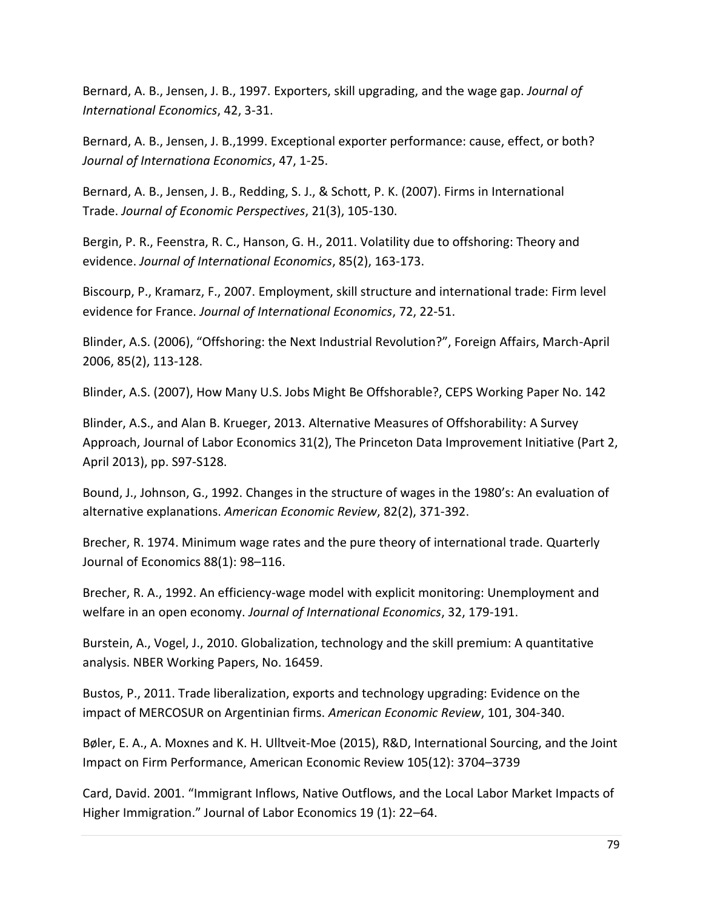Bernard, A. B., Jensen, J. B., 1997. Exporters, skill upgrading, and the wage gap. *Journal of International Economics*, 42, 3-31.

Bernard, A. B., Jensen, J. B.,1999. Exceptional exporter performance: cause, effect, or both? *Journal of Internationa Economics*, 47, 1-25.

Bernard, A. B., Jensen, J. B., Redding, S. J., & Schott, P. K. (2007). Firms in International Trade. *Journal of Economic Perspectives*, 21(3), 105-130.

Bergin, P. R., Feenstra, R. C., Hanson, G. H., 2011. Volatility due to offshoring: Theory and evidence. *Journal of International Economics*, 85(2), 163-173.

Biscourp, P., Kramarz, F., 2007. Employment, skill structure and international trade: Firm level evidence for France. *Journal of International Economics*, 72, 22-51.

Blinder, A.S. (2006), "Offshoring: the Next Industrial Revolution?", Foreign Affairs, March-April 2006, 85(2), 113-128.

Blinder, A.S. (2007), How Many U.S. Jobs Might Be Offshorable?, CEPS Working Paper No. 142

Blinder, A.S., and Alan B. Krueger, 2013. Alternative Measures of Offshorability: A Survey Approach, Journal of Labor Economics 31(2), The Princeton Data Improvement Initiative (Part 2, April 2013), pp. S97-S128.

Bound, J., Johnson, G., 1992. Changes in the structure of wages in the 1980's: An evaluation of alternative explanations. *American Economic Review*, 82(2), 371-392.

Brecher, R. 1974. Minimum wage rates and the pure theory of international trade. Quarterly Journal of Economics 88(1): 98–116.

Brecher, R. A., 1992. An efficiency-wage model with explicit monitoring: Unemployment and welfare in an open economy. *Journal of International Economics*, 32, 179-191.

Burstein, A., Vogel, J., 2010. Globalization, technology and the skill premium: A quantitative analysis. NBER Working Papers, No. 16459.

Bustos, P., 2011. Trade liberalization, exports and technology upgrading: Evidence on the impact of MERCOSUR on Argentinian firms. *American Economic Review*, 101, 304-340.

Bøler, E. A., A. Moxnes and K. H. Ulltveit-Moe (2015), R&D, International Sourcing, and the Joint Impact on Firm Performance, American Economic Review 105(12): 3704–3739

Card, David. 2001. "Immigrant Inflows, Native Outflows, and the Local Labor Market Impacts of Higher Immigration." Journal of Labor Economics 19 (1): 22–64.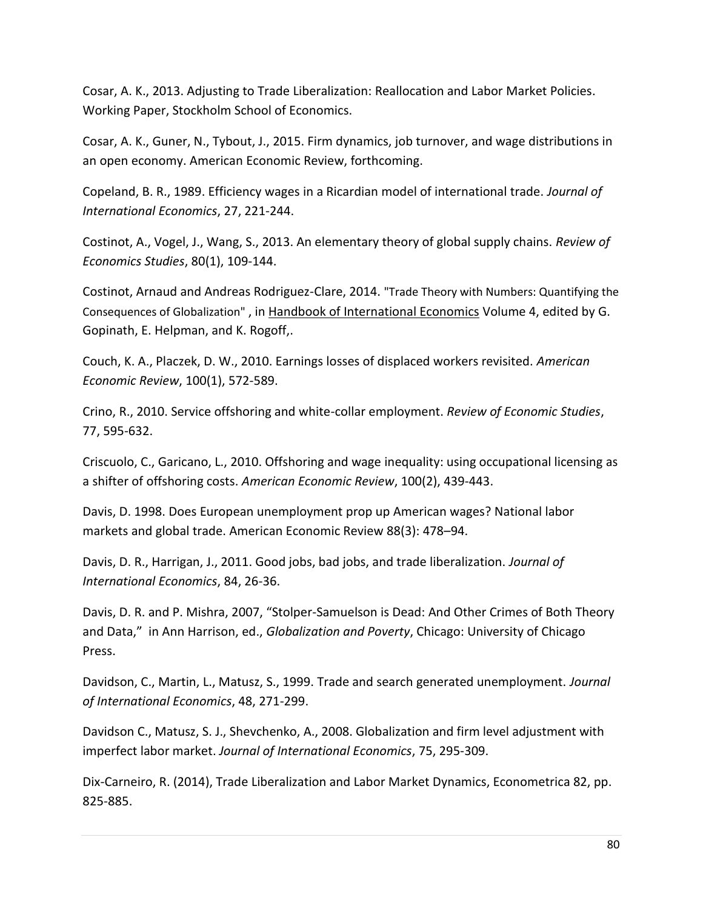Cosar, A. K., 2013. Adjusting to Trade Liberalization: Reallocation and Labor Market Policies. Working Paper, Stockholm School of Economics.

Cosar, A. K., Guner, N., Tybout, J., 2015. Firm dynamics, job turnover, and wage distributions in an open economy. American Economic Review, forthcoming.

Copeland, B. R., 1989. Efficiency wages in a Ricardian model of international trade. *Journal of International Economics*, 27, 221-244.

Costinot, A., Vogel, J., Wang, S., 2013. An elementary theory of global supply chains. *Review of Economics Studies*, 80(1), 109-144.

Costinot, Arnaud and Andreas Rodriguez-Clare, 2014. "Trade Theory with Numbers: Quantifying the Consequences of Globalization" , in Handbook of International Economics Volume 4, edited by G. Gopinath, E. Helpman, and K. Rogoff,.

Couch, K. A., Placzek, D. W., 2010. Earnings losses of displaced workers revisited. *American Economic Review*, 100(1), 572-589.

Crino, R., 2010. Service offshoring and white-collar employment. *Review of Economic Studies*, 77, 595-632.

Criscuolo, C., Garicano, L., 2010. Offshoring and wage inequality: using occupational licensing as a shifter of offshoring costs. *American Economic Review*, 100(2), 439-443.

Davis, D. 1998. Does European unemployment prop up American wages? National labor markets and global trade. American Economic Review 88(3): 478–94.

Davis, D. R., Harrigan, J., 2011. Good jobs, bad jobs, and trade liberalization. *Journal of International Economics*, 84, 26-36.

Davis, D. R. and P. Mishra, 2007, "Stolper-Samuelson is Dead: And Other Crimes of Both Theory and Data," in Ann Harrison, ed., *Globalization and Poverty*, Chicago: University of Chicago Press.

Davidson, C., Martin, L., Matusz, S., 1999. Trade and search generated unemployment. *Journal of International Economics*, 48, 271-299.

Davidson C., Matusz, S. J., Shevchenko, A., 2008. Globalization and firm level adjustment with imperfect labor market. *Journal of International Economics*, 75, 295-309.

Dix-Carneiro, R. (2014), Trade Liberalization and Labor Market Dynamics, Econometrica 82, pp. 825-885.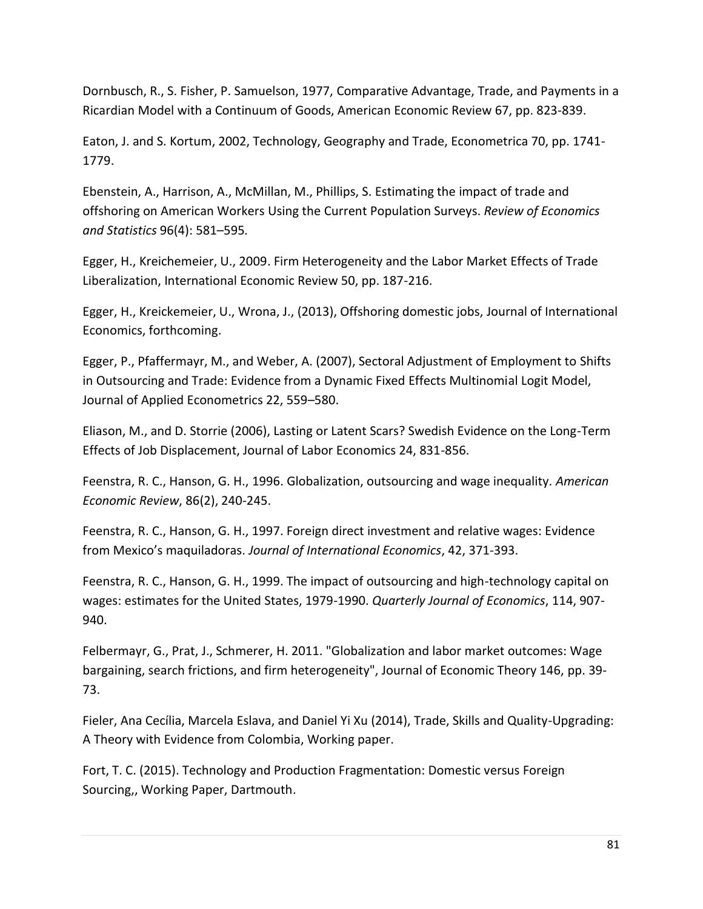Dornbusch, R., S. Fisher, P. Samuelson, 1977, Comparative Advantage, Trade, and Payments in a Ricardian Model with a Continuum of Goods, American Economic Review 67, pp. 823-839.

Eaton, J. and S. Kortum, 2002, Technology, Geography and Trade, Econometrica 70, pp. 1741- 1779.

Ebenstein, A., Harrison, A., McMillan, M., Phillips, S. Estimating the impact of trade and offshoring on American Workers Using the Current Population Surveys. *Review of Economics and Statistics* 96(4): 581–595*.*

Egger, H., Kreichemeier, U., 2009. Firm Heterogeneity and the Labor Market Effects of Trade Liberalization, International Economic Review 50, pp. 187-216.

Egger, H., Kreickemeier, U., Wrona, J., (2013), Offshoring domestic jobs, Journal of International Economics, forthcoming.

Egger, P., Pfaffermayr, M., and Weber, A. (2007), Sectoral Adjustment of Employment to Shifts in Outsourcing and Trade: Evidence from a Dynamic Fixed Effects Multinomial Logit Model, Journal of Applied Econometrics 22, 559–580.

Eliason, M., and D. Storrie (2006), Lasting or Latent Scars? Swedish Evidence on the Long-Term Effects of Job Displacement, Journal of Labor Economics 24, 831-856.

Feenstra, R. C., Hanson, G. H., 1996. Globalization, outsourcing and wage inequality. *American Economic Review*, 86(2), 240-245.

Feenstra, R. C., Hanson, G. H., 1997. Foreign direct investment and relative wages: Evidence from Mexico's maquiladoras. *Journal of International Economics*, 42, 371-393.

Feenstra, R. C., Hanson, G. H., 1999. The impact of outsourcing and high-technology capital on wages: estimates for the United States, 1979-1990. *Quarterly Journal of Economics*, 114, 907- 940.

Felbermayr, G., Prat, J., Schmerer, H. 2011. "Globalization and labor market outcomes: Wage bargaining, search frictions, and firm heterogeneity", Journal of Economic Theory 146, pp. 39- 73.

Fieler, Ana Cecília, Marcela Eslava, and Daniel Yi Xu (2014), Trade, Skills and Quality-Upgrading: A Theory with Evidence from Colombia, Working paper.

Fort, T. C. (2015). Technology and Production Fragmentation: Domestic versus Foreign Sourcing,, Working Paper, Dartmouth.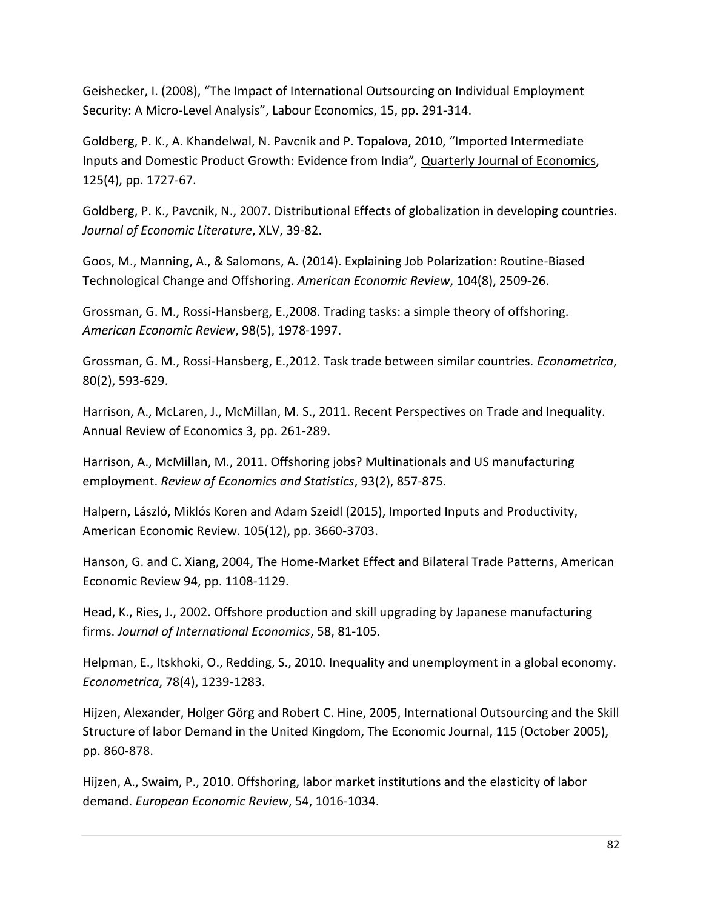Geishecker, I. (2008), "The Impact of International Outsourcing on Individual Employment Security: A Micro-Level Analysis", Labour Economics, 15, pp. 291-314.

Goldberg, P. K., A. Khandelwal, N. Pavcnik and P. Topalova, 2010, "Imported Intermediate Inputs and Domestic Product Growth: Evidence from India"*,* Quarterly Journal of Economics, 125(4), pp. 1727-67.

Goldberg, P. K., Pavcnik, N., 2007. Distributional Effects of globalization in developing countries. *Journal of Economic Literature*, XLV, 39-82.

Goos, M., Manning, A., & Salomons, A. (2014). Explaining Job Polarization: Routine-Biased Technological Change and Offshoring. *American Economic Review*, 104(8), 2509-26.

Grossman, G. M., Rossi-Hansberg, E.,2008. Trading tasks: a simple theory of offshoring. *American Economic Review*, 98(5), 1978-1997.

Grossman, G. M., Rossi-Hansberg, E.,2012. Task trade between similar countries. *Econometrica*, 80(2), 593-629.

Harrison, A., McLaren, J., McMillan, M. S., 2011. Recent Perspectives on Trade and Inequality. Annual Review of Economics 3, pp. 261-289.

Harrison, A., McMillan, M., 2011. Offshoring jobs? Multinationals and US manufacturing employment. *Review of Economics and Statistics*, 93(2), 857-875.

Halpern, László, Miklós Koren and Adam Szeidl (2015), Imported Inputs and Productivity, American Economic Review. 105(12), pp. 3660-3703.

Hanson, G. and C. Xiang, 2004, The Home-Market Effect and Bilateral Trade Patterns, American Economic Review 94, pp. 1108-1129.

Head, K., Ries, J., 2002. Offshore production and skill upgrading by Japanese manufacturing firms. *Journal of International Economics*, 58, 81-105.

Helpman, E., Itskhoki, O., Redding, S., 2010. Inequality and unemployment in a global economy. *Econometrica*, 78(4), 1239-1283.

Hijzen, Alexander, Holger Görg and Robert C. Hine, 2005, International Outsourcing and the Skill Structure of labor Demand in the United Kingdom, The Economic Journal, 115 (October 2005), pp. 860-878.

Hijzen, A., Swaim, P., 2010. Offshoring, labor market institutions and the elasticity of labor demand. *European Economic Review*, 54, 1016-1034.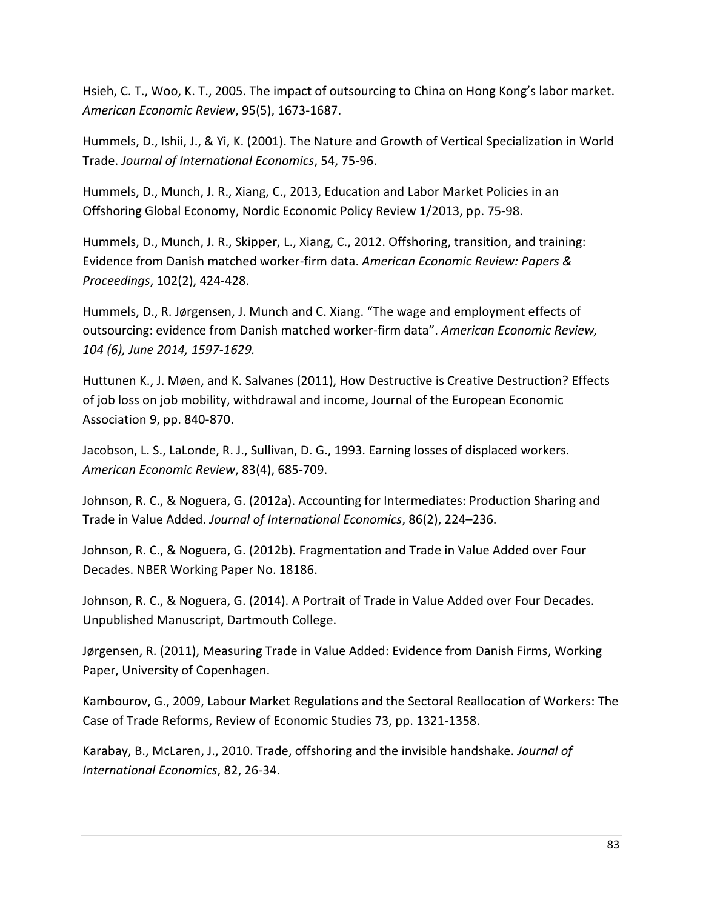Hsieh, C. T., Woo, K. T., 2005. The impact of outsourcing to China on Hong Kong's labor market. *American Economic Review*, 95(5), 1673-1687.

Hummels, D., Ishii, J., & Yi, K. (2001). The Nature and Growth of Vertical Specialization in World Trade. *Journal of International Economics*, 54, 75-96.

Hummels, D., Munch, J. R., Xiang, C., 2013, Education and Labor Market Policies in an Offshoring Global Economy, Nordic Economic Policy Review 1/2013, pp. 75-98.

Hummels, D., Munch, J. R., Skipper, L., Xiang, C., 2012. Offshoring, transition, and training: Evidence from Danish matched worker-firm data. *American Economic Review: Papers & Proceedings*, 102(2), 424-428.

Hummels, D., R. Jørgensen, J. Munch and C. Xiang. "The wage and employment effects of outsourcing: evidence from Danish matched worker-firm data". *American Economic Review, 104 (6), June 2014, 1597-1629.* 

Huttunen K., J. Møen, and K. Salvanes (2011), How Destructive is Creative Destruction? Effects of job loss on job mobility, withdrawal and income, Journal of the European Economic Association 9, pp. 840-870.

Jacobson, L. S., LaLonde, R. J., Sullivan, D. G., 1993. Earning losses of displaced workers. *American Economic Review*, 83(4), 685-709.

Johnson, R. C., & Noguera, G. (2012a). Accounting for Intermediates: Production Sharing and Trade in Value Added. *Journal of International Economics*, 86(2), 224–236.

Johnson, R. C., & Noguera, G. (2012b). Fragmentation and Trade in Value Added over Four Decades. NBER Working Paper No. 18186.

Johnson, R. C., & Noguera, G. (2014). A Portrait of Trade in Value Added over Four Decades. Unpublished Manuscript, Dartmouth College.

Jørgensen, R. (2011), Measuring Trade in Value Added: Evidence from Danish Firms, Working Paper, University of Copenhagen.

Kambourov, G., 2009, Labour Market Regulations and the Sectoral Reallocation of Workers: The Case of Trade Reforms, Review of Economic Studies 73, pp. 1321-1358.

Karabay, B., McLaren, J., 2010. Trade, offshoring and the invisible handshake. *Journal of International Economics*, 82, 26-34.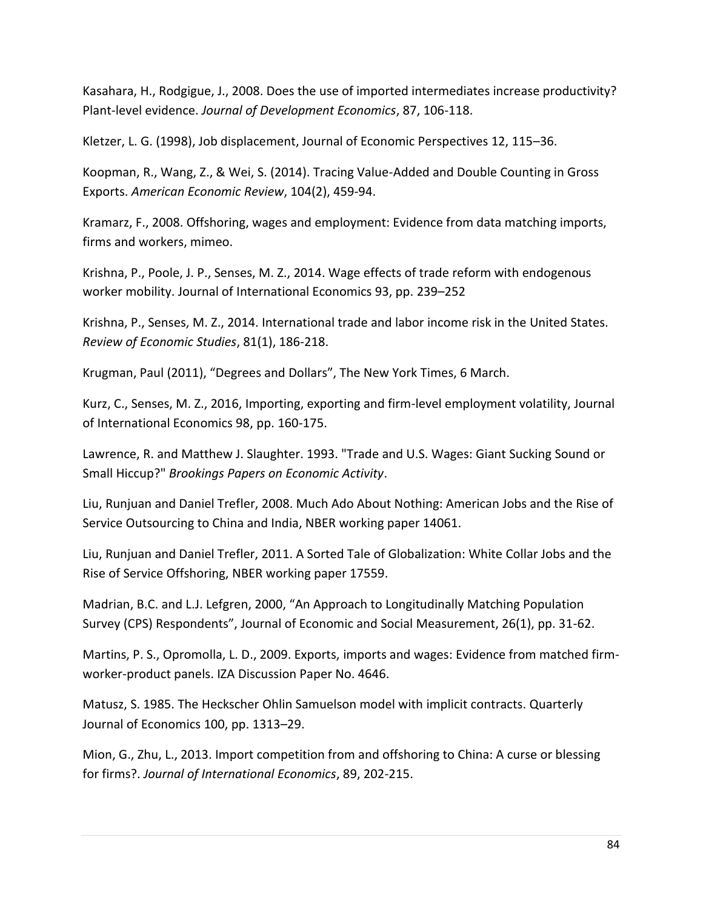Kasahara, H., Rodgigue, J., 2008. Does the use of imported intermediates increase productivity? Plant-level evidence. *Journal of Development Economics*, 87, 106-118.

Kletzer, L. G. (1998), Job displacement, Journal of Economic Perspectives 12, 115–36.

Koopman, R., Wang, Z., & Wei, S. (2014). Tracing Value-Added and Double Counting in Gross Exports. *American Economic Review*, 104(2), 459-94.

Kramarz, F., 2008. Offshoring, wages and employment: Evidence from data matching imports, firms and workers, mimeo.

Krishna, P., Poole, J. P., Senses, M. Z., 2014. Wage effects of trade reform with endogenous worker mobility. Journal of International Economics 93, pp. 239–252

Krishna, P., Senses, M. Z., 2014. International trade and labor income risk in the United States. *Review of Economic Studies*, 81(1), 186-218.

Krugman, Paul (2011), "Degrees and Dollars", The New York Times, 6 March.

Kurz, C., Senses, M. Z., 2016, Importing, exporting and firm-level employment volatility, Journal of International Economics 98, pp. 160-175.

Lawrence, R. and Matthew J. Slaughter. 1993. "Trade and U.S. Wages: Giant Sucking Sound or Small Hiccup?" *Brookings Papers on Economic Activity*.

Liu, Runjuan and Daniel Trefler, 2008. Much Ado About Nothing: American Jobs and the Rise of Service Outsourcing to China and India, NBER working paper 14061.

Liu, Runjuan and Daniel Trefler, 2011. A Sorted Tale of Globalization: White Collar Jobs and the Rise of Service Offshoring, NBER working paper 17559.

Madrian, B.C. and L.J. Lefgren, 2000, "An Approach to Longitudinally Matching Population Survey (CPS) Respondents", Journal of Economic and Social Measurement, 26(1), pp. 31-62.

Martins, P. S., Opromolla, L. D., 2009. Exports, imports and wages: Evidence from matched firmworker-product panels. IZA Discussion Paper No. 4646.

Matusz, S. 1985. The Heckscher Ohlin Samuelson model with implicit contracts. Quarterly Journal of Economics 100, pp. 1313–29.

Mion, G., Zhu, L., 2013. Import competition from and offshoring to China: A curse or blessing for firms?. *Journal of International Economics*, 89, 202-215.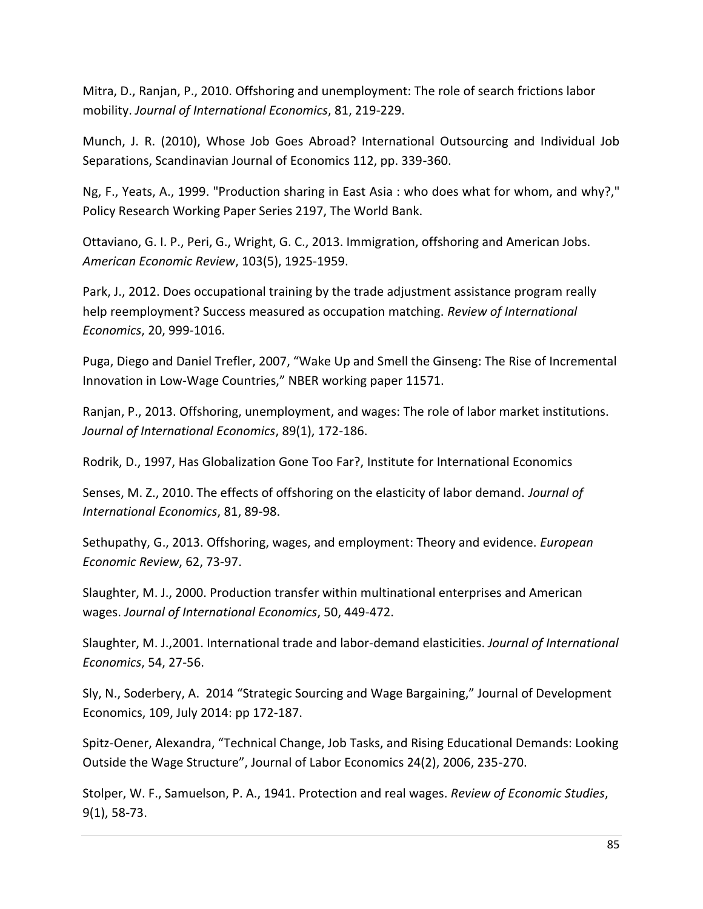Mitra, D., Ranjan, P., 2010. Offshoring and unemployment: The role of search frictions labor mobility. *Journal of International Economics*, 81, 219-229.

Munch, J. R. (2010), Whose Job Goes Abroad? International Outsourcing and Individual Job Separations, Scandinavian Journal of Economics 112, pp. 339-360.

Ng, F., Yeats, A., 1999. "Production sharing in East Asia : who does what for whom, and why?," Policy Research Working Paper Series 2197, The World Bank.

Ottaviano, G. I. P., Peri, G., Wright, G. C., 2013. Immigration, offshoring and American Jobs. *American Economic Review*, 103(5), 1925-1959.

Park, J., 2012. Does occupational training by the trade adjustment assistance program really help reemployment? Success measured as occupation matching. *Review of International Economics*, 20, 999-1016.

Puga, Diego and Daniel Trefler, 2007, "Wake Up and Smell the Ginseng: The Rise of Incremental Innovation in Low-Wage Countries," NBER working paper 11571.

Ranjan, P., 2013. Offshoring, unemployment, and wages: The role of labor market institutions. *Journal of International Economics*, 89(1), 172-186.

Rodrik, D., 1997, Has Globalization Gone Too Far?, Institute for International Economics

Senses, M. Z., 2010. The effects of offshoring on the elasticity of labor demand. *Journal of International Economics*, 81, 89-98.

Sethupathy, G., 2013. Offshoring, wages, and employment: Theory and evidence. *European Economic Review*, 62, 73-97.

Slaughter, M. J., 2000. Production transfer within multinational enterprises and American wages. *Journal of International Economics*, 50, 449-472.

Slaughter, M. J.,2001. International trade and labor-demand elasticities. *Journal of International Economics*, 54, 27-56.

Sly, N., Soderbery, A. 2014 "Strategic Sourcing and Wage Bargaining," Journal of Development Economics, 109, July 2014: pp 172-187.

Spitz-Oener, Alexandra, "Technical Change, Job Tasks, and Rising Educational Demands: Looking Outside the Wage Structure", Journal of Labor Economics 24(2), 2006, 235-270.

Stolper, W. F., Samuelson, P. A., 1941. Protection and real wages. *Review of Economic Studies*, 9(1), 58-73.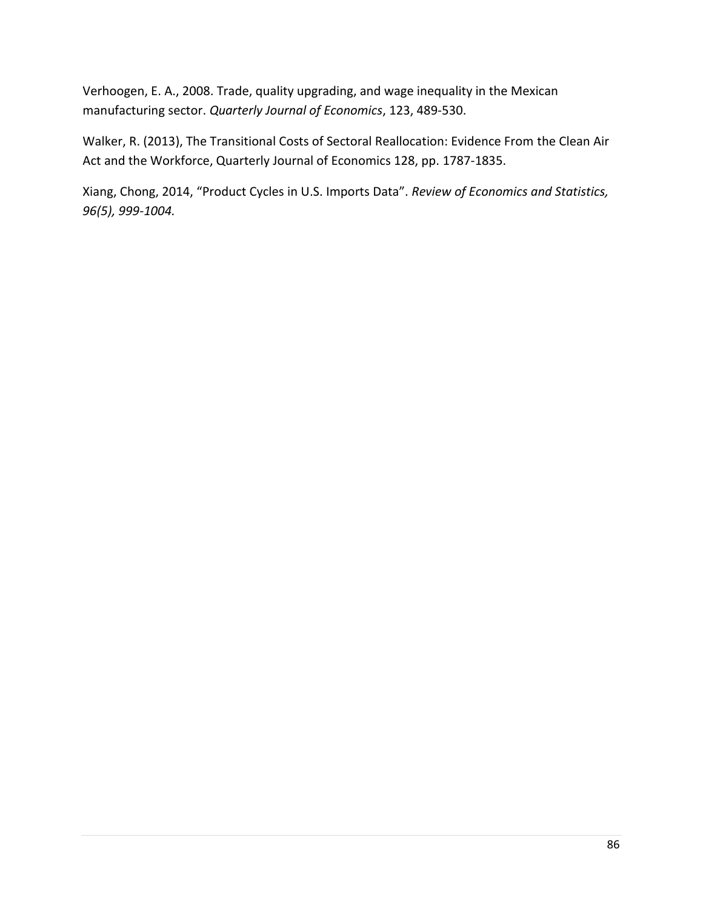Verhoogen, E. A., 2008. Trade, quality upgrading, and wage inequality in the Mexican manufacturing sector. *Quarterly Journal of Economics*, 123, 489-530.

Walker, R. (2013), The Transitional Costs of Sectoral Reallocation: Evidence From the Clean Air Act and the Workforce, Quarterly Journal of Economics 128, pp. 1787-1835.

Xiang, Chong, 2014, "Product Cycles in U.S. Imports Data". *Review of Economics and Statistics, 96(5), 999-1004.*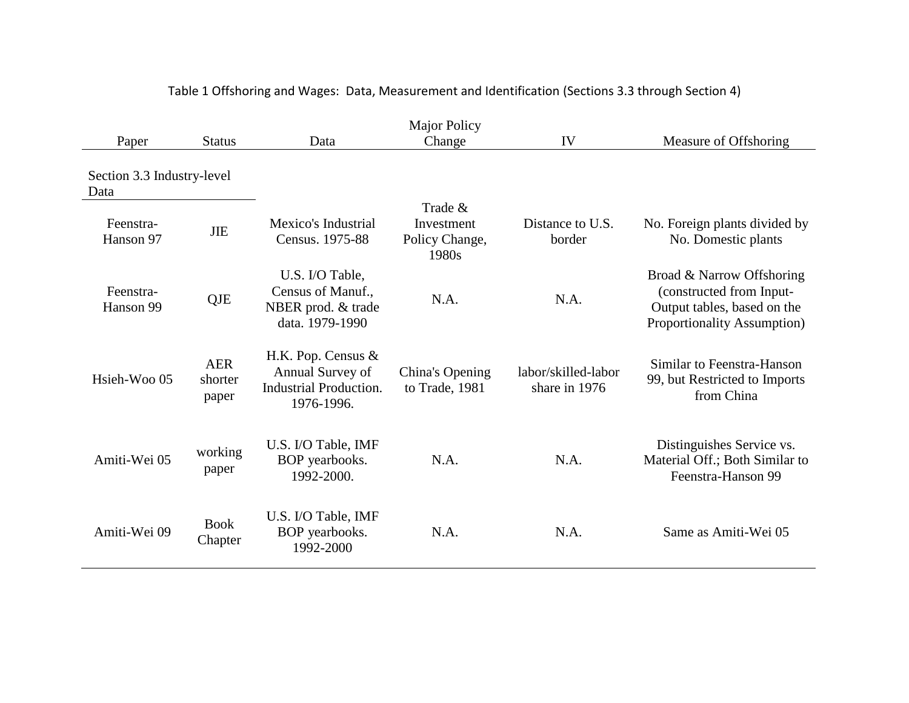| Paper                              | <b>Status</b>                  | Data                                                                                  | <b>Major Policy</b><br>Change                    | IV                                   | Measure of Offshoring                                                                                               |
|------------------------------------|--------------------------------|---------------------------------------------------------------------------------------|--------------------------------------------------|--------------------------------------|---------------------------------------------------------------------------------------------------------------------|
| Section 3.3 Industry-level<br>Data |                                |                                                                                       |                                                  |                                      |                                                                                                                     |
| Feenstra-<br>Hanson 97             | <b>JIE</b>                     | Mexico's Industrial<br>Census. 1975-88                                                | Trade &<br>Investment<br>Policy Change,<br>1980s | Distance to U.S.<br>border           | No. Foreign plants divided by<br>No. Domestic plants                                                                |
| Feenstra-<br>Hanson 99             | QJE                            | U.S. I/O Table,<br>Census of Manuf.,<br>NBER prod. & trade<br>data. 1979-1990         | N.A.                                             | N.A.                                 | Broad & Narrow Offshoring<br>(constructed from Input-<br>Output tables, based on the<br>Proportionality Assumption) |
| Hsieh-Woo 05                       | <b>AER</b><br>shorter<br>paper | H.K. Pop. Census &<br>Annual Survey of<br><b>Industrial Production.</b><br>1976-1996. | China's Opening<br>to Trade, 1981                | labor/skilled-labor<br>share in 1976 | Similar to Feenstra-Hanson<br>99, but Restricted to Imports<br>from China                                           |
| Amiti-Wei 05                       | working<br>paper               | U.S. I/O Table, IMF<br>BOP yearbooks.<br>1992-2000.                                   | N.A.                                             | N.A.                                 | Distinguishes Service vs.<br>Material Off.; Both Similar to<br>Feenstra-Hanson 99                                   |
| Amiti-Wei 09                       | <b>Book</b><br>Chapter         | U.S. I/O Table, IMF<br>BOP yearbooks.<br>1992-2000                                    | N.A.                                             | N.A.                                 | Same as Amiti-Wei 05                                                                                                |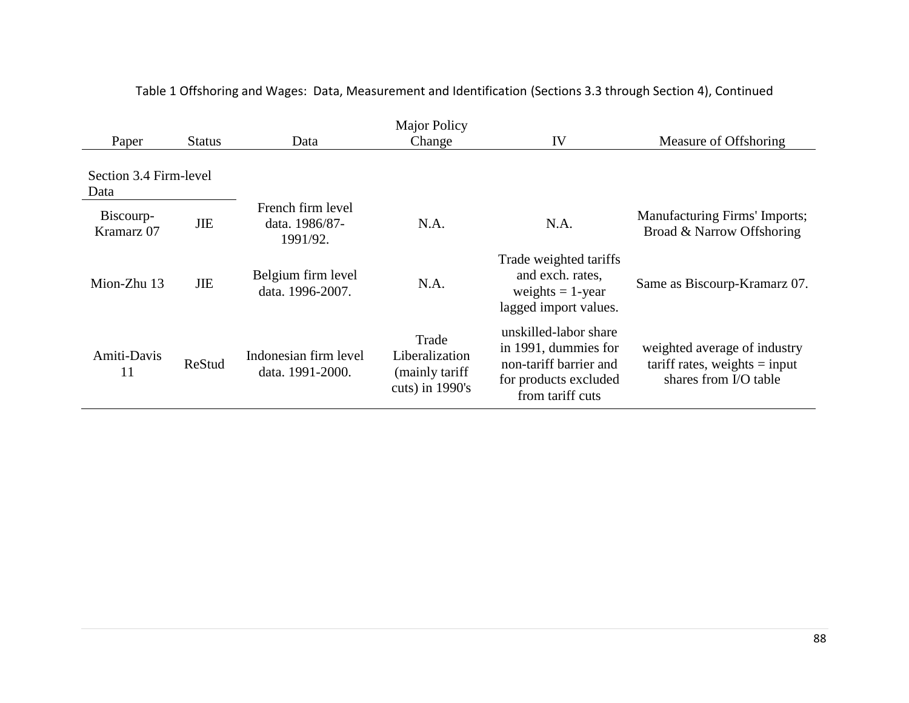| Paper                          | <b>Status</b> | Data                                            | <b>Major Policy</b><br>Change                                    | IV                                                                                                                   | Measure of Offshoring                                                                    |
|--------------------------------|---------------|-------------------------------------------------|------------------------------------------------------------------|----------------------------------------------------------------------------------------------------------------------|------------------------------------------------------------------------------------------|
| Section 3.4 Firm-level<br>Data |               |                                                 |                                                                  |                                                                                                                      |                                                                                          |
| Biscourp-<br>Kramarz 07        | <b>JIE</b>    | French firm level<br>data. 1986/87-<br>1991/92. | N.A.                                                             | N.A.                                                                                                                 | Manufacturing Firms' Imports;<br>Broad & Narrow Offshoring                               |
| Mion-Zhu 13                    | <b>JIE</b>    | Belgium firm level<br>data. 1996-2007.          | N.A.                                                             | Trade weighted tariffs<br>and exch. rates,<br>weights $= 1$ -year<br>lagged import values.                           | Same as Biscourp-Kramarz 07.                                                             |
| Amiti-Davis<br>11              | ReStud        | Indonesian firm level<br>data. 1991-2000.       | Trade<br>Liberalization<br>(mainly tariff)<br>cuts) in $1990$ 's | unskilled-labor share<br>in 1991, dummies for<br>non-tariff barrier and<br>for products excluded<br>from tariff cuts | weighted average of industry<br>$tariff rates, weights = input$<br>shares from I/O table |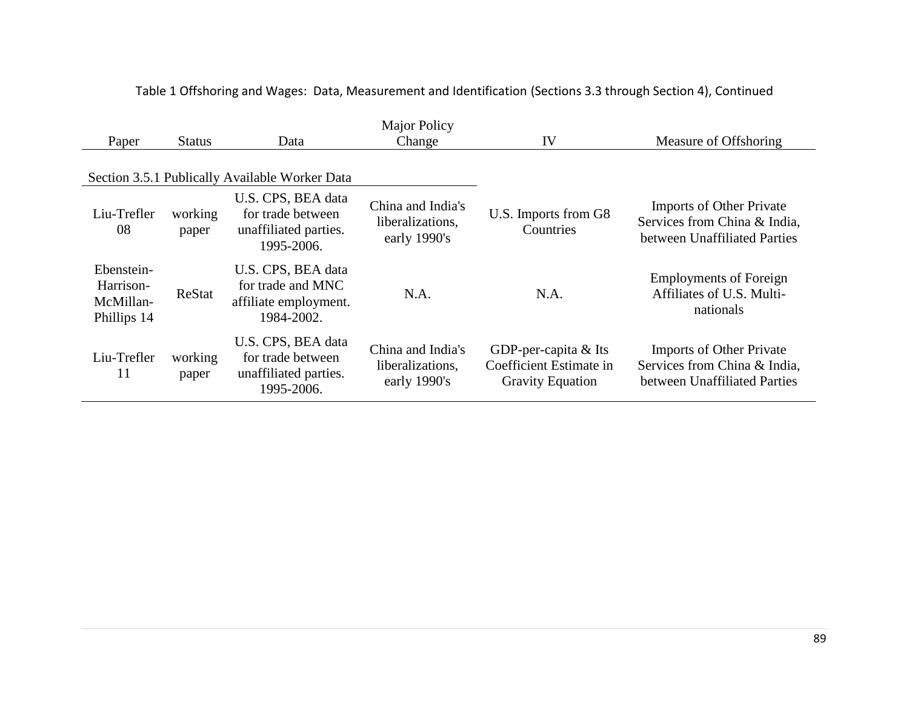| Paper                                               | <b>Status</b>    | Data                                                                           | <b>Major Policy</b><br>Change                         | IV                                                                           | Measure of Offshoring                                                                           |
|-----------------------------------------------------|------------------|--------------------------------------------------------------------------------|-------------------------------------------------------|------------------------------------------------------------------------------|-------------------------------------------------------------------------------------------------|
|                                                     |                  | Section 3.5.1 Publically Available Worker Data                                 |                                                       |                                                                              |                                                                                                 |
| Liu-Trefler<br>08                                   | working<br>paper | U.S. CPS, BEA data<br>for trade between<br>unaffiliated parties.<br>1995-2006. | China and India's<br>liberalizations,<br>early 1990's | U.S. Imports from G8<br>Countries                                            | <b>Imports of Other Private</b><br>Services from China & India,<br>between Unaffiliated Parties |
| Ebenstein-<br>Harrison-<br>McMillan-<br>Phillips 14 | ReStat           | U.S. CPS, BEA data<br>for trade and MNC<br>affiliate employment.<br>1984-2002. | N.A.                                                  | N.A.                                                                         | <b>Employments of Foreign</b><br>Affiliates of U.S. Multi-<br>nationals                         |
| Liu-Trefler<br>11                                   | working<br>paper | U.S. CPS, BEA data<br>for trade between<br>unaffiliated parties.<br>1995-2006. | China and India's<br>liberalizations,<br>early 1990's | GDP-per-capita $&$ Its<br>Coefficient Estimate in<br><b>Gravity Equation</b> | <b>Imports of Other Private</b><br>Services from China & India,<br>between Unaffiliated Parties |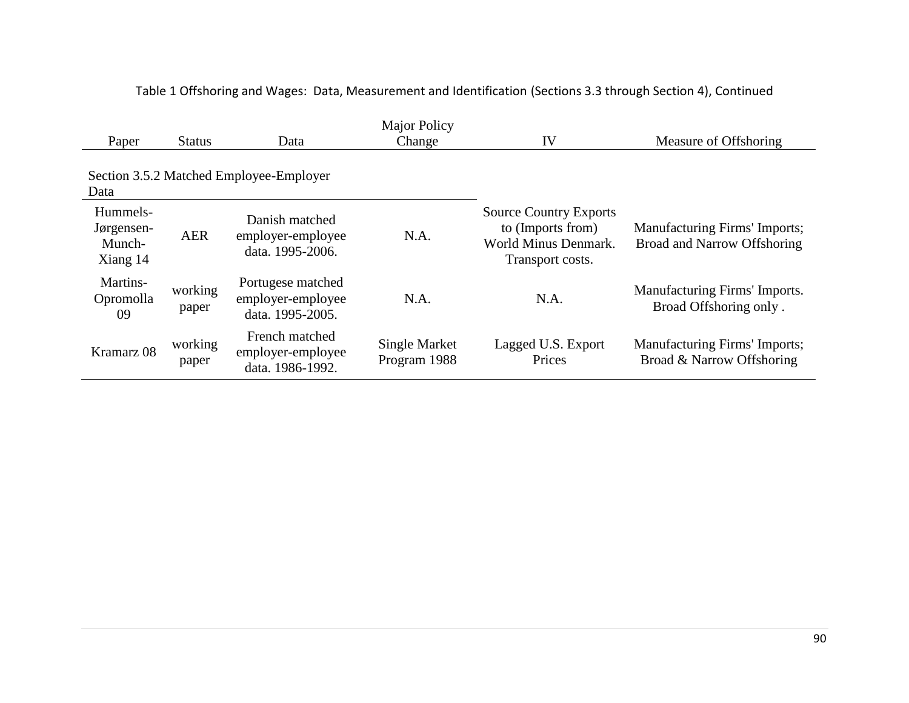| Paper                                        | <b>Status</b>    | Data                                                       | <b>Major Policy</b><br>Change | IV                                                                                             | Measure of Offshoring                                               |
|----------------------------------------------|------------------|------------------------------------------------------------|-------------------------------|------------------------------------------------------------------------------------------------|---------------------------------------------------------------------|
| Data                                         |                  | Section 3.5.2 Matched Employee-Employer                    |                               |                                                                                                |                                                                     |
| Hummels-<br>Jørgensen-<br>Munch-<br>Xiang 14 | <b>AER</b>       | Danish matched<br>employer-employee<br>data. 1995-2006.    | N.A.                          | <b>Source Country Exports</b><br>to (Imports from)<br>World Minus Denmark.<br>Transport costs. | Manufacturing Firms' Imports;<br><b>Broad and Narrow Offshoring</b> |
| Martins-<br>Opromolla<br>09                  | working<br>paper | Portugese matched<br>employer-employee<br>data. 1995-2005. | N.A.                          | N.A.                                                                                           | Manufacturing Firms' Imports.<br>Broad Offshoring only.             |
| Kramarz 08                                   | working<br>paper | French matched<br>employer-employee<br>data. 1986-1992.    | Single Market<br>Program 1988 | Lagged U.S. Export<br>Prices                                                                   | Manufacturing Firms' Imports;<br>Broad & Narrow Offshoring          |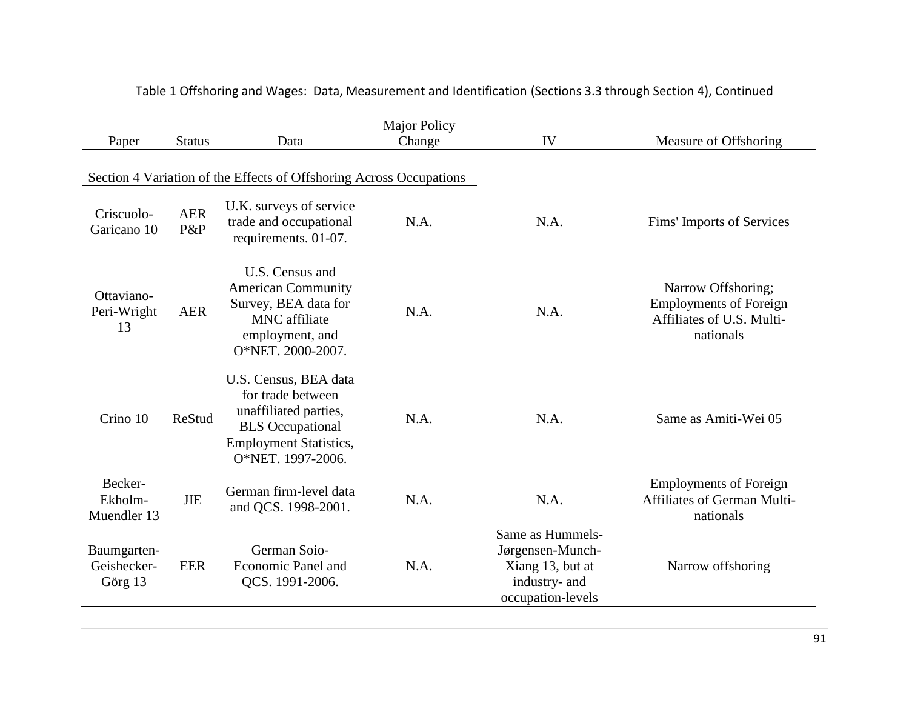| <b>Major Policy</b>                   |                   |                                                                                                                                                      |        |                                                                                                |                                                                                               |
|---------------------------------------|-------------------|------------------------------------------------------------------------------------------------------------------------------------------------------|--------|------------------------------------------------------------------------------------------------|-----------------------------------------------------------------------------------------------|
| Paper                                 | <b>Status</b>     | Data                                                                                                                                                 | Change | IV                                                                                             | Measure of Offshoring                                                                         |
|                                       |                   | Section 4 Variation of the Effects of Offshoring Across Occupations                                                                                  |        |                                                                                                |                                                                                               |
| Criscuolo-<br>Garicano 10             | <b>AER</b><br>P&P | U.K. surveys of service<br>trade and occupational<br>requirements. 01-07.                                                                            | N.A.   | N.A.                                                                                           | Fims' Imports of Services                                                                     |
| Ottaviano-<br>Peri-Wright<br>13       | <b>AER</b>        | U.S. Census and<br><b>American Community</b><br>Survey, BEA data for<br><b>MNC</b> affiliate<br>employment, and<br>O*NET. 2000-2007.                 | N.A.   | N.A.                                                                                           | Narrow Offshoring;<br><b>Employments of Foreign</b><br>Affiliates of U.S. Multi-<br>nationals |
| Crino 10                              | ReStud            | U.S. Census, BEA data<br>for trade between<br>unaffiliated parties,<br><b>BLS</b> Occupational<br><b>Employment Statistics,</b><br>O*NET. 1997-2006. | N.A.   | N.A.                                                                                           | Same as Amiti-Wei 05                                                                          |
| Becker-<br>Ekholm-<br>Muendler 13     | <b>JIE</b>        | German firm-level data<br>and QCS. 1998-2001.                                                                                                        | N.A.   | N.A.                                                                                           | <b>Employments of Foreign</b><br>Affiliates of German Multi-<br>nationals                     |
| Baumgarten-<br>Geishecker-<br>Görg 13 | <b>EER</b>        | German Soio-<br><b>Economic Panel and</b><br>QCS. 1991-2006.                                                                                         | N.A.   | Same as Hummels-<br>Jørgensen-Munch-<br>Xiang 13, but at<br>industry- and<br>occupation-levels | Narrow offshoring                                                                             |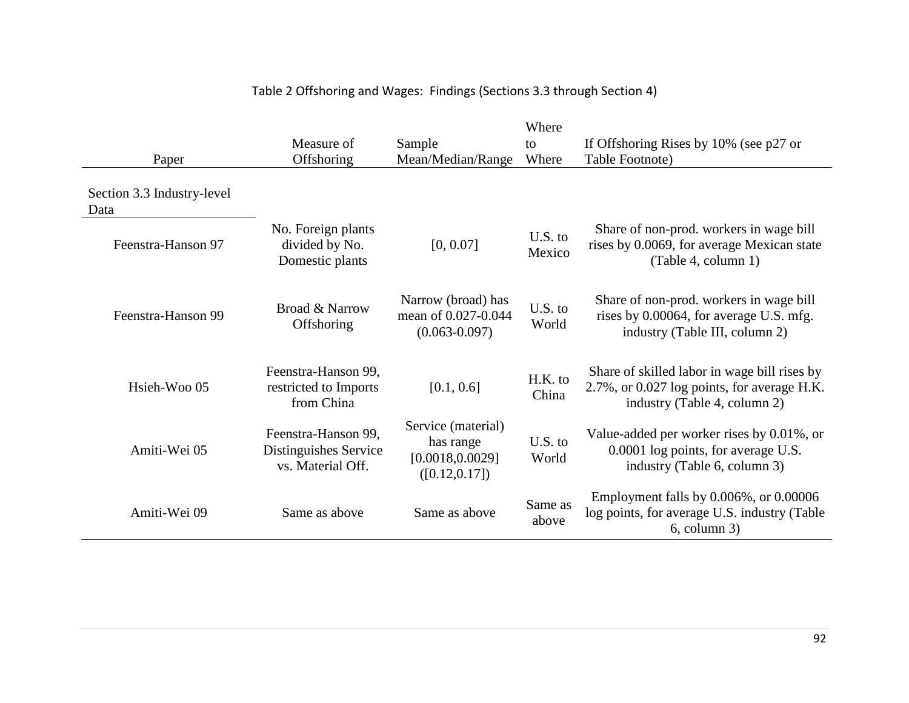| Paper                              | Measure of<br>Offshoring                                          | Sample<br>Mean/Median/Range                                           | Where<br>to<br>Where | If Offshoring Rises by $10\%$ (see p27 or<br>Table Footnote)                                                                |
|------------------------------------|-------------------------------------------------------------------|-----------------------------------------------------------------------|----------------------|-----------------------------------------------------------------------------------------------------------------------------|
| Section 3.3 Industry-level<br>Data |                                                                   |                                                                       |                      |                                                                                                                             |
| Feenstra-Hanson 97                 | No. Foreign plants<br>divided by No.<br>Domestic plants           | [0, 0.07]                                                             | $U.S.$ to<br>Mexico  | Share of non-prod. workers in wage bill<br>rises by 0.0069, for average Mexican state<br>(Table 4, column 1)                |
| Feenstra-Hanson 99                 | Broad & Narrow<br>Offshoring                                      | Narrow (broad) has<br>mean of 0.027-0.044<br>$(0.063 - 0.097)$        | U.S. to<br>World     | Share of non-prod. workers in wage bill<br>rises by 0.00064, for average U.S. mfg.<br>industry (Table III, column 2)        |
| Hsieh-Woo 05                       | Feenstra-Hanson 99,<br>restricted to Imports<br>from China        | [0.1, 0.6]                                                            | H.K. to<br>China     | Share of skilled labor in wage bill rises by<br>2.7%, or 0.027 log points, for average H.K.<br>industry (Table 4, column 2) |
| Amiti-Wei 05                       | Feenstra-Hanson 99,<br>Distinguishes Service<br>vs. Material Off. | Service (material)<br>has range<br>[0.0018, 0.0029]<br>([0.12, 0.17]) | U.S. to<br>World     | Value-added per worker rises by 0.01%, or<br>0.0001 log points, for average U.S.<br>industry (Table 6, column 3)            |
| Amiti-Wei 09                       | Same as above                                                     | Same as above                                                         | Same as<br>above     | Employment falls by $0.006\%$ , or $0.00006$<br>log points, for average U.S. industry (Table<br>$6$ , column $3$ )          |

# Table 2 Offshoring and Wages: Findings (Sections 3.3 through Section 4)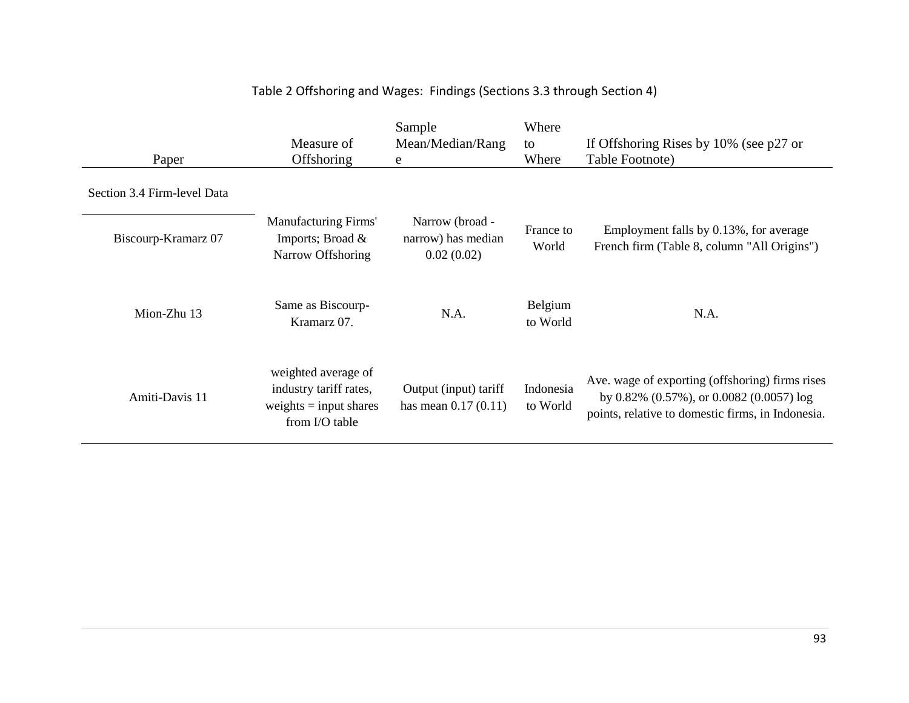| Paper                       | Measure of<br>Offshoring                                                                    | Sample<br>Mean/Median/Rang<br>e                     | Where<br>to<br>Where  | If Offshoring Rises by $10\%$ (see p27 or<br>Table Footnote)                                                                                          |
|-----------------------------|---------------------------------------------------------------------------------------------|-----------------------------------------------------|-----------------------|-------------------------------------------------------------------------------------------------------------------------------------------------------|
| Section 3.4 Firm-level Data |                                                                                             |                                                     |                       |                                                                                                                                                       |
| Biscourp-Kramarz 07         | <b>Manufacturing Firms'</b><br>Imports; Broad &<br>Narrow Offshoring                        | Narrow (broad -<br>narrow) has median<br>0.02(0.02) | France to<br>World    | Employment falls by 0.13%, for average<br>French firm (Table 8, column "All Origins")                                                                 |
| Mion-Zhu 13                 | Same as Biscourp-<br>Kramarz 07.                                                            | N.A.                                                | Belgium<br>to World   | N.A.                                                                                                                                                  |
| Amiti-Davis 11              | weighted average of<br>industry tariff rates,<br>weights $=$ input shares<br>from I/O table | Output (input) tariff<br>has mean $0.17(0.11)$      | Indonesia<br>to World | Ave. wage of exporting (offshoring) firms rises<br>by $0.82\%$ (0.57%), or $0.0082$ (0.0057) log<br>points, relative to domestic firms, in Indonesia. |

# Table 2 Offshoring and Wages: Findings (Sections 3.3 through Section 4)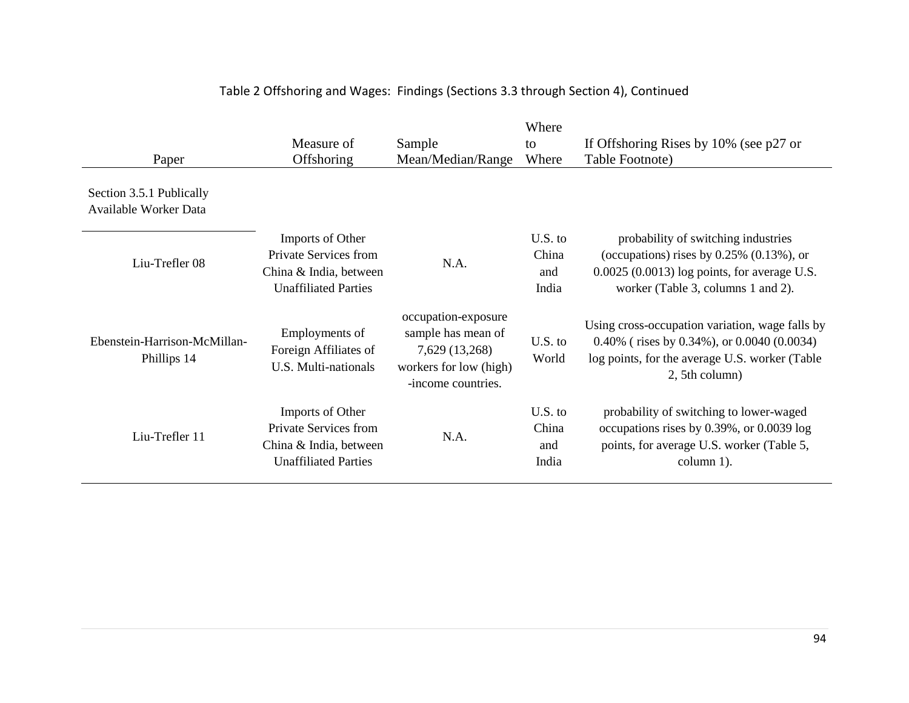| Paper                                             | Measure of<br>Offshoring                                                                           | Sample<br>Mean/Median/Range                                                                                 | Where<br>to<br>Where               | If Offshoring Rises by 10% (see p27 or<br>Table Footnote)                                                                                                                  |
|---------------------------------------------------|----------------------------------------------------------------------------------------------------|-------------------------------------------------------------------------------------------------------------|------------------------------------|----------------------------------------------------------------------------------------------------------------------------------------------------------------------------|
| Section 3.5.1 Publically<br>Available Worker Data |                                                                                                    |                                                                                                             |                                    |                                                                                                                                                                            |
| Liu-Trefler 08                                    | Imports of Other<br>Private Services from<br>China & India, between<br><b>Unaffiliated Parties</b> | N.A.                                                                                                        | $U.S.$ to<br>China<br>and<br>India | probability of switching industries<br>(occupations) rises by $0.25\%$ (0.13%), or<br>$0.0025$ (0.0013) log points, for average U.S.<br>worker (Table 3, columns 1 and 2). |
| Ebenstein-Harrison-McMillan-<br>Phillips 14       | Employments of<br>Foreign Affiliates of<br>U.S. Multi-nationals                                    | occupation-exposure<br>sample has mean of<br>7,629 (13,268)<br>workers for low (high)<br>-income countries. | $U.S.$ to<br>World                 | Using cross-occupation variation, wage falls by<br>$0.40\%$ (rises by 0.34%), or 0.0040 (0.0034)<br>log points, for the average U.S. worker (Table<br>2, 5th column)       |
| Liu-Trefler 11                                    | Imports of Other<br>Private Services from<br>China & India, between<br><b>Unaffiliated Parties</b> | N.A.                                                                                                        | U.S. to<br>China<br>and<br>India   | probability of switching to lower-waged<br>occupations rises by 0.39%, or 0.0039 log<br>points, for average U.S. worker (Table 5,<br>column 1).                            |

# Table 2 Offshoring and Wages: Findings (Sections 3.3 through Section 4), Continued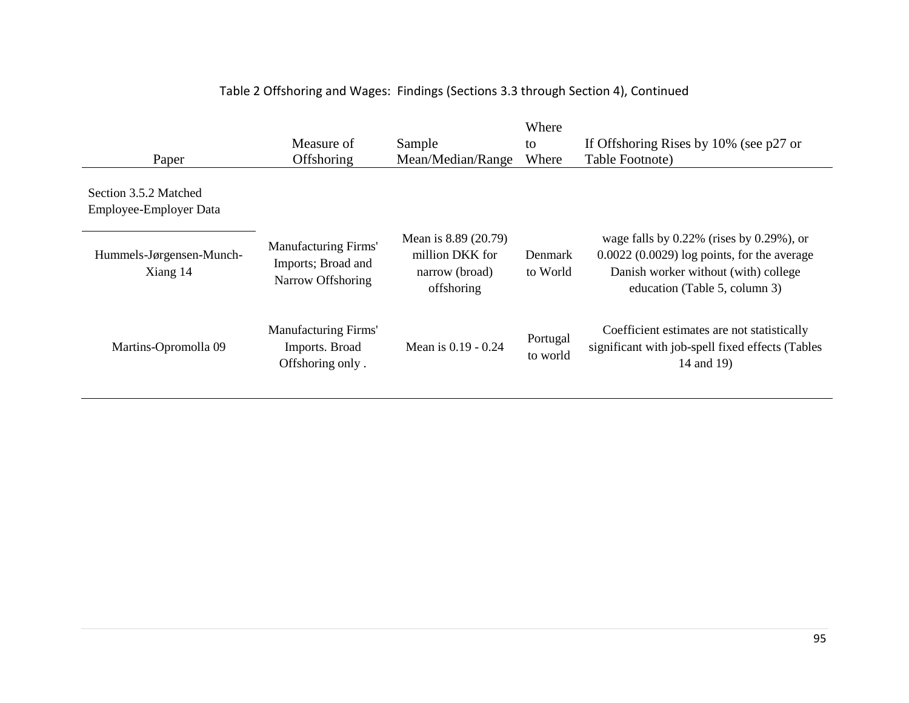| Paper                                           | Measure of<br><b>Offshoring</b>                                        | Sample<br>Mean/Median/Range                                             | Where<br>to<br>Where       | If Offshoring Rises by $10\%$ (see p27 or<br>Table Footnote)                                                                                                                |
|-------------------------------------------------|------------------------------------------------------------------------|-------------------------------------------------------------------------|----------------------------|-----------------------------------------------------------------------------------------------------------------------------------------------------------------------------|
| Section 3.5.2 Matched<br>Employee-Employer Data |                                                                        |                                                                         |                            |                                                                                                                                                                             |
| Hummels-Jørgensen-Munch-<br>Xiang 14            | <b>Manufacturing Firms'</b><br>Imports; Broad and<br>Narrow Offshoring | Mean is 8.89 (20.79)<br>million DKK for<br>narrow (broad)<br>offshoring | <b>Denmark</b><br>to World | wage falls by $0.22\%$ (rises by $0.29\%$ ), or<br>$0.0022$ $(0.0029)$ log points, for the average<br>Danish worker without (with) college<br>education (Table 5, column 3) |
| Martins-Opromolla 09                            | Manufacturing Firms'<br>Imports. Broad<br>Offshoring only.             | Mean is 0.19 - 0.24                                                     | Portugal<br>to world       | Coefficient estimates are not statistically<br>significant with job-spell fixed effects (Tables<br>14 and 19)                                                               |

# Table 2 Offshoring and Wages: Findings (Sections 3.3 through Section 4), Continued